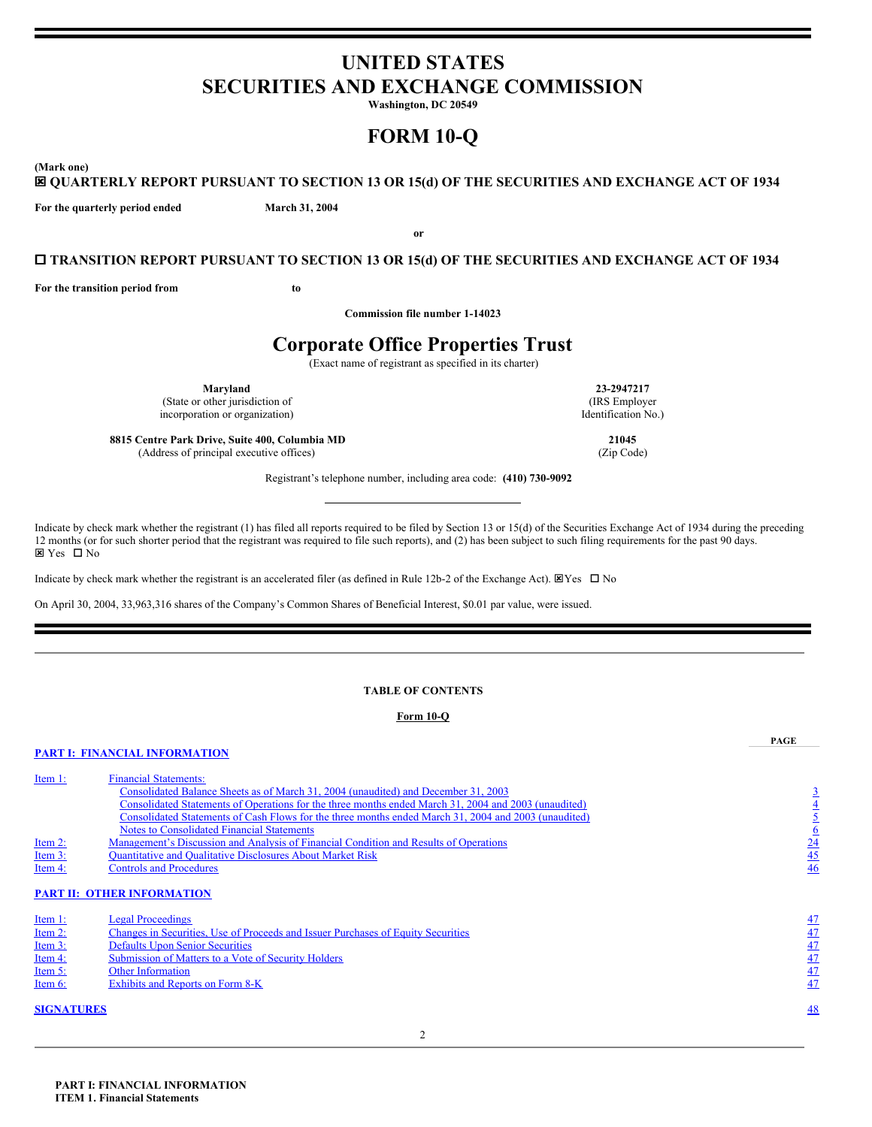# **UNITED STATES SECURITIES AND EXCHANGE COMMISSION**

**Washington, DC 20549**

# **FORM 10-Q**

**(Mark one)**

# ý **QUARTERLY REPORT PURSUANT TO SECTION 13 OR 15(d) OF THE SECURITIES AND EXCHANGE ACT OF 1934**

**For the quarterly period ended March 31, 2004**

**or**

# o **TRANSITION REPORT PURSUANT TO SECTION 13 OR 15(d) OF THE SECURITIES AND EXCHANGE ACT OF 1934**

**For the transition period from to**

**Commission file number 1-14023**

# **Corporate Office Properties Trust**

(Exact name of registrant as specified in its charter)

(State or other jurisdiction of incorporation or organization)

**8815 Centre Park Drive, Suite 400, Columbia MD 21045** (Address of principal executive offices) (Zip Code)

**Maryland 23-2947217** (IRS Employer Identification No.)

**PAGE**

Registrant's telephone number, including area code: **(410) 730-9092**

Indicate by check mark whether the registrant (1) has filed all reports required to be filed by Section 13 or 15(d) of the Securities Exchange Act of 1934 during the preceding 12 months (or for such shorter period that the registrant was required to file such reports), and (2) has been subject to such filing requirements for the past 90 days. **⊠** Yes □ No

Indicate by check mark whether the registrant is an accelerated filer (as defined in Rule 12b-2 of the Exchange Act).  $\Box$  Yes  $\Box$  No

On April 30, 2004, 33,963,316 shares of the Company's Common Shares of Beneficial Interest, \$0.01 par value, were issued.

# **TABLE OF CONTENTS**

# **Form 10-Q**

<span id="page-0-1"></span><span id="page-0-0"></span>

| Item 1:<br>Item 2:<br>Item 3:<br>Item 4:                                               | <b>Financial Statements:</b><br>Consolidated Balance Sheets as of March 31, 2004 (unaudited) and December 31, 2003<br>Consolidated Statements of Operations for the three months ended March 31, 2004 and 2003 (unaudited)<br>Consolidated Statements of Cash Flows for the three months ended March 31, 2004 and 2003 (unaudited)<br><b>Notes to Consolidated Financial Statements</b><br>Management's Discussion and Analysis of Financial Condition and Results of Operations<br><b>Ouantitative and Oualitative Disclosures About Market Risk</b><br><b>Controls and Procedures</b><br><b>PART II: OTHER INFORMATION</b> | $\overline{\mathbf{p}}$<br>$\frac{24}{45}$<br>$\frac{46}{5}$                    |
|----------------------------------------------------------------------------------------|------------------------------------------------------------------------------------------------------------------------------------------------------------------------------------------------------------------------------------------------------------------------------------------------------------------------------------------------------------------------------------------------------------------------------------------------------------------------------------------------------------------------------------------------------------------------------------------------------------------------------|---------------------------------------------------------------------------------|
| Item 1:<br>Item 2:<br>Item 3:<br>Item 4:<br>Item 5:<br>Item $6$ :<br><b>SIGNATURES</b> | <b>Legal Proceedings</b><br>Changes in Securities, Use of Proceeds and Issuer Purchases of Equity Securities<br><b>Defaults Upon Senior Securities</b><br>Submission of Matters to a Vote of Security Holders<br>Other Information<br><b>Exhibits and Reports on Form 8-K</b>                                                                                                                                                                                                                                                                                                                                                | <u>47</u><br>$\frac{47}{47}$ $\frac{47}{47}$ $\frac{47}{47}$<br>$\overline{48}$ |

 $\overline{2}$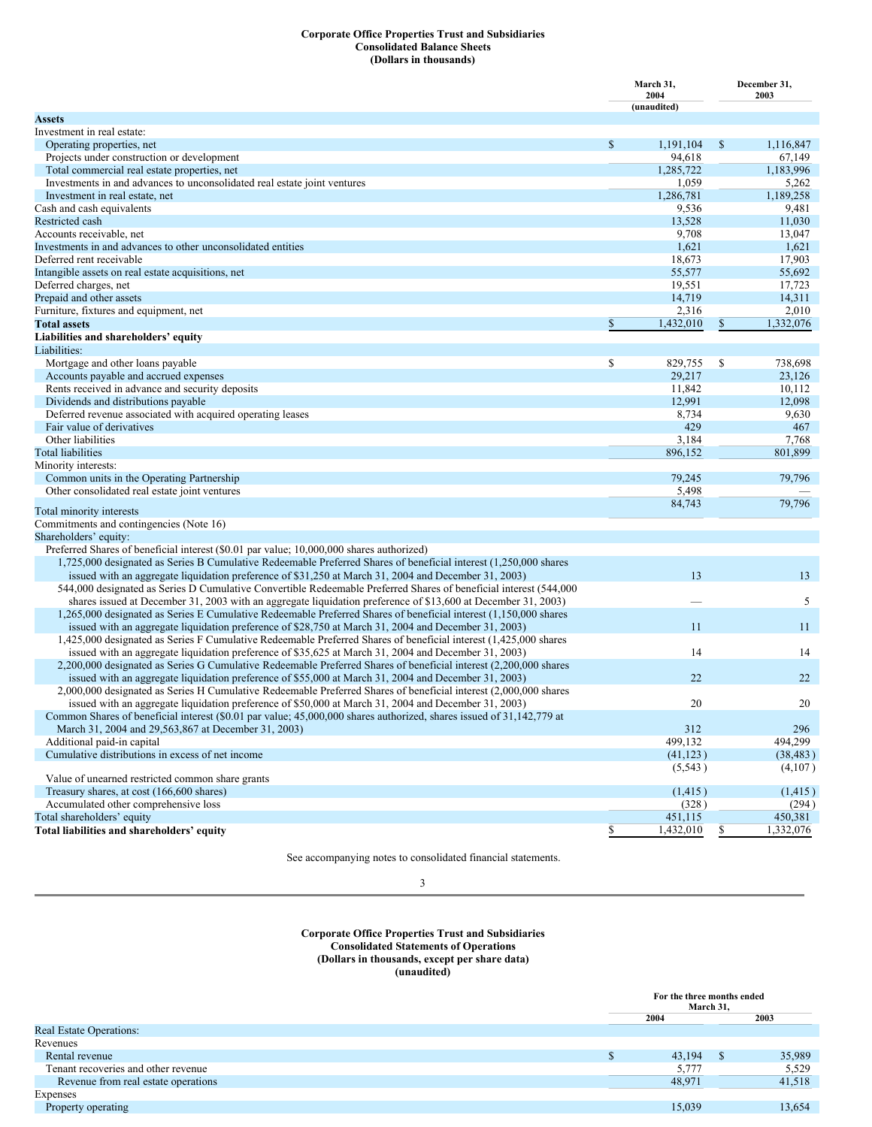## <span id="page-1-0"></span>**Corporate Office Properties Trust and Subsidiaries Consolidated Balance Sheets (Dollars in thousands)**

|                                                                                                                      | March 31,<br>2004 |                   |      | December 31,<br>2003 |  |
|----------------------------------------------------------------------------------------------------------------------|-------------------|-------------------|------|----------------------|--|
| <b>Assets</b>                                                                                                        |                   | (unaudited)       |      |                      |  |
| Investment in real estate:                                                                                           |                   |                   |      |                      |  |
| Operating properties, net                                                                                            | $\mathbb{S}$      | 1,191,104         | \$   | 1,116,847            |  |
| Projects under construction or development                                                                           |                   | 94,618            |      | 67,149               |  |
| Total commercial real estate properties, net                                                                         |                   | 1,285,722         |      | 1,183,996            |  |
| Investments in and advances to unconsolidated real estate joint ventures                                             |                   | 1,059             |      | 5,262                |  |
| Investment in real estate, net                                                                                       |                   | 1,286,781         |      | 1,189,258            |  |
| Cash and cash equivalents                                                                                            |                   | 9,536             |      | 9,481                |  |
| Restricted cash                                                                                                      |                   | 13,528            |      | 11,030               |  |
| Accounts receivable, net                                                                                             |                   | 9,708             |      | 13,047               |  |
| Investments in and advances to other unconsolidated entities                                                         |                   | 1,621             |      | 1,621                |  |
| Deferred rent receivable                                                                                             |                   | 18,673            |      | 17,903               |  |
| Intangible assets on real estate acquisitions, net                                                                   |                   | 55,577            |      | 55,692               |  |
| Deferred charges, net                                                                                                |                   | 19,551            |      | 17,723               |  |
| Prepaid and other assets                                                                                             |                   | 14,719            |      | 14,311               |  |
| Furniture, fixtures and equipment, net                                                                               |                   | 2,316             |      | 2,010                |  |
| <b>Total assets</b>                                                                                                  | \$                | 1,432,010         | $\$$ | 1,332,076            |  |
| Liabilities and shareholders' equity                                                                                 |                   |                   |      |                      |  |
| Liabilities:                                                                                                         |                   |                   |      |                      |  |
| Mortgage and other loans payable                                                                                     | \$                | 829,755           | \$   | 738,698              |  |
| Accounts payable and accrued expenses                                                                                |                   | 29,217            |      | 23,126               |  |
| Rents received in advance and security deposits                                                                      |                   | 11,842            |      | 10,112               |  |
| Dividends and distributions payable                                                                                  |                   | 12,991            |      | 12,098               |  |
| Deferred revenue associated with acquired operating leases                                                           |                   | 8,734             |      | 9,630                |  |
| Fair value of derivatives                                                                                            |                   | 429               |      | 467                  |  |
| Other liabilities                                                                                                    |                   | 3,184             |      | 7,768                |  |
| Total liabilities                                                                                                    |                   | 896,152           |      | 801,899              |  |
| Minority interests:                                                                                                  |                   |                   |      |                      |  |
| Common units in the Operating Partnership                                                                            |                   | 79,245            |      | 79,796               |  |
| Other consolidated real estate joint ventures                                                                        |                   | 5,498             |      |                      |  |
|                                                                                                                      |                   | 84,743            |      | 79,796               |  |
| Total minority interests                                                                                             |                   |                   |      |                      |  |
| Commitments and contingencies (Note 16)                                                                              |                   |                   |      |                      |  |
| Shareholders' equity:                                                                                                |                   |                   |      |                      |  |
| Preferred Shares of beneficial interest (\$0.01 par value; 10,000,000 shares authorized)                             |                   |                   |      |                      |  |
| 1,725,000 designated as Series B Cumulative Redeemable Preferred Shares of beneficial interest (1,250,000 shares     |                   |                   |      |                      |  |
| issued with an aggregate liquidation preference of \$31,250 at March 31, 2004 and December 31, 2003)                 |                   | 13                |      | 13                   |  |
| 544,000 designated as Series D Cumulative Convertible Redeemable Preferred Shares of beneficial interest (544,000    |                   |                   |      |                      |  |
| shares issued at December 31, 2003 with an aggregate liquidation preference of \$13,600 at December 31, 2003)        |                   |                   |      | 5                    |  |
| 1,265,000 designated as Series E Cumulative Redeemable Preferred Shares of beneficial interest (1,150,000 shares     |                   |                   |      |                      |  |
| issued with an aggregate liquidation preference of \$28,750 at March 31, 2004 and December 31, 2003)                 |                   | 11                |      | 11                   |  |
| 1,425,000 designated as Series F Cumulative Redeemable Preferred Shares of beneficial interest (1,425,000 shares     |                   |                   |      |                      |  |
| issued with an aggregate liquidation preference of \$35,625 at March 31, 2004 and December 31, 2003)                 |                   | 14                |      | 14                   |  |
| 2,200,000 designated as Series G Cumulative Redeemable Preferred Shares of beneficial interest (2,200,000 shares     |                   |                   |      |                      |  |
| issued with an aggregate liquidation preference of \$55,000 at March 31, 2004 and December 31, 2003)                 |                   | 22                |      | 22                   |  |
| 2,000,000 designated as Series H Cumulative Redeemable Preferred Shares of beneficial interest (2,000,000 shares     |                   |                   |      |                      |  |
| issued with an aggregate liquidation preference of \$50,000 at March 31, 2004 and December 31, 2003)                 |                   | 20                |      | 20                   |  |
| Common Shares of beneficial interest (\$0.01 par value; 45,000,000 shares authorized, shares issued of 31,142,779 at |                   |                   |      |                      |  |
| March 31, 2004 and 29,563,867 at December 31, 2003)                                                                  |                   | 312               |      | 296                  |  |
| Additional paid-in capital                                                                                           |                   | 499,132           |      | 494,299              |  |
| Cumulative distributions in excess of net income                                                                     |                   | (41, 123)         |      | (38, 483)            |  |
| Value of unearned restricted common share grants                                                                     |                   | (5,543)           |      | (4,107)              |  |
| Treasury shares, at cost (166,600 shares)                                                                            |                   |                   |      |                      |  |
| Accumulated other comprehensive loss                                                                                 |                   | (1, 415)<br>(328) |      | (1, 415)<br>(294)    |  |
| Total shareholders' equity                                                                                           |                   | 451,115           |      | 450,381              |  |
|                                                                                                                      |                   |                   |      |                      |  |
| Total liabilities and shareholders' equity                                                                           | \$                | 1,432,010         | \$   | 1,332,076            |  |

See accompanying notes to consolidated financial statements.

# 3

## <span id="page-1-1"></span>**Corporate Office Properties Trust and Subsidiaries Consolidated Statements of Operations (Dollars in thousands, except per share data) (unaudited)**

|                                     | For the three months ended<br>March 31, |    |        |
|-------------------------------------|-----------------------------------------|----|--------|
|                                     | 2004                                    |    | 2003   |
| <b>Real Estate Operations:</b>      |                                         |    |        |
| Revenues                            |                                         |    |        |
| Rental revenue                      | 43,194                                  | -S | 35,989 |
| Tenant recoveries and other revenue | 5,777                                   |    | 5,529  |
| Revenue from real estate operations | 48.971                                  |    | 41,518 |
| Expenses                            |                                         |    |        |
| Property operating                  | 15.039                                  |    | 13.654 |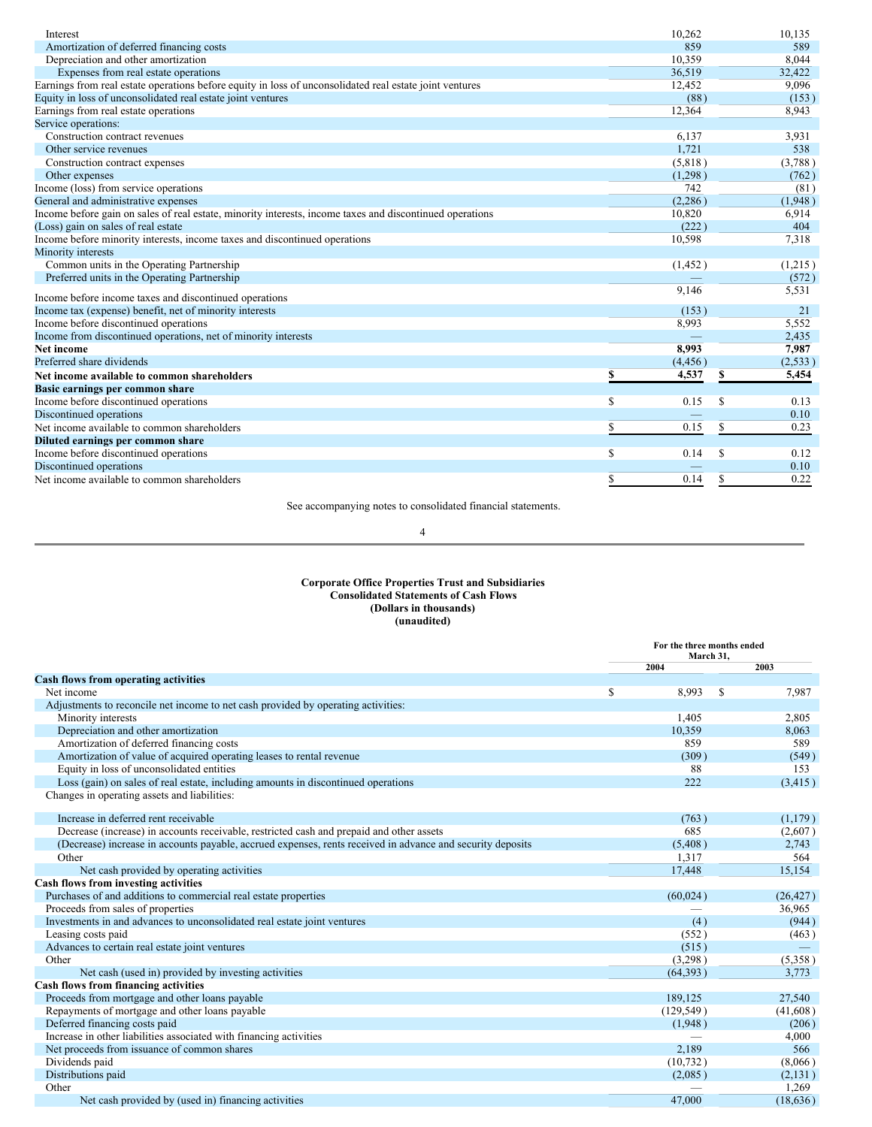| Interest                                                                                                 |   | 10.262   |    | 10,135   |
|----------------------------------------------------------------------------------------------------------|---|----------|----|----------|
| Amortization of deferred financing costs                                                                 |   | 859      |    | 589      |
| Depreciation and other amortization                                                                      |   | 10,359   |    | 8,044    |
| Expenses from real estate operations                                                                     |   | 36,519   |    | 32,422   |
| Earnings from real estate operations before equity in loss of unconsolidated real estate joint ventures  |   | 12,452   |    | 9,096    |
| Equity in loss of unconsolidated real estate joint ventures                                              |   | (88)     |    | (153)    |
| Earnings from real estate operations                                                                     |   | 12,364   |    | 8.943    |
| Service operations:                                                                                      |   |          |    |          |
| Construction contract revenues                                                                           |   | 6.137    |    | 3,931    |
| Other service revenues                                                                                   |   | 1,721    |    | 538      |
| Construction contract expenses                                                                           |   | (5,818)  |    | (3,788)  |
| Other expenses                                                                                           |   | (1,298)  |    | (762)    |
| Income (loss) from service operations                                                                    |   | 742      |    | (81)     |
| General and administrative expenses                                                                      |   | (2,286)  |    | (1,948)  |
| Income before gain on sales of real estate, minority interests, income taxes and discontinued operations |   | 10,820   |    | 6,914    |
| (Loss) gain on sales of real estate                                                                      |   | (222)    |    | 404      |
| Income before minority interests, income taxes and discontinued operations                               |   | 10,598   |    | 7,318    |
| Minority interests                                                                                       |   |          |    |          |
| Common units in the Operating Partnership                                                                |   | (1, 452) |    | (1,215)  |
| Preferred units in the Operating Partnership                                                             |   |          |    | (572)    |
| Income before income taxes and discontinued operations                                                   |   | 9,146    |    | 5,531    |
| Income tax (expense) benefit, net of minority interests                                                  |   | (153)    |    | 21       |
| Income before discontinued operations                                                                    |   | 8,993    |    | 5,552    |
| Income from discontinued operations, net of minority interests                                           |   |          |    | 2,435    |
| Net income                                                                                               |   | 8,993    |    | 7,987    |
| Preferred share dividends                                                                                |   | (4, 456) |    | (2, 533) |
| Net income available to common shareholders                                                              | S | 4,537    | \$ | 5,454    |
| Basic earnings per common share                                                                          |   |          |    |          |
| Income before discontinued operations                                                                    | S | 0.15     | S  | 0.13     |
| Discontinued operations                                                                                  |   |          |    | 0.10     |
| Net income available to common shareholders                                                              | S | 0.15     | \$ | 0.23     |
| Diluted earnings per common share                                                                        |   |          |    |          |
| Income before discontinued operations                                                                    | S | 0.14     | S  | 0.12     |
| Discontinued operations                                                                                  |   |          |    | 0.10     |
| Net income available to common shareholders                                                              | S | 0.14     | \$ | 0.22     |
|                                                                                                          |   |          |    |          |

See accompanying notes to consolidated financial statements.

4

# <span id="page-2-0"></span>**Corporate Office Properties Trust and Subsidiaries Consolidated Statements of Cash Flows (Dollars in thousands) (unaudited)**

|                                                                                                            | For the three months ended<br>March 31, |            |   |           |
|------------------------------------------------------------------------------------------------------------|-----------------------------------------|------------|---|-----------|
|                                                                                                            |                                         | 2004       |   | 2003      |
| <b>Cash flows from operating activities</b>                                                                |                                         |            |   |           |
| Net income                                                                                                 | S                                       | 8,993      | S | 7,987     |
| Adjustments to reconcile net income to net cash provided by operating activities:                          |                                         |            |   |           |
| Minority interests                                                                                         |                                         | 1,405      |   | 2,805     |
| Depreciation and other amortization                                                                        |                                         | 10,359     |   | 8,063     |
| Amortization of deferred financing costs                                                                   |                                         | 859        |   | 589       |
| Amortization of value of acquired operating leases to rental revenue                                       |                                         | (309)      |   | (549)     |
| Equity in loss of unconsolidated entities                                                                  |                                         | 88         |   | 153       |
| Loss (gain) on sales of real estate, including amounts in discontinued operations                          |                                         | 222        |   | (3, 415)  |
| Changes in operating assets and liabilities:                                                               |                                         |            |   |           |
| Increase in deferred rent receivable                                                                       |                                         | (763)      |   | (1,179)   |
| Decrease (increase) in accounts receivable, restricted cash and prepaid and other assets                   |                                         | 685        |   | (2,607)   |
| (Decrease) increase in accounts payable, accrued expenses, rents received in advance and security deposits |                                         | (5,408)    |   | 2,743     |
| Other                                                                                                      |                                         | 1,317      |   | 564       |
| Net cash provided by operating activities                                                                  |                                         | 17,448     |   | 15,154    |
| Cash flows from investing activities                                                                       |                                         |            |   |           |
| Purchases of and additions to commercial real estate properties                                            |                                         | (60, 024)  |   | (26, 427) |
| Proceeds from sales of properties                                                                          |                                         |            |   | 36,965    |
| Investments in and advances to unconsolidated real estate joint ventures                                   |                                         | (4)        |   | (944)     |
| Leasing costs paid                                                                                         |                                         | (552)      |   | (463)     |
| Advances to certain real estate joint ventures                                                             |                                         | (515)      |   |           |
| Other                                                                                                      |                                         | (3,298)    |   | (5,358)   |
| Net cash (used in) provided by investing activities                                                        |                                         | (64, 393)  |   | 3,773     |
| Cash flows from financing activities                                                                       |                                         |            |   |           |
| Proceeds from mortgage and other loans payable                                                             |                                         | 189,125    |   | 27,540    |
| Repayments of mortgage and other loans payable                                                             |                                         | (129, 549) |   | (41,608)  |
| Deferred financing costs paid                                                                              |                                         | (1,948)    |   | (206)     |
| Increase in other liabilities associated with financing activities                                         |                                         |            |   | 4,000     |
| Net proceeds from issuance of common shares                                                                |                                         | 2.189      |   | 566       |
| Dividends paid                                                                                             |                                         | (10, 732)  |   | (8,066)   |
| Distributions paid                                                                                         |                                         | (2,085)    |   | (2,131)   |
| Other                                                                                                      |                                         |            |   | 1,269     |
| Net cash provided by (used in) financing activities                                                        |                                         | 47,000     |   | (18, 636) |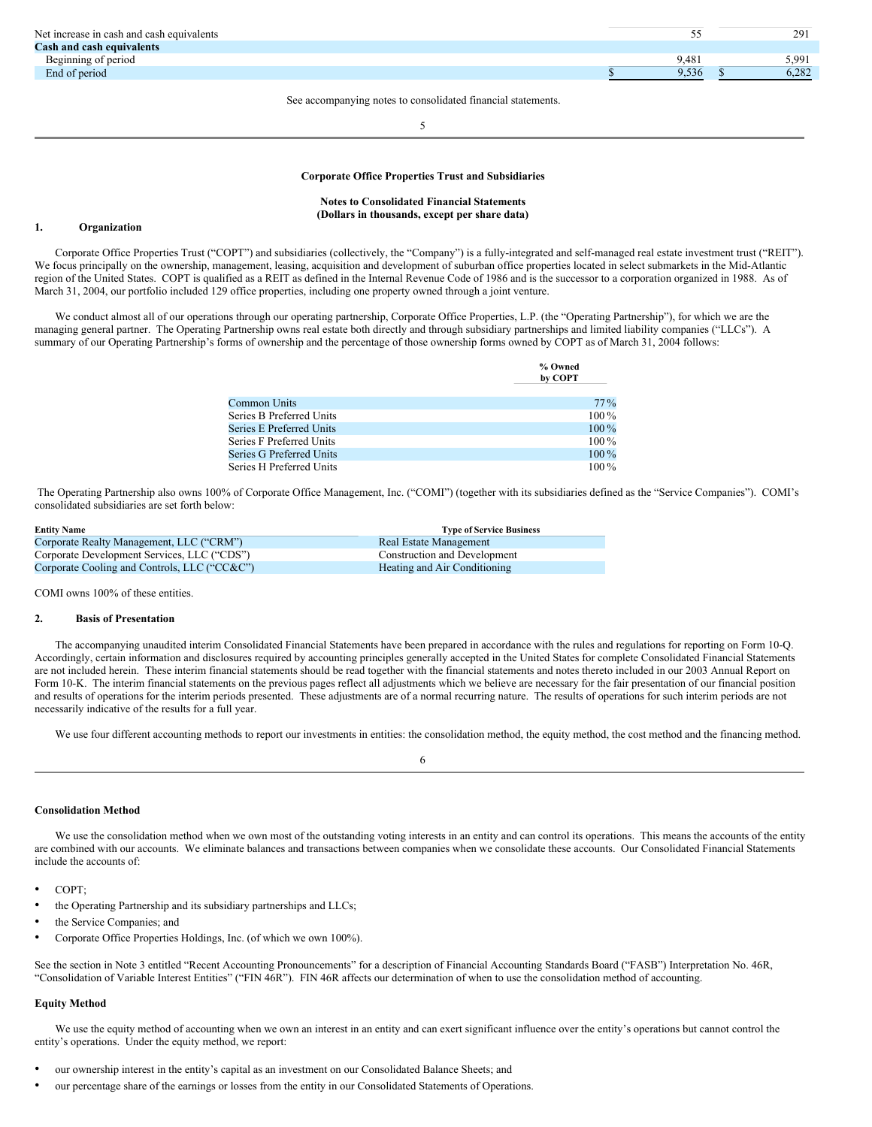| Net increase in cash and cash equivalents |       | 291   |
|-------------------------------------------|-------|-------|
| Cash and cash equivalents                 |       |       |
| Beginning of period                       | 9.481 | 5.991 |
| End of period                             | 9.536 | 6.282 |
|                                           |       |       |

See accompanying notes to consolidated financial statements.

5

#### **Corporate Office Properties Trust and Subsidiaries**

<span id="page-3-0"></span>**Notes to Consolidated Financial Statements (Dollars in thousands, except per share data)**

## **1. Organization**

Corporate Office Properties Trust ("COPT") and subsidiaries (collectively, the "Company") is a fully-integrated and self-managed real estate investment trust ("REIT"). We focus principally on the ownership, management, leasing, acquisition and development of suburban office properties located in select submarkets in the Mid-Atlantic region of the United States. COPT is qualified as a REIT as defined in the Internal Revenue Code of 1986 and is the successor to a corporation organized in 1988. As of March 31, 2004, our portfolio included 129 office properties, including one property owned through a joint venture.

We conduct almost all of our operations through our operating partnership, Corporate Office Properties, L.P. (the "Operating Partnership"), for which we are the managing general partner. The Operating Partnership owns real estate both directly and through subsidiary partnerships and limited liability companies ("LLCs"). A summary of our Operating Partnership's forms of ownership and the percentage of those ownership forms owned by COPT as of March 31, 2004 follows:

|                          | % Owned<br>by COPT |
|--------------------------|--------------------|
| Common Units             | $77\%$             |
| Series B Preferred Units | $100\%$            |
| Series E Preferred Units | 100 %              |
| Series F Preferred Units | $100\%$            |
| Series G Preferred Units | 100 %              |
| Series H Preferred Units | $100\%$            |

The Operating Partnership also owns 100% of Corporate Office Management, Inc. ("COMI") (together with its subsidiaries defined as the "Service Companies"). COMI's consolidated subsidiaries are set forth below:

| <b>Entity Name</b>                           | <b>Type of Service Business</b> |
|----------------------------------------------|---------------------------------|
| Corporate Realty Management, LLC ("CRM")     | Real Estate Management          |
| Corporate Development Services, LLC ("CDS")  | Construction and Development    |
| Corporate Cooling and Controls, LLC ("CC&C") | Heating and Air Conditioning    |

COMI owns 100% of these entities.

## **2. Basis of Presentation**

The accompanying unaudited interim Consolidated Financial Statements have been prepared in accordance with the rules and regulations for reporting on Form 10-Q. Accordingly, certain information and disclosures required by accounting principles generally accepted in the United States for complete Consolidated Financial Statements are not included herein. These interim financial statements should be read together with the financial statements and notes thereto included in our 2003 Annual Report on Form 10-K. The interim financial statements on the previous pages reflect all adjustments which we believe are necessary for the fair presentation of our financial position and results of operations for the interim periods presented. These adjustments are of a normal recurring nature. The results of operations for such interim periods are not necessarily indicative of the results for a full year.

We use four different accounting methods to report our investments in entities: the consolidation method, the equity method, the cost method and the financing method.

| ż,<br>٦<br>۰, |
|---------------|
|               |

#### **Consolidation Method**

We use the consolidation method when we own most of the outstanding voting interests in an entity and can control its operations. This means the accounts of the entity are combined with our accounts. We eliminate balances and transactions between companies when we consolidate these accounts. Our Consolidated Financial Statements include the accounts of:

- COPT;
- the Operating Partnership and its subsidiary partnerships and LLCs;
- the Service Companies; and
- Corporate Office Properties Holdings, Inc. (of which we own 100%).

See the section in Note 3 entitled "Recent Accounting Pronouncements" for a description of Financial Accounting Standards Board ("FASB") Interpretation No. 46R, "Consolidation of Variable Interest Entities" ("FIN 46R"). FIN 46R affects our determination of when to use the consolidation method of accounting.

#### **Equity Method**

We use the equity method of accounting when we own an interest in an entity and can exert significant influence over the entity's operations but cannot control the entity's operations. Under the equity method, we report:

- our ownership interest in the entity's capital as an investment on our Consolidated Balance Sheets; and
- our percentage share of the earnings or losses from the entity in our Consolidated Statements of Operations.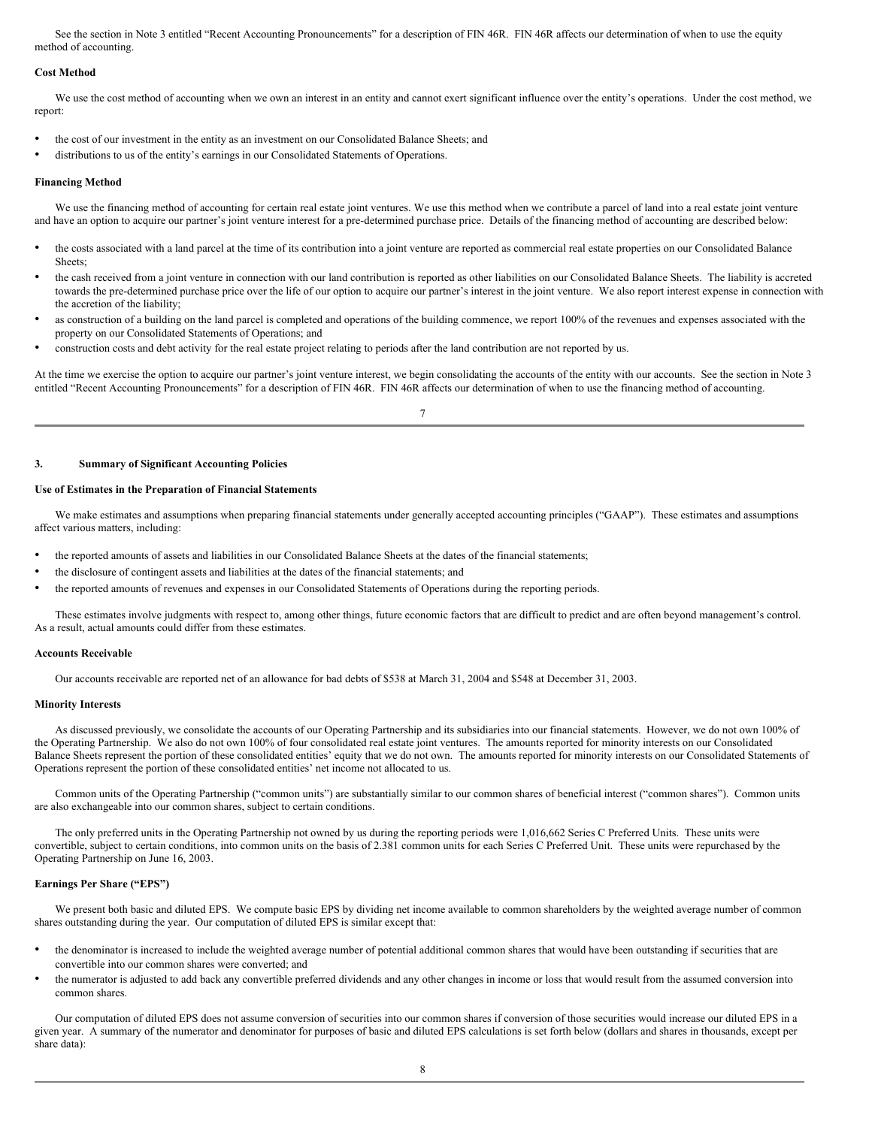See the section in Note 3 entitled "Recent Accounting Pronouncements" for a description of FIN 46R. FIN 46R affects our determination of when to use the equity method of accounting.

#### **Cost Method**

We use the cost method of accounting when we own an interest in an entity and cannot exert significant influence over the entity's operations. Under the cost method, we report:

- the cost of our investment in the entity as an investment on our Consolidated Balance Sheets; and
- distributions to us of the entity's earnings in our Consolidated Statements of Operations.

## **Financing Method**

We use the financing method of accounting for certain real estate joint ventures. We use this method when we contribute a parcel of land into a real estate joint venture and have an option to acquire our partner's joint venture interest for a pre-determined purchase price. Details of the financing method of accounting are described below:

- the costs associated with a land parcel at the time of its contribution into a joint venture are reported as commercial real estate properties on our Consolidated Balance Sheets;
- the cash received from a joint venture in connection with our land contribution is reported as other liabilities on our Consolidated Balance Sheets. The liability is accreted towards the pre-determined purchase price over the life of our option to acquire our partner's interest in the joint venture. We also report interest expense in connection with the accretion of the liability;
- as construction of a building on the land parcel is completed and operations of the building commence, we report 100% of the revenues and expenses associated with the property on our Consolidated Statements of Operations; and
- construction costs and debt activity for the real estate project relating to periods after the land contribution are not reported by us.

At the time we exercise the option to acquire our partner's joint venture interest, we begin consolidating the accounts of the entity with our accounts. See the section in Note 3 entitled "Recent Accounting Pronouncements" for a description of FIN 46R. FIN 46R affects our determination of when to use the financing method of accounting.

7

# **3. Summary of Significant Accounting Policies**

#### **Use of Estimates in the Preparation of Financial Statements**

We make estimates and assumptions when preparing financial statements under generally accepted accounting principles ("GAAP"). These estimates and assumptions affect various matters, including:

- the reported amounts of assets and liabilities in our Consolidated Balance Sheets at the dates of the financial statements;
- the disclosure of contingent assets and liabilities at the dates of the financial statements; and
- the reported amounts of revenues and expenses in our Consolidated Statements of Operations during the reporting periods.

These estimates involve judgments with respect to, among other things, future economic factors that are difficult to predict and are often beyond management's control. As a result, actual amounts could differ from these estimates.

#### **Accounts Receivable**

Our accounts receivable are reported net of an allowance for bad debts of \$538 at March 31, 2004 and \$548 at December 31, 2003.

## **Minority Interests**

As discussed previously, we consolidate the accounts of our Operating Partnership and its subsidiaries into our financial statements. However, we do not own 100% of the Operating Partnership. We also do not own 100% of four consolidated real estate joint ventures. The amounts reported for minority interests on our Consolidated Balance Sheets represent the portion of these consolidated entities' equity that we do not own. The amounts reported for minority interests on our Consolidated Statements of Operations represent the portion of these consolidated entities' net income not allocated to us.

Common units of the Operating Partnership ("common units") are substantially similar to our common shares of beneficial interest ("common shares"). Common units are also exchangeable into our common shares, subject to certain conditions.

The only preferred units in the Operating Partnership not owned by us during the reporting periods were 1,016,662 Series C Preferred Units. These units were convertible, subject to certain conditions, into common units on the basis of 2.381 common units for each Series C Preferred Unit. These units were repurchased by the Operating Partnership on June 16, 2003.

#### **Earnings Per Share ("EPS")**

We present both basic and diluted EPS. We compute basic EPS by dividing net income available to common shareholders by the weighted average number of common shares outstanding during the year. Our computation of diluted EPS is similar except that:

- the denominator is increased to include the weighted average number of potential additional common shares that would have been outstanding if securities that are convertible into our common shares were converted; and
- the numerator is adjusted to add back any convertible preferred dividends and any other changes in income or loss that would result from the assumed conversion into common shares.

Our computation of diluted EPS does not assume conversion of securities into our common shares if conversion of those securities would increase our diluted EPS in a given year. A summary of the numerator and denominator for purposes of basic and diluted EPS calculations is set forth below (dollars and shares in thousands, except per share data):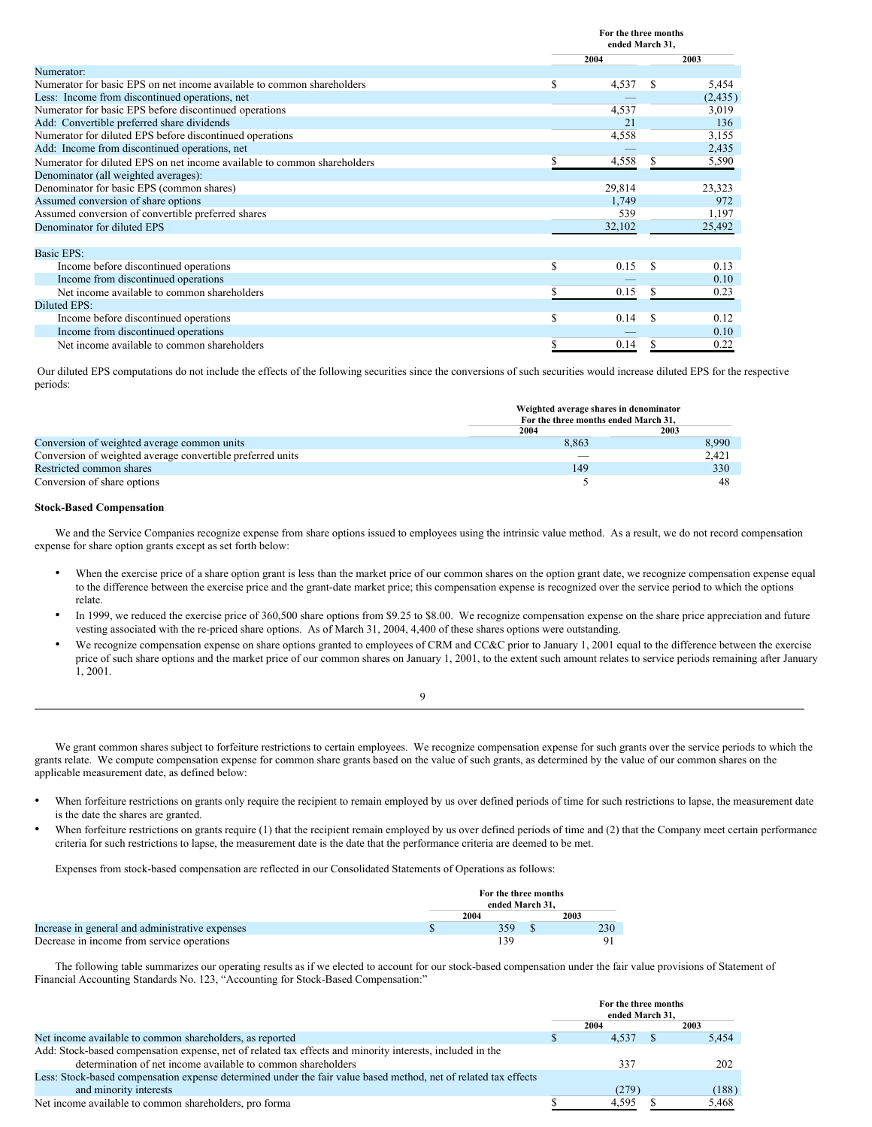|                                                                          |    | For the three months<br>ended March 31, |          |  |
|--------------------------------------------------------------------------|----|-----------------------------------------|----------|--|
|                                                                          |    | 2004                                    | 2003     |  |
| Numerator:                                                               |    |                                         |          |  |
| Numerator for basic EPS on net income available to common shareholders   | \$ | 4,537<br>S                              | 5,454    |  |
| Less: Income from discontinued operations, net                           |    |                                         | (2, 435) |  |
| Numerator for basic EPS before discontinued operations                   |    | 4,537                                   | 3,019    |  |
| Add: Convertible preferred share dividends                               |    | 21                                      | 136      |  |
| Numerator for diluted EPS before discontinued operations                 |    | 4,558                                   | 3,155    |  |
| Add: Income from discontinued operations, net                            |    |                                         | 2,435    |  |
| Numerator for diluted EPS on net income available to common shareholders |    | 4,558                                   | 5,590    |  |
| Denominator (all weighted averages):                                     |    |                                         |          |  |
| Denominator for basic EPS (common shares)                                |    | 29,814                                  | 23,323   |  |
| Assumed conversion of share options                                      |    | 1,749                                   | 972      |  |
| Assumed conversion of convertible preferred shares                       |    | 539                                     | 1,197    |  |
| Denominator for diluted EPS                                              |    | 32,102                                  | 25,492   |  |
|                                                                          |    |                                         |          |  |
| <b>Basic EPS:</b>                                                        |    |                                         |          |  |
| Income before discontinued operations                                    | \$ | \$.<br>0.15                             | 0.13     |  |
| Income from discontinued operations                                      |    |                                         | 0.10     |  |
| Net income available to common shareholders                              |    | 0.15<br>S                               | 0.23     |  |
| Diluted EPS:                                                             |    |                                         |          |  |
| Income before discontinued operations                                    | S  | 0.14<br>S                               | 0.12     |  |
| Income from discontinued operations                                      |    |                                         | 0.10     |  |
| Net income available to common shareholders                              | \$ | 0.14<br>S                               | 0.22     |  |

Our diluted EPS computations do not include the effects of the following securities since the conversions of such securities would increase diluted EPS for the respective periods:

|                                                            | Weighted average shares in denominator<br>For the three months ended March 31. |       |  |
|------------------------------------------------------------|--------------------------------------------------------------------------------|-------|--|
|                                                            | 2003<br>2004                                                                   |       |  |
| Conversion of weighted average common units                | 8,863                                                                          | 8,990 |  |
| Conversion of weighted average convertible preferred units | _                                                                              | 2,421 |  |
| Restricted common shares                                   | 149                                                                            | 330   |  |
| Conversion of share options                                |                                                                                | 48    |  |

# **Stock-Based Compensation**

We and the Service Companies recognize expense from share options issued to employees using the intrinsic value method. As a result, we do not record compensation expense for share option grants except as set forth below:

- When the exercise price of a share option grant is less than the market price of our common shares on the option grant date, we recognize compensation expense equal to the difference between the exercise price and the grant-date market price; this compensation expense is recognized over the service period to which the options relate.
- In 1999, we reduced the exercise price of 360,500 share options from \$9.25 to \$8.00. We recognize compensation expense on the share price appreciation and future vesting associated with the re-priced share options. As of March 31, 2004, 4,400 of these shares options were outstanding.
- We recognize compensation expense on share options granted to employees of CRM and CC&C prior to January 1, 2001 equal to the difference between the exercise price of such share options and the market price of our common shares on January 1, 2001, to the extent such amount relates to service periods remaining after January 1, 2001.

We grant common shares subject to forfeiture restrictions to certain employees. We recognize compensation expense for such grants over the service periods to which the grants relate. We compute compensation expense for common share grants based on the value of such grants, as determined by the value of our common shares on the applicable measurement date, as defined below:

9

- When forfeiture restrictions on grants only require the recipient to remain employed by us over defined periods of time for such restrictions to lapse, the measurement date is the date the shares are granted.
- When forfeiture restrictions on grants require (1) that the recipient remain employed by us over defined periods of time and (2) that the Company meet certain performance criteria for such restrictions to lapse, the measurement date is the date that the performance criteria are deemed to be met.

Expenses from stock-based compensation are reflected in our Consolidated Statements of Operations as follows:

|                                                 | For the three months<br>ended March 31. |      |
|-------------------------------------------------|-----------------------------------------|------|
|                                                 | 2004                                    | 2003 |
| Increase in general and administrative expenses | 359                                     | 230  |
| Decrease in income from service operations      | 139                                     |      |

The following table summarizes our operating results as if we elected to account for our stock-based compensation under the fair value provisions of Statement of Financial Accounting Standards No. 123, "Accounting for Stock-Based Compensation:"

|                                                                                                                 | For the three months |                 |  |       |
|-----------------------------------------------------------------------------------------------------------------|----------------------|-----------------|--|-------|
|                                                                                                                 |                      | ended March 31. |  |       |
|                                                                                                                 |                      | 2004            |  | 2003  |
| Net income available to common shareholders, as reported                                                        |                      | 4.537           |  | 5.454 |
| Add: Stock-based compensation expense, net of related tax effects and minority interests, included in the       |                      |                 |  |       |
| determination of net income available to common shareholders                                                    |                      | 337             |  | 202   |
| Less: Stock-based compensation expense determined under the fair value based method, net of related tax effects |                      |                 |  |       |
| and minority interests                                                                                          |                      | (279)           |  | (188) |
| Net income available to common shareholders, pro forma                                                          |                      | 4,595           |  | 5,468 |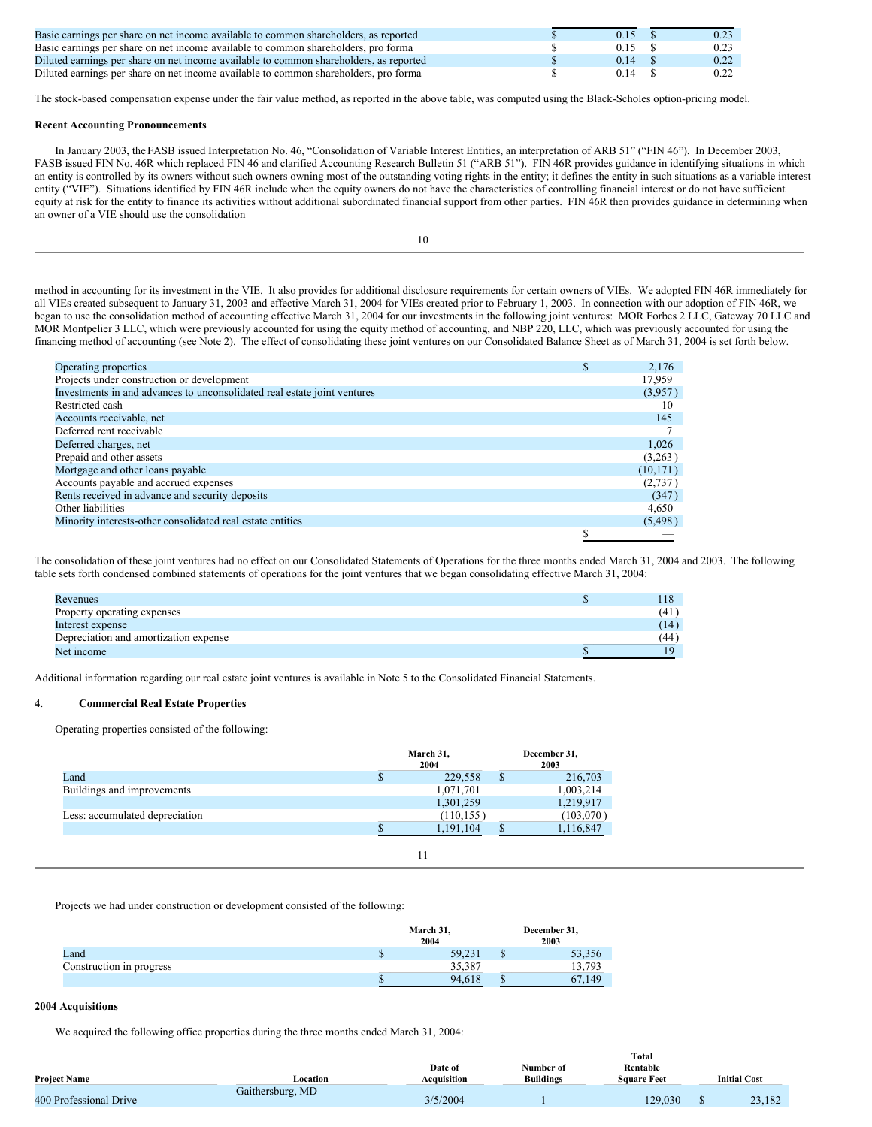| Basic earnings per share on net income available to common shareholders, as reported   | $0.15 -$ | 0.23 |
|----------------------------------------------------------------------------------------|----------|------|
| Basic earnings per share on net income available to common shareholders, pro forma     | 0.15 S   | 0.23 |
| Diluted earnings per share on net income available to common shareholders, as reported | 0.14 S   | 0.22 |
| Diluted earnings per share on net income available to common shareholders, pro forma   | 0.14 S   | 0.22 |

The stock-based compensation expense under the fair value method, as reported in the above table, was computed using the Black-Scholes option-pricing model.

# **Recent Accounting Pronouncements**

In January 2003, the FASB issued Interpretation No. 46, "Consolidation of Variable Interest Entities, an interpretation of ARB 51" ("FIN 46"). In December 2003, FASB issued FIN No. 46R which replaced FIN 46 and clarified Accounting Research Bulletin 51 ("ARB 51"). FIN 46R provides guidance in identifying situations in which an entity is controlled by its owners without such owners owning most of the outstanding voting rights in the entity; it defines the entity in such situations as a variable interest entity ("VIE"). Situations identified by FIN 46R include when the equity owners do not have the characteristics of controlling financial interest or do not have sufficient equity at risk for the entity to finance its activities without additional subordinated financial support from other parties. FIN 46R then provides guidance in determining when an owner of a VIE should use the consolidation

10

method in accounting for its investment in the VIE. It also provides for additional disclosure requirements for certain owners of VIEs. We adopted FIN 46R immediately for all VIEs created subsequent to January 31, 2003 and effective March 31, 2004 for VIEs created prior to February 1, 2003. In connection with our adoption of FIN 46R, we began to use the consolidation method of accounting effective March 31, 2004 for our investments in the following joint ventures: MOR Forbes 2 LLC, Gateway 70 LLC and MOR Montpelier 3 LLC, which were previously accounted for using the equity method of accounting, and NBP 220, LLC, which was previously accounted for using the financing method of accounting (see Note 2). The effect of consolidating these joint ventures on our Consolidated Balance Sheet as of March 31, 2004 is set forth below.

| Operating properties                                                     | 2,176     |
|--------------------------------------------------------------------------|-----------|
| Projects under construction or development                               | 17,959    |
| Investments in and advances to unconsolidated real estate joint ventures | (3,957)   |
| Restricted cash                                                          | 10        |
| Accounts receivable, net                                                 | 145       |
| Deferred rent receivable                                                 |           |
| Deferred charges, net                                                    | 1,026     |
| Prepaid and other assets                                                 | (3,263)   |
| Mortgage and other loans payable                                         | (10, 171) |
| Accounts payable and accrued expenses                                    | (2,737)   |
| Rents received in advance and security deposits                          | (347)     |
| Other liabilities                                                        | 4,650     |
| Minority interests-other consolidated real estate entities               | (5, 498)  |
|                                                                          |           |

The consolidation of these joint ventures had no effect on our Consolidated Statements of Operations for the three months ended March 31, 2004 and 2003. The following table sets forth condensed combined statements of operations for the joint ventures that we began consolidating effective March 31, 2004:

| Revenues                              |      |
|---------------------------------------|------|
| Property operating expenses           | (41) |
| Interest expense                      | (14) |
| Depreciation and amortization expense | (44` |
| Net income                            | 19   |

Additional information regarding our real estate joint ventures is available in Note 5 to the Consolidated Financial Statements.

# **4. Commercial Real Estate Properties**

Operating properties consisted of the following:

|                                | March 31,<br>2004 |   | December 31,<br>2003 |
|--------------------------------|-------------------|---|----------------------|
| Land                           | 229,558           | S | 216,703              |
| Buildings and improvements     | 1,071,701         |   | 1,003,214            |
|                                | 1,301,259         |   | 1,219,917            |
| Less: accumulated depreciation | (110, 155)        |   | (103,070)            |
|                                | 1,191,104         |   | 1,116,847            |
|                                |                   |   |                      |
|                                |                   |   |                      |

Projects we had under construction or development consisted of the following:

|                          | March 31,<br>2004 | December 31,<br>2003 |  |            |
|--------------------------|-------------------|----------------------|--|------------|
| Land                     | ۰D                | 59,231               |  | 53,356     |
| Construction in progress |                   | 35.387               |  | 13.793     |
|                          |                   | 94.618               |  | .149<br>67 |

# **2004 Acquisitions**

We acquired the following office properties during the three months ended March 31, 2004:

|                        |                  |             | Total            |                    |  |                     |
|------------------------|------------------|-------------|------------------|--------------------|--|---------------------|
|                        |                  | Date of     | Number of        | Rentable           |  |                     |
| <b>Project Name</b>    | Location         | Acquisition | <b>Buildings</b> | <b>Square Feet</b> |  | <b>Initial Cost</b> |
|                        | Gaithersburg, MD |             |                  |                    |  |                     |
| 400 Professional Drive |                  | 3/5/2004    |                  | 129.030            |  | 23.182              |
|                        |                  |             |                  |                    |  |                     |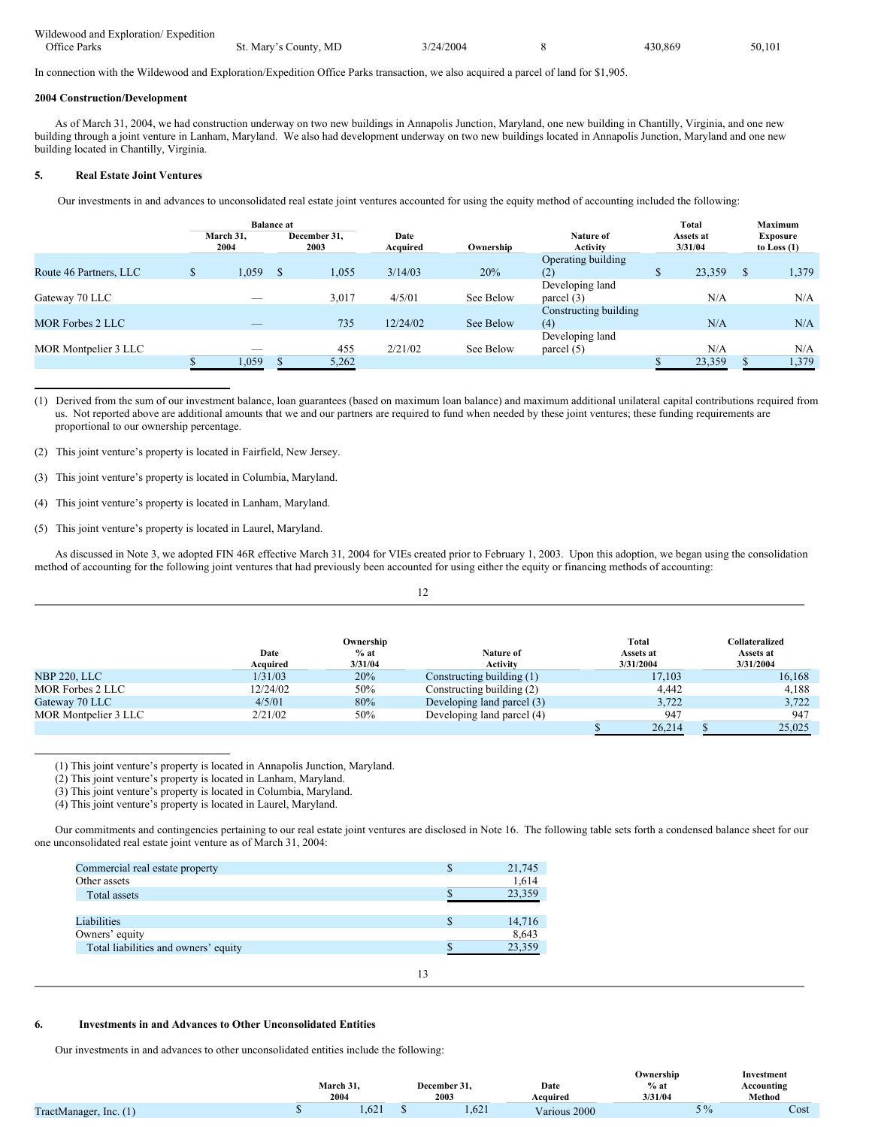| Wildewood and Exploration/Expedition |                       |                     |         |        |
|--------------------------------------|-----------------------|---------------------|---------|--------|
| <b>Office Parks</b>                  | St. Mary's County, MD | $\frac{1}{24/2004}$ | 430.869 | 50.101 |

In connection with the Wildewood and Exploration/Expedition Office Parks transaction, we also acquired a parcel of land for \$1,905.

# **2004 Construction/Development**

As of March 31, 2004, we had construction underway on two new buildings in Annapolis Junction, Maryland, one new building in Chantilly, Virginia, and one new building through a joint venture in Lanham, Maryland. We also had development underway on two new buildings located in Annapolis Junction, Maryland and one new building located in Chantilly, Virginia.

## **5. Real Estate Joint Ventures**

Our investments in and advances to unconsolidated real estate joint ventures accounted for using the equity method of accounting included the following:

|                         |                          | <b>Balance</b> at |                      |                  |           | Total                           |        |                      | <b>Maximum</b> |                           |
|-------------------------|--------------------------|-------------------|----------------------|------------------|-----------|---------------------------------|--------|----------------------|----------------|---------------------------|
|                         | March 31.<br>2004        |                   | December 31.<br>2003 | Date<br>Acquired | Ownership | Nature of<br><b>Activity</b>    |        | Assets at<br>3/31/04 |                | Exposure<br>to Loss $(1)$ |
| Route 46 Partners, LLC  | 1.059                    | -S                | 1.055                | 3/14/03          | 20%       | Operating building<br>(2)       | ጦ<br>D | 23.359               | <sup>\$</sup>  | 1,379                     |
| Gateway 70 LLC          | _                        |                   | 3,017                | 4/5/01           | See Below | Developing land<br>parcel $(3)$ |        | N/A                  |                | N/A                       |
| <b>MOR Forbes 2 LLC</b> |                          |                   | 735                  | 12/24/02         | See Below | Constructing building<br>(4)    |        | N/A                  |                | N/A                       |
| MOR Montpelier 3 LLC    | $\overline{\phantom{a}}$ |                   | 455                  | 2/21/02          | See Below | Developing land<br>parcel $(5)$ |        | N/A                  |                | N/A                       |
|                         | 1,059                    |                   | 5,262                |                  |           |                                 |        | 23,359               |                | 1,379                     |

(1) Derived from the sum of our investment balance, loan guarantees (based on maximum loan balance) and maximum additional unilateral capital contributions required from us. Not reported above are additional amounts that we and our partners are required to fund when needed by these joint ventures; these funding requirements are proportional to our ownership percentage.

(2) This joint venture's property is located in Fairfield, New Jersey.

- (3) This joint venture's property is located in Columbia, Maryland.
- (4) This joint venture's property is located in Lanham, Maryland.
- (5) This joint venture's property is located in Laurel, Maryland.

As discussed in Note 3, we adopted FIN 46R effective March 31, 2004 for VIEs created prior to February 1, 2003. Upon this adoption, we began using the consolidation method of accounting for the following joint ventures that had previously been accounted for using either the equity or financing methods of accounting:

|                      |                  | Ownership         |                             |  | Total                  | Collateralized         |
|----------------------|------------------|-------------------|-----------------------------|--|------------------------|------------------------|
|                      | Date<br>Acquired | $%$ at<br>3/31/04 | Nature of<br>Activity       |  | Assets at<br>3/31/2004 | Assets at<br>3/31/2004 |
| NBP 220, LLC         | 1/31/03          | 20%               | Constructing building $(1)$ |  | 17,103                 | 16,168                 |
| MOR Forbes 2 LLC     | 12/24/02         | 50%               | Constructing building (2)   |  | 4.442                  | 4,188                  |
| Gateway 70 LLC       | 4/5/01           | 80%               | Developing land parcel (3)  |  | 3,722                  | 3,722                  |
| MOR Montpelier 3 LLC | 2/21/02          | 50%               | Developing land parcel (4)  |  | 947                    | 947                    |
|                      |                  |                   |                             |  | 26.214                 | 25,025                 |

<sup>(1)</sup> This joint venture's property is located in Annapolis Junction, Maryland.

(2) This joint venture's property is located in Lanham, Maryland.

(3) This joint venture's property is located in Columbia, Maryland.

(4) This joint venture's property is located in Laurel, Maryland.

Our commitments and contingencies pertaining to our real estate joint ventures are disclosed in Note 16. The following table sets forth a condensed balance sheet for our one unconsolidated real estate joint venture as of March 31, 2004:

| Commercial real estate property      |    | S | 21,745 |
|--------------------------------------|----|---|--------|
| Other assets                         |    |   | 1,614  |
| Total assets                         |    |   | 23,359 |
|                                      |    |   |        |
| Liabilities                          |    | S | 14,716 |
| Owners' equity                       |    |   | 8,643  |
| Total liabilities and owners' equity |    |   | 23,359 |
|                                      |    |   |        |
|                                      | 13 |   |        |

# **6. Investments in and Advances to Other Unconsolidated Entities**

Our investments in and advances to other unconsolidated entities include the following:

|                        |           |              |      |              | Ownership |     | Investment |
|------------------------|-----------|--------------|------|--------------|-----------|-----|------------|
|                        | March 31. | December 31. |      | Date<br>.    | $%$ at    |     | Accounting |
|                        | 2004      | 2003         |      | Acauired     | 3/31/04   |     | Method     |
| TractManager, Inc. (1) | .621      |              | .621 | Various 2000 |           | 5 % | Cost       |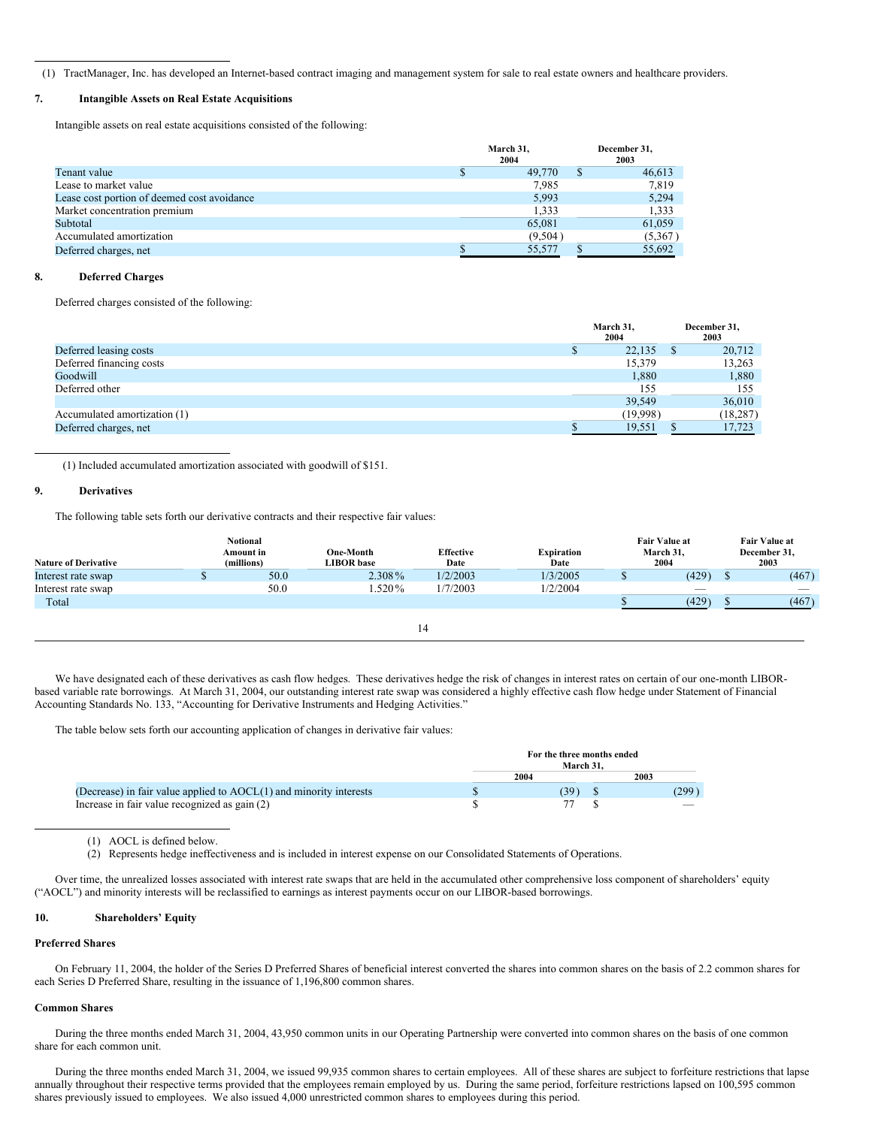# **7. Intangible Assets on Real Estate Acquisitions**

Intangible assets on real estate acquisitions consisted of the following:

|                                             | March 31.<br>2004 | December 31,<br>2003 |
|---------------------------------------------|-------------------|----------------------|
| Tenant value                                | 49,770            | 46.613               |
| Lease to market value                       | 7.985             | 7.819                |
| Lease cost portion of deemed cost avoidance | 5.993             | 5.294                |
| Market concentration premium                | 1,333             | 1,333                |
| Subtotal                                    | 65,081            | 61,059               |
| Accumulated amortization                    | (9.504)           | (5, 367)             |
| Deferred charges, net                       | 55,577            | 55,692               |

# **8. Deferred Charges**

Deferred charges consisted of the following:

|                              | March 31,<br>2004 |          |  |           |  |
|------------------------------|-------------------|----------|--|-----------|--|
| Deferred leasing costs       |                   | 22,135   |  | 20,712    |  |
| Deferred financing costs     |                   | 15.379   |  | 13,263    |  |
| Goodwill                     |                   | 1,880    |  | 1,880     |  |
| Deferred other               |                   | 155      |  | 155       |  |
|                              |                   | 39,549   |  | 36,010    |  |
| Accumulated amortization (1) |                   | (19,998) |  | (18, 287) |  |
| Deferred charges, net        |                   | 19,551   |  | 17,723    |  |

(1) Included accumulated amortization associated with goodwill of \$151.

# **9. Derivatives**

The following table sets forth our derivative contracts and their respective fair values:

| <b>Nature of Derivative</b> | Notional<br>Amount in<br>(millions) | One-Month<br><b>LIBOR</b> base | <b>Effective</b><br>Date | Expiration<br>Date | <b>Fair Value at</b><br>March 31,<br>2004 | <b>Fair Value at</b><br>December 31,<br>2003 |
|-----------------------------|-------------------------------------|--------------------------------|--------------------------|--------------------|-------------------------------------------|----------------------------------------------|
| Interest rate swap          | 50.0                                | 2.308%                         | 1/2/2003                 | 1/3/2005           | (429)                                     | (467)                                        |
| Interest rate swap          | 50.0                                | 1.520%                         | 1/7/2003                 | 1/2/2004           | __                                        |                                              |
| Total                       |                                     |                                |                          |                    | (429)                                     | (467)                                        |
|                             |                                     |                                |                          |                    |                                           |                                              |
|                             |                                     |                                | 14                       |                    |                                           |                                              |

We have designated each of these derivatives as cash flow hedges. These derivatives hedge the risk of changes in interest rates on certain of our one-month LIBORbased variable rate borrowings. At March 31, 2004, our outstanding interest rate swap was considered a highly effective cash flow hedge under Statement of Financial Accounting Standards No. 133, "Accounting for Derivative Instruments and Hedging Activities."

The table below sets forth our accounting application of changes in derivative fair values:

|                                                                      | For the three months ended<br>March 31. |        |
|----------------------------------------------------------------------|-----------------------------------------|--------|
|                                                                      | 2004                                    | 2003   |
| (Decrease) in fair value applied to $AOCL(1)$ and minority interests |                                         | (299 ) |
| Increase in fair value recognized as gain (2)                        |                                         |        |

(1) AOCL is defined below.

(2) Represents hedge ineffectiveness and is included in interest expense on our Consolidated Statements of Operations.

Over time, the unrealized losses associated with interest rate swaps that are held in the accumulated other comprehensive loss component of shareholders' equity ("AOCL") and minority interests will be reclassified to earnings as interest payments occur on our LIBOR-based borrowings.

#### **10. Shareholders' Equity**

# **Preferred Shares**

On February 11, 2004, the holder of the Series D Preferred Shares of beneficial interest converted the shares into common shares on the basis of 2.2 common shares for each Series D Preferred Share, resulting in the issuance of 1,196,800 common shares.

#### **Common Shares**

During the three months ended March 31, 2004, 43,950 common units in our Operating Partnership were converted into common shares on the basis of one common share for each common unit.

During the three months ended March 31, 2004, we issued 99,935 common shares to certain employees. All of these shares are subject to forfeiture restrictions that lapse annually throughout their respective terms provided that the employees remain employed by us. During the same period, forfeiture restrictions lapsed on 100,595 common shares previously issued to employees. We also issued 4,000 unrestricted common shares to employees during this period.

<sup>(1)</sup> TractManager, Inc. has developed an Internet-based contract imaging and management system for sale to real estate owners and healthcare providers.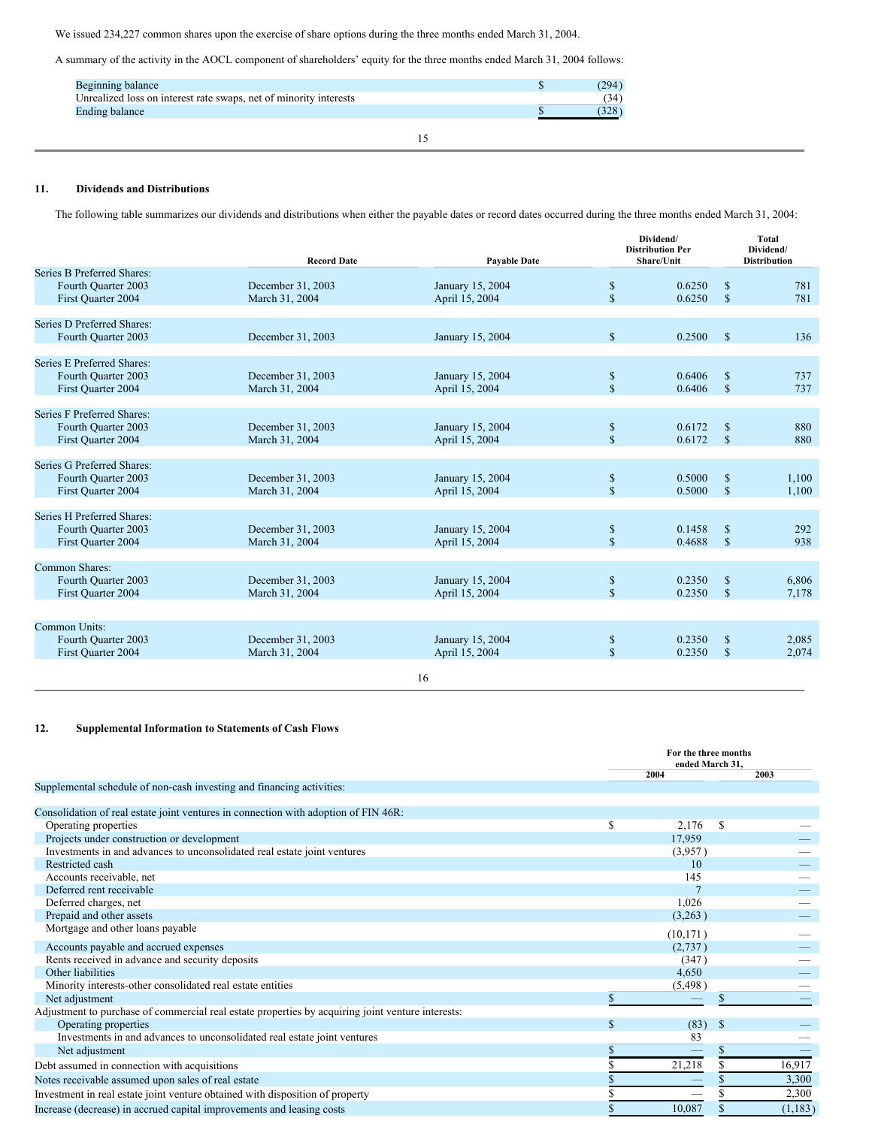We issued 234,227 common shares upon the exercise of share options during the three months ended March 31, 2004.

A summary of the activity in the AOCL component of shareholders' equity for the three months ended March 31, 2004 follows:

| Beginning balance                                                 | (294) |
|-------------------------------------------------------------------|-------|
| Unrealized loss on interest rate swaps, net of minority interests | (34   |
| Ending balance                                                    | 328   |
|                                                                   |       |
|                                                                   |       |

# **11. Dividends and Distributions**

The following table summarizes our dividends and distributions when either the payable dates or record dates occurred during the three months ended March 31, 2004:

|                                           | <b>Record Date</b>                  | <b>Payable Date</b>                |                    | Dividend/<br><b>Distribution Per</b><br>Share/Unit |                              | <b>Total</b><br>Dividend/<br><b>Distribution</b> |  |
|-------------------------------------------|-------------------------------------|------------------------------------|--------------------|----------------------------------------------------|------------------------------|--------------------------------------------------|--|
| Series B Preferred Shares:                |                                     |                                    |                    |                                                    |                              |                                                  |  |
| Fourth Quarter 2003                       | December 31, 2003                   | January 15, 2004                   | \$                 | 0.6250                                             | $\mathbb{S}$                 | 781                                              |  |
| First Ouarter 2004                        | March 31, 2004                      | April 15, 2004                     | $\mathbf{s}$       | 0.6250                                             | $\mathbf S$                  | 781                                              |  |
| Series D Preferred Shares:                |                                     |                                    |                    |                                                    |                              |                                                  |  |
| Fourth Quarter 2003                       | December 31, 2003                   | January 15, 2004                   | $\mathbb{S}$       | 0.2500                                             | $\mathbf{s}$                 | 136                                              |  |
| Series E Preferred Shares:                |                                     |                                    |                    |                                                    |                              |                                                  |  |
| Fourth Quarter 2003                       | December 31, 2003                   | January 15, 2004                   | \$                 | 0.6406                                             | $\mathbb{S}$                 | 737                                              |  |
| First Ouarter 2004                        | March 31, 2004                      | April 15, 2004                     | \$                 | 0.6406                                             | $\mathcal{S}$                | 737                                              |  |
| <b>Series F Preferred Shares:</b>         |                                     |                                    |                    |                                                    |                              |                                                  |  |
| Fourth Quarter 2003                       | December 31, 2003                   | January 15, 2004                   | \$                 | 0.6172                                             | $\mathbb{S}$                 | 880                                              |  |
| First Ouarter 2004                        | March 31, 2004                      | April 15, 2004                     | $\mathbf{s}$       | 0.6172                                             | $\mathbf S$                  | 880                                              |  |
| Series G Preferred Shares:                |                                     |                                    |                    |                                                    |                              |                                                  |  |
| Fourth Quarter 2003                       | December 31, 2003                   | January 15, 2004                   | \$                 | 0.5000                                             | $\mathbb{S}$                 | 1,100                                            |  |
| First Ouarter 2004                        | March 31, 2004                      | April 15, 2004                     | $\mathbf{s}$       | 0.5000                                             | $\mathbf S$                  | 1,100                                            |  |
| Series H Preferred Shares:                |                                     |                                    |                    |                                                    |                              |                                                  |  |
| Fourth Quarter 2003                       | December 31, 2003                   | January 15, 2004                   | \$                 | 0.1458                                             | \$                           | 292                                              |  |
| First Ouarter 2004                        | March 31, 2004                      | April 15, 2004                     | $\mathbf S$        | 0.4688                                             | $\mathbf S$                  | 938                                              |  |
| <b>Common Shares:</b>                     |                                     |                                    |                    |                                                    |                              |                                                  |  |
| Fourth Quarter 2003                       | December 31, 2003                   | January 15, 2004                   | \$                 | 0.2350                                             | $\mathbb{S}$                 | 6,806                                            |  |
| First Ouarter 2004                        | March 31, 2004                      | April 15, 2004                     | $\mathbf{s}$       | 0.2350                                             | $\mathbf{s}$                 | 7,178                                            |  |
|                                           |                                     |                                    |                    |                                                    |                              |                                                  |  |
| Common Units:                             |                                     |                                    |                    |                                                    |                              |                                                  |  |
| Fourth Quarter 2003<br>First Quarter 2004 | December 31, 2003<br>March 31, 2004 | January 15, 2004<br>April 15, 2004 | \$<br>$\mathbf{s}$ | 0.2350<br>0.2350                                   | $\mathbb{S}$<br>$\mathbb{S}$ | 2,085<br>2,074                                   |  |
|                                           |                                     | $\sim$                             |                    |                                                    |                              |                                                  |  |

16

# **12. Supplemental Information to Statements of Cash Flows**

|                                                                                                   |   | For the three months<br>ended March 31, |         |  |  |
|---------------------------------------------------------------------------------------------------|---|-----------------------------------------|---------|--|--|
|                                                                                                   |   | 2004                                    | 2003    |  |  |
| Supplemental schedule of non-cash investing and financing activities:                             |   |                                         |         |  |  |
| Consolidation of real estate joint ventures in connection with adoption of FIN 46R:               |   |                                         |         |  |  |
| Operating properties                                                                              | S | 2.176<br>S.                             |         |  |  |
| Projects under construction or development                                                        |   | 17,959                                  |         |  |  |
| Investments in and advances to unconsolidated real estate joint ventures                          |   | (3,957)                                 |         |  |  |
| Restricted cash                                                                                   |   | 10                                      |         |  |  |
| Accounts receivable, net                                                                          |   | 145                                     |         |  |  |
| Deferred rent receivable                                                                          |   |                                         |         |  |  |
| Deferred charges, net                                                                             |   | 1,026                                   |         |  |  |
| Prepaid and other assets                                                                          |   | (3,263)                                 |         |  |  |
| Mortgage and other loans payable                                                                  |   |                                         |         |  |  |
| Accounts payable and accrued expenses                                                             |   | (10, 171)                               |         |  |  |
| Rents received in advance and security deposits                                                   |   | (2,737)<br>(347)                        |         |  |  |
| Other liabilities                                                                                 |   | 4,650                                   |         |  |  |
| Minority interests-other consolidated real estate entities                                        |   | (5, 498)                                |         |  |  |
| Net adjustment                                                                                    |   |                                         |         |  |  |
| Adjustment to purchase of commercial real estate properties by acquiring joint venture interests: |   |                                         |         |  |  |
| Operating properties                                                                              | S | (83)<br>\$                              |         |  |  |
| Investments in and advances to unconsolidated real estate joint ventures                          |   | 83                                      |         |  |  |
| Net adjustment                                                                                    |   |                                         |         |  |  |
| Debt assumed in connection with acquisitions                                                      |   | 21,218                                  | 16,917  |  |  |
| Notes receivable assumed upon sales of real estate                                                |   |                                         | 3,300   |  |  |
|                                                                                                   |   |                                         |         |  |  |
| Investment in real estate joint venture obtained with disposition of property                     |   |                                         | 2,300   |  |  |
| Increase (decrease) in accrued capital improvements and leasing costs                             |   | 10,087                                  | (1,183) |  |  |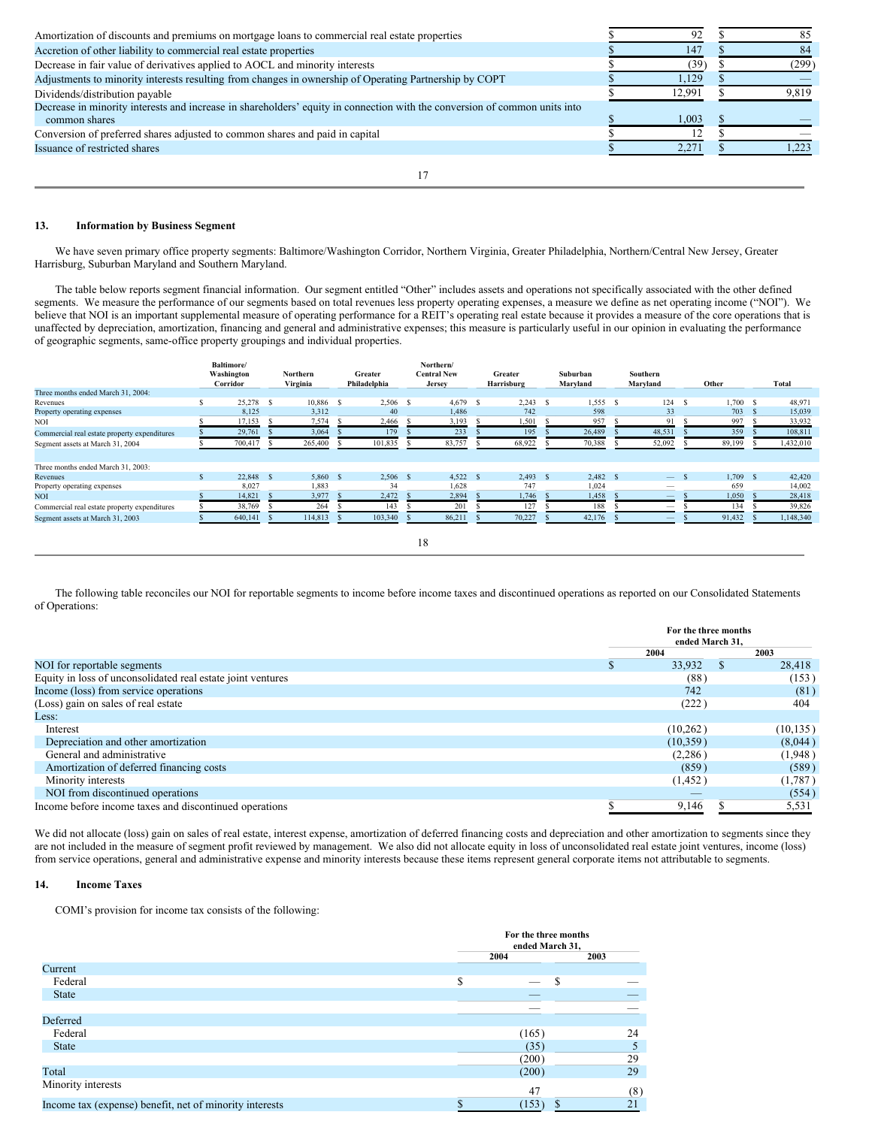| Amortization of discounts and premiums on mortgage loans to commercial real estate properties                              | 92     |       |
|----------------------------------------------------------------------------------------------------------------------------|--------|-------|
| Accretion of other liability to commercial real estate properties                                                          | 147    | 84    |
| Decrease in fair value of derivatives applied to AOCL and minority interests                                               | (39)   | (299) |
| Adjustments to minority interests resulting from changes in ownership of Operating Partnership by COPT                     | 1,129  |       |
| Dividends/distribution payable                                                                                             | 12,991 | 9,819 |
| Decrease in minority interests and increase in shareholders' equity in connection with the conversion of common units into |        |       |
| common shares                                                                                                              | 1,003  |       |
| Conversion of preferred shares adjusted to common shares and paid in capital                                               |        |       |
| Issuance of restricted shares                                                                                              | 2.271  |       |
|                                                                                                                            |        |       |
|                                                                                                                            |        |       |

17

# **13. Information by Business Segment**

We have seven primary office property segments: Baltimore/Washington Corridor, Northern Virginia, Greater Philadelphia, Northern/Central New Jersey, Greater Harrisburg, Suburban Maryland and Southern Maryland.

The table below reports segment financial information. Our segment entitled "Other" includes assets and operations not specifically associated with the other defined segments. We measure the performance of our segments based on total revenues less property operating expenses, a measure we define as net operating income ("NOI"). We believe that NOI is an important supplemental measure of operating performance for a REIT's operating real estate because it provides a measure of the core operations that is unaffected by depreciation, amortization, financing and general and administrative expenses; this measure is particularly useful in our opinion in evaluating the performance of geographic segments, same-office property groupings and individual properties.

|                                              | Baltimore/<br>Washington<br>Corridor |      | Northern<br>Virginia | Greater<br>Philadelphia | Northern/<br><b>Central New</b><br><b>Jersey</b> |      | Greater<br>Harrisburg | Suburban<br>Maryland | Southern<br>Maryland     |     | Other      | Total     |
|----------------------------------------------|--------------------------------------|------|----------------------|-------------------------|--------------------------------------------------|------|-----------------------|----------------------|--------------------------|-----|------------|-----------|
| Three months ended March 31, 2004:           |                                      |      |                      |                         |                                                  |      |                       |                      |                          |     |            |           |
| Revenues                                     | 25,278                               | - S  | 10,886 \$            | 2,506 \$                | $4,679$ \$                                       |      | $2,243$ \$            | $1,555$ \$           | 124                      | - 8 | $1,700$ \$ | 48,971    |
| Property operating expenses                  | 8,125                                |      | 3,312                | 40                      | 1,486                                            |      | 742                   | 598                  | 33                       |     | 703        | 15,039    |
| <b>NOI</b>                                   | 17,153                               |      | 7,574                | 2,466                   | 3,193                                            |      | 1,501                 | 957                  | 91                       |     | 997        | 33,932    |
| Commercial real estate property expenditures | 29,761                               |      | 3,064                | 179                     | 233                                              |      | 195                   | 26,489               | 48,531                   |     | 359        | 108,811   |
| Segment assets at March 31, 2004             | 700,417                              |      | 265,400              | 101,835                 | 83,757                                           |      | 68,922                | 70,388               | 52,092                   |     | 89,199     | 1,432,010 |
|                                              |                                      |      |                      |                         |                                                  |      |                       |                      |                          |     |            |           |
| Three months ended March 31, 2003:           |                                      |      |                      |                         |                                                  |      |                       |                      |                          |     |            |           |
| Revenues                                     | 22,848                               | - \$ | 5,860 S              | $2,506$ \$              | 4,522                                            | - \$ | 2.493 S               | $2,482$ \$           | $\overline{\phantom{a}}$ |     | $1,709$ \$ | 42,420    |
| Property operating expenses                  | 8,027                                |      | 1,883                | 34                      | 1,628                                            |      | 747                   | 1,024                | $\overline{\phantom{a}}$ |     | 659        | 14,002    |
| <b>NOI</b>                                   | 14,821                               |      | 3,977                | 2,472                   | 2,894                                            |      | 1,746                 | 1,458                |                          |     | 1,050      | 28,418    |
| Commercial real estate property expenditures | 38,769                               |      | 264                  | 143                     | 201                                              |      | 127                   | 188                  |                          |     | 134        | 39,826    |
| Segment assets at March 31, 2003             | 640,141                              |      | 114,813              | 103,340                 | 86,211                                           |      | 70,227                | 42,176               | -                        |     | 91,432     | 1,148,340 |
|                                              |                                      |      |                      |                         | 18                                               |      |                       |                      |                          |     |            |           |

The following table reconciles our NOI for reportable segments to income before income taxes and discontinued operations as reported on our Consolidated Statements of Operations:

|                                                             | ended March 31. | For the three months |
|-------------------------------------------------------------|-----------------|----------------------|
|                                                             | 2004            | 2003                 |
| NOI for reportable segments                                 | 33,932          | 28,418               |
| Equity in loss of unconsolidated real estate joint ventures | (88)            | (153)                |
| Income (loss) from service operations                       | 742             | (81)                 |
| (Loss) gain on sales of real estate                         | (222)           | 404                  |
| Less:                                                       |                 |                      |
| Interest                                                    | (10,262)        | (10, 135)            |
| Depreciation and other amortization                         | (10, 359)       | (8,044)              |
| General and administrative                                  | (2,286)         | (1,948)              |
| Amortization of deferred financing costs                    | (859)           | (589)                |
| Minority interests                                          | (1, 452)        | (1,787)              |
| NOI from discontinued operations                            |                 | (554)                |
| Income before income taxes and discontinued operations      | 9,146           | 5,531                |

We did not allocate (loss) gain on sales of real estate, interest expense, amortization of deferred financing costs and depreciation and other amortization to segments since they are not included in the measure of segment profit reviewed by management. We also did not allocate equity in loss of unconsolidated real estate joint ventures, income (loss) from service operations, general and administrative expense and minority interests because these items represent general corporate items not attributable to segments.

# **14. Income Taxes**

COMI's provision for income tax consists of the following:

|                                                         |      | For the three months<br>ended March 31, |      |  |
|---------------------------------------------------------|------|-----------------------------------------|------|--|
|                                                         | 2004 |                                         | 2003 |  |
| Current                                                 |      |                                         |      |  |
| Federal                                                 | \$   | S                                       |      |  |
| <b>State</b>                                            |      |                                         |      |  |
|                                                         |      |                                         |      |  |
| Deferred                                                |      |                                         |      |  |
| Federal                                                 |      | (165)                                   | 24   |  |
| <b>State</b>                                            |      | (35)                                    | 5    |  |
|                                                         |      | (200)                                   | 29   |  |
| Total                                                   |      | (200)                                   | 29   |  |
| Minority interests                                      |      | 47                                      | (8)  |  |
| Income tax (expense) benefit, net of minority interests |      | (153)                                   | 21   |  |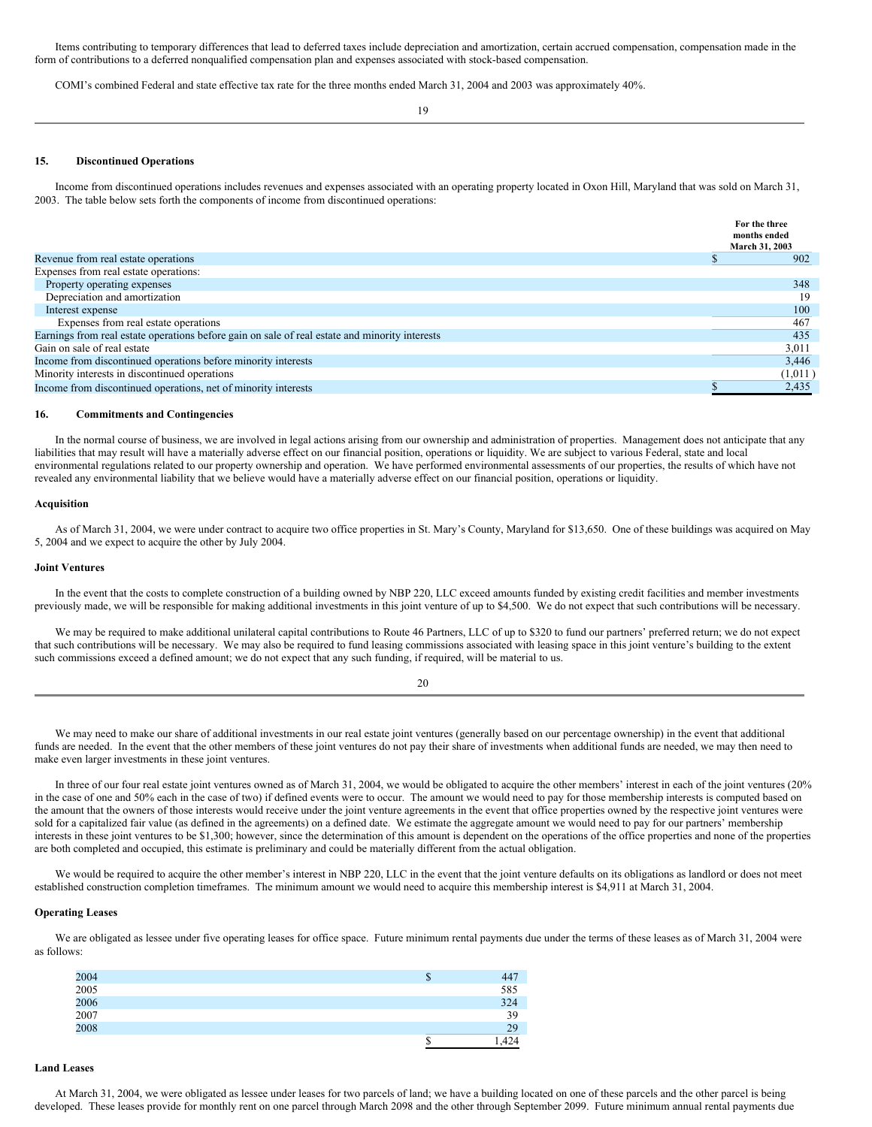Items contributing to temporary differences that lead to deferred taxes include depreciation and amortization, certain accrued compensation, compensation made in the form of contributions to a deferred nonqualified compensation plan and expenses associated with stock-based compensation.

COMI's combined Federal and state effective tax rate for the three months ended March 31, 2004 and 2003 was approximately 40%.

19

# **15. Discontinued Operations**

Income from discontinued operations includes revenues and expenses associated with an operating property located in Oxon Hill, Maryland that was sold on March 31, 2003. The table below sets forth the components of income from discontinued operations:

|                                                                                                | For the three                  |
|------------------------------------------------------------------------------------------------|--------------------------------|
|                                                                                                | months ended<br>March 31, 2003 |
| Revenue from real estate operations                                                            | 902                            |
| Expenses from real estate operations:                                                          |                                |
| Property operating expenses                                                                    | 348                            |
| Depreciation and amortization                                                                  | 19                             |
| Interest expense                                                                               | 100                            |
| Expenses from real estate operations                                                           | 467                            |
| Earnings from real estate operations before gain on sale of real estate and minority interests | 435                            |
| Gain on sale of real estate                                                                    | 3,011                          |
| Income from discontinued operations before minority interests                                  | 3,446                          |
| Minority interests in discontinued operations                                                  | (1,011)                        |
| Income from discontinued operations, net of minority interests                                 | 2,435                          |

# **16. Commitments and Contingencies**

In the normal course of business, we are involved in legal actions arising from our ownership and administration of properties. Management does not anticipate that any liabilities that may result will have a materially adverse effect on our financial position, operations or liquidity. We are subject to various Federal, state and local environmental regulations related to our property ownership and operation. We have performed environmental assessments of our properties, the results of which have not revealed any environmental liability that we believe would have a materially adverse effect on our financial position, operations or liquidity.

# **Acquisition**

As of March 31, 2004, we were under contract to acquire two office properties in St. Mary's County, Maryland for \$13,650. One of these buildings was acquired on May 5, 2004 and we expect to acquire the other by July 2004.

#### **Joint Ventures**

In the event that the costs to complete construction of a building owned by NBP 220, LLC exceed amounts funded by existing credit facilities and member investments previously made, we will be responsible for making additional investments in this joint venture of up to \$4,500. We do not expect that such contributions will be necessary.

We may be required to make additional unilateral capital contributions to Route 46 Partners, LLC of up to \$320 to fund our partners' preferred return; we do not expect that such contributions will be necessary. We may also be required to fund leasing commissions associated with leasing space in this joint venture's building to the extent such commissions exceed a defined amount; we do not expect that any such funding, if required, will be material to us.

20

We may need to make our share of additional investments in our real estate joint ventures (generally based on our percentage ownership) in the event that additional funds are needed. In the event that the other members of these joint ventures do not pay their share of investments when additional funds are needed, we may then need to make even larger investments in these joint ventures.

In three of our four real estate joint ventures owned as of March 31, 2004, we would be obligated to acquire the other members' interest in each of the joint ventures (20%) in the case of one and 50% each in the case of two) if defined events were to occur. The amount we would need to pay for those membership interests is computed based on the amount that the owners of those interests would receive under the joint venture agreements in the event that office properties owned by the respective joint ventures were sold for a capitalized fair value (as defined in the agreements) on a defined date. We estimate the aggregate amount we would need to pay for our partners' membership interests in these joint ventures to be \$1,300; however, since the determination of this amount is dependent on the operations of the office properties and none of the properties are both completed and occupied, this estimate is preliminary and could be materially different from the actual obligation.

We would be required to acquire the other member's interest in NBP 220, LLC in the event that the joint venture defaults on its obligations as landlord or does not meet established construction completion timeframes. The minimum amount we would need to acquire this membership interest is \$4,911 at March 31, 2004.

# **Operating Leases**

We are obligated as lessee under five operating leases for office space. Future minimum rental payments due under the terms of these leases as of March 31, 2004 were as follows:

|                              | Φ  | 447 |
|------------------------------|----|-----|
|                              |    | 585 |
|                              |    | 324 |
| 2004<br>2005<br>2006<br>2007 |    | 39  |
| 2008                         |    | 29  |
|                              | ٠Г | 424 |

# **Land Leases**

At March 31, 2004, we were obligated as lessee under leases for two parcels of land; we have a building located on one of these parcels and the other parcel is being developed. These leases provide for monthly rent on one parcel through March 2098 and the other through September 2099. Future minimum annual rental payments due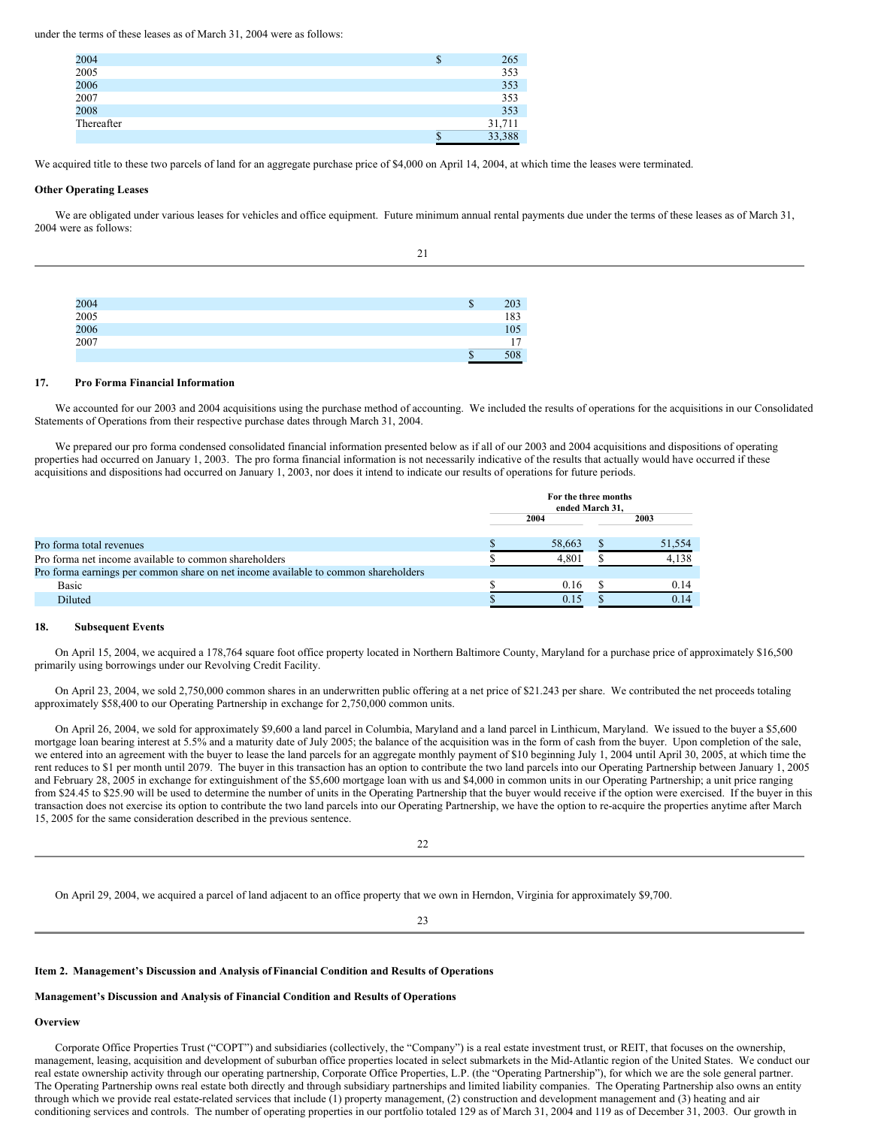under the terms of these leases as of March 31, 2004 were as follows:

| 2004       | D | 265    |
|------------|---|--------|
| 2005       |   | 353    |
| 2006       |   | 353    |
| 2007       |   | 353    |
| 2008       |   | 353    |
| Thereafter |   | 31,711 |
|            | Φ | 33,388 |

We acquired title to these two parcels of land for an aggregate purchase price of \$4,000 on April 14, 2004, at which time the leases were terminated.

### **Other Operating Leases**

We are obligated under various leases for vehicles and office equipment. Future minimum annual rental payments due under the terms of these leases as of March 31, 2004 were as follows:

21

| 2004         | P | 203 |
|--------------|---|-----|
| 2005         |   | 183 |
| 2006<br>2007 |   | 105 |
|              |   | 17  |
|              | P | 508 |

# **17. Pro Forma Financial Information**

We accounted for our 2003 and 2004 acquisitions using the purchase method of accounting. We included the results of operations for the acquisitions in our Consolidated Statements of Operations from their respective purchase dates through March 31, 2004.

We prepared our pro forma condensed consolidated financial information presented below as if all of our 2003 and 2004 acquisitions and dispositions of operating properties had occurred on January 1, 2003. The pro forma financial information is not necessarily indicative of the results that actually would have occurred if these acquisitions and dispositions had occurred on January 1, 2003, nor does it intend to indicate our results of operations for future periods.

|                                                                                    | For the three months<br>ended March 31, |        |      |        |
|------------------------------------------------------------------------------------|-----------------------------------------|--------|------|--------|
|                                                                                    | 2004                                    |        | 2003 |        |
| Pro forma total revenues                                                           |                                         | 58.663 |      | 51,554 |
| Pro forma net income available to common shareholders                              |                                         | 4.801  |      | 4.138  |
| Pro forma earnings per common share on net income available to common shareholders |                                         |        |      |        |
| Basic                                                                              |                                         | 0.16   |      | 0.14   |
| Diluted                                                                            |                                         | 0.15   |      | 0.14   |

#### **18. Subsequent Events**

On April 15, 2004, we acquired a 178,764 square foot office property located in Northern Baltimore County, Maryland for a purchase price of approximately \$16,500 primarily using borrowings under our Revolving Credit Facility.

On April 23, 2004, we sold 2,750,000 common shares in an underwritten public offering at a net price of \$21.243 per share. We contributed the net proceeds totaling approximately \$58,400 to our Operating Partnership in exchange for 2,750,000 common units.

On April 26, 2004, we sold for approximately \$9,600 a land parcel in Columbia, Maryland and a land parcel in Linthicum, Maryland. We issued to the buyer a \$5,600 mortgage loan bearing interest at 5.5% and a maturity date of July 2005; the balance of the acquisition was in the form of cash from the buyer. Upon completion of the sale, we entered into an agreement with the buyer to lease the land parcels for an aggregate monthly payment of \$10 beginning July 1, 2004 until April 30, 2005, at which time the rent reduces to \$1 per month until 2079. The buyer in this transaction has an option to contribute the two land parcels into our Operating Partnership between January 1, 2005 and February 28, 2005 in exchange for extinguishment of the \$5,600 mortgage loan with us and \$4,000 in common units in our Operating Partnership; a unit price ranging from \$24.45 to \$25.90 will be used to determine the number of units in the Operating Partnership that the buyer would receive if the option were exercised. If the buyer in this transaction does not exercise its option to contribute the two land parcels into our Operating Partnership, we have the option to re-acquire the properties anytime after March 15, 2005 for the same consideration described in the previous sentence.

|  | $\mathcal{L}$<br><u>_</u> |  |  |
|--|---------------------------|--|--|
|  |                           |  |  |
|  |                           |  |  |

On April 29, 2004, we acquired a parcel of land adjacent to an office property that we own in Herndon, Virginia for approximately \$9,700.

23

# <span id="page-12-0"></span>**Item 2. Management's Discussion and Analysis ofFinancial Condition and Results of Operations**

# **Management's Discussion and Analysis of Financial Condition and Results of Operations**

#### **Overview**

Corporate Office Properties Trust ("COPT") and subsidiaries (collectively, the "Company") is a real estate investment trust, or REIT, that focuses on the ownership, management, leasing, acquisition and development of suburban office properties located in select submarkets in the Mid-Atlantic region of the United States. We conduct our real estate ownership activity through our operating partnership, Corporate Office Properties, L.P. (the "Operating Partnership"), for which we are the sole general partner. The Operating Partnership owns real estate both directly and through subsidiary partnerships and limited liability companies. The Operating Partnership also owns an entity through which we provide real estate-related services that include (1) property management, (2) construction and development management and (3) heating and air conditioning services and controls. The number of operating properties in our portfolio totaled 129 as of March 31, 2004 and 119 as of December 31, 2003. Our growth in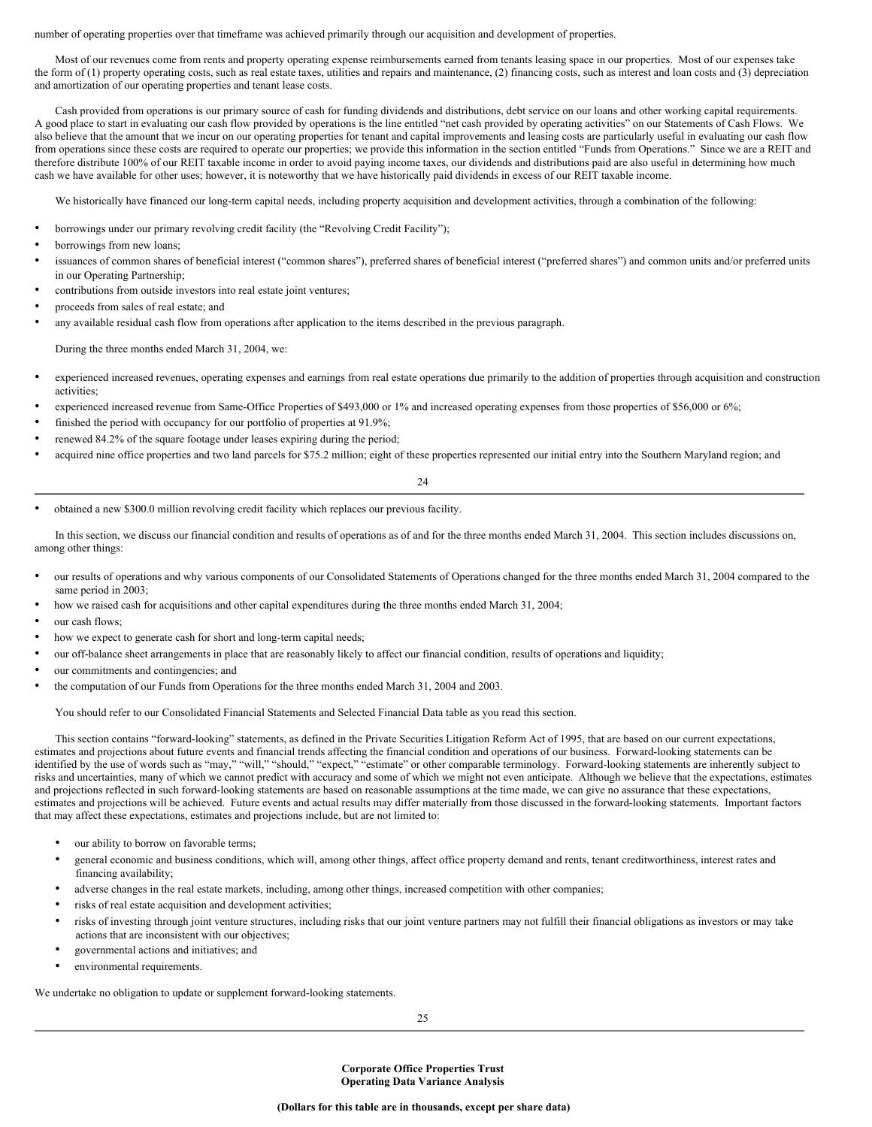number of operating properties over that timeframe was achieved primarily through our acquisition and development of properties.

Most of our revenues come from rents and property operating expense reimbursements earned from tenants leasing space in our properties. Most of our expenses take the form of (1) property operating costs, such as real estate taxes, utilities and repairs and maintenance, (2) financing costs, such as interest and loan costs and (3) depreciation and amortization of our operating properties and tenant lease costs.

Cash provided from operations is our primary source of cash for funding dividends and distributions, debt service on our loans and other working capital requirements. A good place to start in evaluating our cash flow provided by operations is the line entitled "net cash provided by operating activities" on our Statements of Cash Flows. We also believe that the amount that we incur on our operating properties for tenant and capital improvements and leasing costs are particularly useful in evaluating our cash flow from operations since these costs are required to operate our properties; we provide this information in the section entitled "Funds from Operations." Since we are a REIT and therefore distribute 100% of our REIT taxable income in order to avoid paying income taxes, our dividends and distributions paid are also useful in determining how much cash we have available for other uses; however, it is noteworthy that we have historically paid dividends in excess of our REIT taxable income.

We historically have financed our long-term capital needs, including property acquisition and development activities, through a combination of the following:

- borrowings under our primary revolving credit facility (the "Revolving Credit Facility");
- borrowings from new loans;
- issuances of common shares of beneficial interest ("common shares"), preferred shares of beneficial interest ("preferred shares") and common units and/or preferred units in our Operating Partnership;
- contributions from outside investors into real estate joint ventures;
- proceeds from sales of real estate; and
- any available residual cash flow from operations after application to the items described in the previous paragraph.

During the three months ended March 31, 2004, we:

- experienced increased revenues, operating expenses and earnings from real estate operations due primarily to the addition of properties through acquisition and construction activities;
- experienced increased revenue from Same-Office Properties of \$493,000 or 1% and increased operating expenses from those properties of \$56,000 or 6%;
- finished the period with occupancy for our portfolio of properties at 91.9%;
- renewed 84.2% of the square footage under leases expiring during the period;
- acquired nine office properties and two land parcels for \$75.2 million; eight of these properties represented our initial entry into the Southern Maryland region; and

24

• obtained a new \$300.0 million revolving credit facility which replaces our previous facility.

In this section, we discuss our financial condition and results of operations as of and for the three months ended March 31, 2004. This section includes discussions on, among other things:

- our results of operations and why various components of our Consolidated Statements of Operations changed for the three months ended March 31, 2004 compared to the same period in 2003;
- how we raised cash for acquisitions and other capital expenditures during the three months ended March 31, 2004;
- our cash flows:
- how we expect to generate cash for short and long-term capital needs;
- our off-balance sheet arrangements in place that are reasonably likely to affect our financial condition, results of operations and liquidity;
- our commitments and contingencies; and
- the computation of our Funds from Operations for the three months ended March 31, 2004 and 2003.

You should refer to our Consolidated Financial Statements and Selected Financial Data table as you read this section.

This section contains "forward-looking" statements, as defined in the Private Securities Litigation Reform Act of 1995, that are based on our current expectations, estimates and projections about future events and financial trends affecting the financial condition and operations of our business. Forward-looking statements can be identified by the use of words such as "may," "will," "should," "expect," "estimate" or other comparable terminology. Forward-looking statements are inherently subject to risks and uncertainties, many of which we cannot predict with accuracy and some of which we might not even anticipate. Although we believe that the expectations, estimates and projections reflected in such forward-looking statements are based on reasonable assumptions at the time made, we can give no assurance that these expectations, estimates and projections will be achieved. Future events and actual results may differ materially from those discussed in the forward-looking statements. Important factors that may affect these expectations, estimates and projections include, but are not limited to:

- our ability to borrow on favorable terms;
- general economic and business conditions, which will, among other things, affect office property demand and rents, tenant creditworthiness, interest rates and financing availability;
- adverse changes in the real estate markets, including, among other things, increased competition with other companies;
- risks of real estate acquisition and development activities;
- risks of investing through joint venture structures, including risks that our joint venture partners may not fulfill their financial obligations as investors or may take actions that are inconsistent with our objectives;
- governmental actions and initiatives; and
- environmental requirements.

We undertake no obligation to update or supplement forward-looking statements.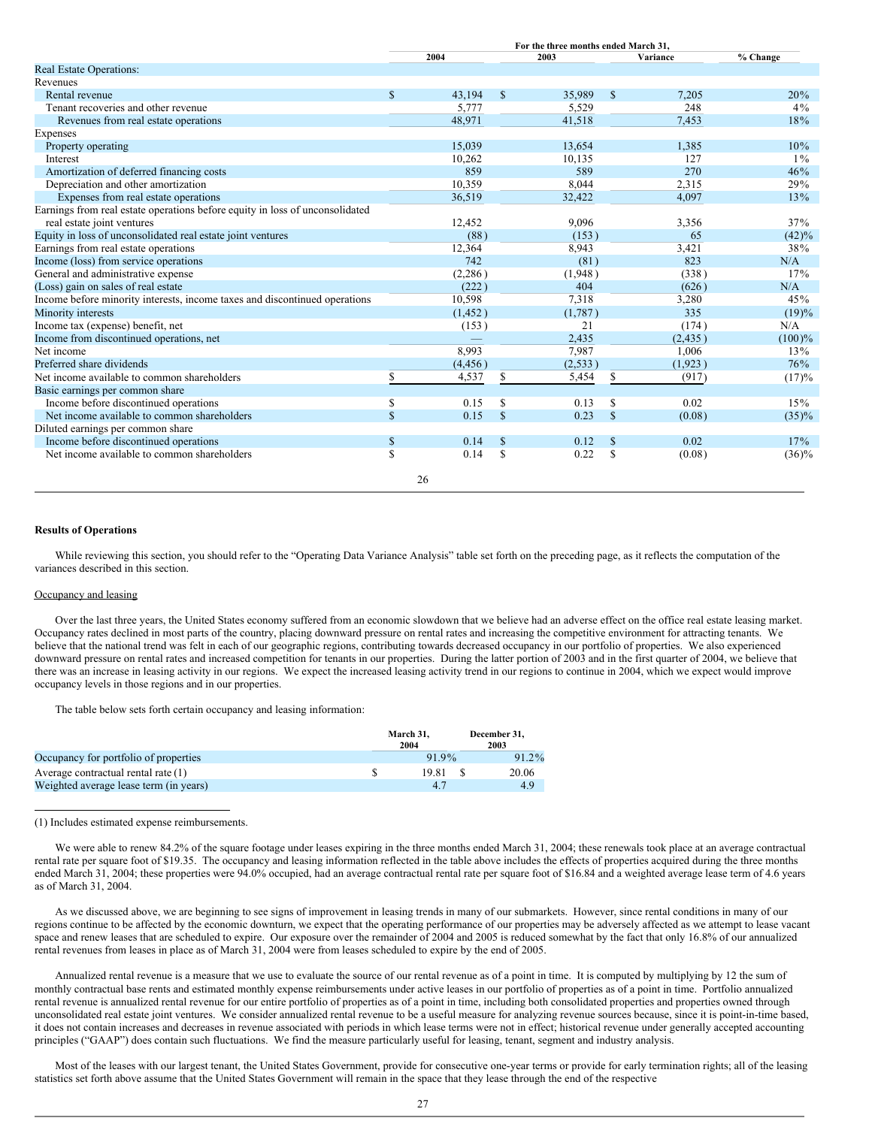|                                                                              | For the three months ended March 31, |          |               |         |              |          |          |
|------------------------------------------------------------------------------|--------------------------------------|----------|---------------|---------|--------------|----------|----------|
|                                                                              |                                      | 2004     |               | 2003    |              | Variance | % Change |
| Real Estate Operations:                                                      |                                      |          |               |         |              |          |          |
| Revenues                                                                     |                                      |          |               |         |              |          |          |
| Rental revenue                                                               | $\mathbb{S}$                         | 43,194   | $\mathbb{S}$  | 35,989  | $\mathbb{S}$ | 7,205    | 20%      |
| Tenant recoveries and other revenue                                          |                                      | 5,777    |               | 5,529   |              | 248      | $4\%$    |
| Revenues from real estate operations                                         |                                      | 48,971   |               | 41,518  |              | 7,453    | 18%      |
| Expenses                                                                     |                                      |          |               |         |              |          |          |
| Property operating                                                           |                                      | 15,039   |               | 13,654  |              | 1,385    | 10%      |
| Interest                                                                     |                                      | 10,262   |               | 10,135  |              | 127      | $1\%$    |
| Amortization of deferred financing costs                                     |                                      | 859      |               | 589     |              | 270      | 46%      |
| Depreciation and other amortization                                          |                                      | 10,359   |               | 8,044   |              | 2,315    | 29%      |
| Expenses from real estate operations                                         |                                      | 36,519   |               | 32,422  |              | 4,097    | 13%      |
| Earnings from real estate operations before equity in loss of unconsolidated |                                      |          |               |         |              |          |          |
| real estate joint ventures                                                   |                                      | 12,452   |               | 9,096   |              | 3,356    | 37%      |
| Equity in loss of unconsolidated real estate joint ventures                  |                                      | (88)     |               | (153)   |              | 65       | (42)%    |
| Earnings from real estate operations                                         |                                      | 12,364   |               | 8,943   |              | 3,421    | 38%      |
| Income (loss) from service operations                                        |                                      | 742      |               | (81)    |              | 823      | N/A      |
| General and administrative expense                                           |                                      | (2,286)  |               | (1,948) |              | (338)    | 17%      |
| (Loss) gain on sales of real estate                                          |                                      | (222)    |               | 404     |              | (626)    | N/A      |
| Income before minority interests, income taxes and discontinued operations   |                                      | 10,598   |               | 7,318   |              | 3,280    | 45%      |
| Minority interests                                                           |                                      | (1, 452) |               | (1,787) |              | 335      | (19)%    |
| Income tax (expense) benefit, net                                            |                                      | (153)    |               | 21      |              | (174)    | N/A      |
| Income from discontinued operations, net                                     |                                      |          |               | 2,435   |              | (2, 435) | (100)%   |
| Net income                                                                   |                                      | 8,993    |               | 7,987   |              | 1,006    | 13%      |
| Preferred share dividends                                                    |                                      | (4, 456) |               | (2,533) |              | (1,923)  | 76%      |
| Net income available to common shareholders                                  | \$                                   | 4,537    | S             | 5,454   | $\mathbb{S}$ | (917)    | (17)%    |
| Basic earnings per common share                                              |                                      |          |               |         |              |          |          |
| Income before discontinued operations                                        | \$                                   | 0.15     | <sup>\$</sup> | 0.13    | $\mathbb{S}$ | 0.02     | 15%      |
| Net income available to common shareholders                                  | $\mathbb{S}$                         | 0.15     | <sup>\$</sup> | 0.23    | $\mathbf S$  | (0.08)   | $(35)\%$ |
| Diluted earnings per common share                                            |                                      |          |               |         |              |          |          |
| Income before discontinued operations                                        | \$                                   | 0.14     | $\mathbb{S}$  | 0.12    | $\mathbb{S}$ | 0.02     | 17%      |
| Net income available to common shareholders                                  | \$                                   | 0.14     | <sup>\$</sup> | 0.22    | $\mathbb{S}$ | (0.08)   | $(36)\%$ |
|                                                                              |                                      | 26       |               |         |              |          |          |

# **Results of Operations**

While reviewing this section, you should refer to the "Operating Data Variance Analysis" table set forth on the preceding page, as it reflects the computation of the variances described in this section.

# Occupancy and leasing

Over the last three years, the United States economy suffered from an economic slowdown that we believe had an adverse effect on the office real estate leasing market. Occupancy rates declined in most parts of the country, placing downward pressure on rental rates and increasing the competitive environment for attracting tenants. We believe that the national trend was felt in each of our geographic regions, contributing towards decreased occupancy in our portfolio of properties. We also experienced downward pressure on rental rates and increased competition for tenants in our properties. During the latter portion of 2003 and in the first quarter of 2004, we believe that there was an increase in leasing activity in our regions. We expect the increased leasing activity trend in our regions to continue in 2004, which we expect would improve occupancy levels in those regions and in our properties.

The table below sets forth certain occupancy and leasing information:

|                                        | March 31.<br>2004 | December 31.<br>2003 |
|----------------------------------------|-------------------|----------------------|
| Occupancy for portfolio of properties  | 91.9%             | 91.2%                |
| Average contractual rental rate $(1)$  | 19.81             | 20.06                |
| Weighted average lease term (in years) | 47                | 4.9                  |

(1) Includes estimated expense reimbursements.

We were able to renew 84.2% of the square footage under leases expiring in the three months ended March 31, 2004; these renewals took place at an average contractual rental rate per square foot of \$19.35. The occupancy and leasing information reflected in the table above includes the effects of properties acquired during the three months ended March 31, 2004; these properties were 94.0% occupied, had an average contractual rental rate per square foot of \$16.84 and a weighted average lease term of 4.6 years as of March 31, 2004.

As we discussed above, we are beginning to see signs of improvement in leasing trends in many of our submarkets. However, since rental conditions in many of our regions continue to be affected by the economic downturn, we expect that the operating performance of our properties may be adversely affected as we attempt to lease vacant space and renew leases that are scheduled to expire. Our exposure over the remainder of 2004 and 2005 is reduced somewhat by the fact that only 16.8% of our annualized rental revenues from leases in place as of March 31, 2004 were from leases scheduled to expire by the end of 2005.

Annualized rental revenue is a measure that we use to evaluate the source of our rental revenue as of a point in time. It is computed by multiplying by 12 the sum of monthly contractual base rents and estimated monthly expense reimbursements under active leases in our portfolio of properties as of a point in time. Portfolio annualized rental revenue is annualized rental revenue for our entire portfolio of properties as of a point in time, including both consolidated properties and properties owned through unconsolidated real estate joint ventures. We consider annualized rental revenue to be a useful measure for analyzing revenue sources because, since it is point-in-time based, it does not contain increases and decreases in revenue associated with periods in which lease terms were not in effect; historical revenue under generally accepted accounting principles ("GAAP") does contain such fluctuations. We find the measure particularly useful for leasing, tenant, segment and industry analysis.

Most of the leases with our largest tenant, the United States Government, provide for consecutive one-year terms or provide for early termination rights; all of the leasing statistics set forth above assume that the United States Government will remain in the space that they lease through the end of the respective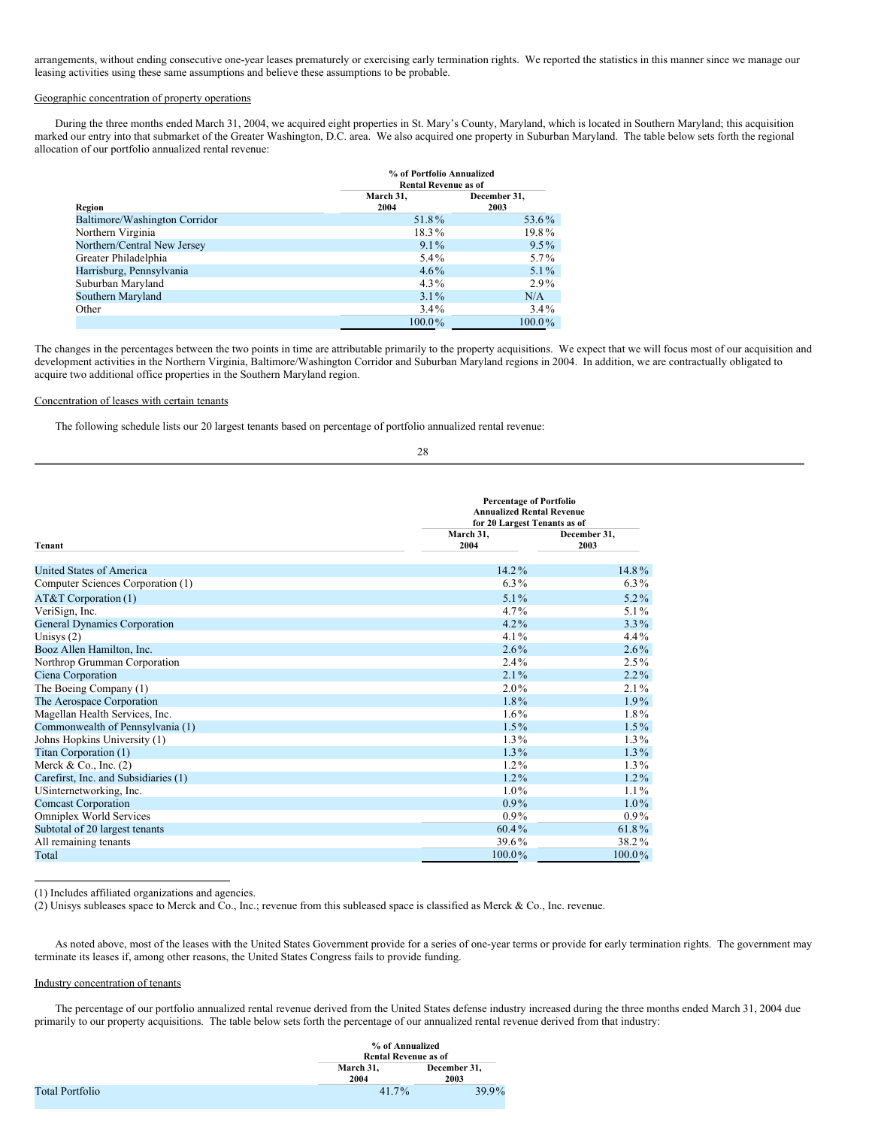arrangements, without ending consecutive one-year leases prematurely or exercising early termination rights. We reported the statistics in this manner since we manage our leasing activities using these same assumptions and believe these assumptions to be probable.

# Geographic concentration of property operations

During the three months ended March 31, 2004, we acquired eight properties in St. Mary's County, Maryland, which is located in Southern Maryland; this acquisition marked our entry into that submarket of the Greater Washington, D.C. area. We also acquired one property in Suburban Maryland. The table below sets forth the regional allocation of our portfolio annualized rental revenue:

|                               |                   | % of Portfolio Annualized<br><b>Rental Revenue as of</b> |  |  |
|-------------------------------|-------------------|----------------------------------------------------------|--|--|
| Region                        | March 31,<br>2004 | December 31,<br>2003                                     |  |  |
| Baltimore/Washington Corridor | 51.8%             | 53.6%                                                    |  |  |
| Northern Virginia             | 18.3%             | 19.8%                                                    |  |  |
| Northern/Central New Jersey   | $9.1\%$           | $9.5\%$                                                  |  |  |
| Greater Philadelphia          | $5.4\%$           | $5.7\%$                                                  |  |  |
| Harrisburg, Pennsylvania      | $4.6\%$           | $5.1\%$                                                  |  |  |
| Suburban Maryland             | $4.3\%$           | $2.9\%$                                                  |  |  |
| Southern Maryland             | $3.1\%$           | N/A                                                      |  |  |
| Other                         | $3.4\%$           | $3.4\%$                                                  |  |  |
|                               | 100.0%            | 100.0%                                                   |  |  |

The changes in the percentages between the two points in time are attributable primarily to the property acquisitions. We expect that we will focus most of our acquisition and development activities in the Northern Virginia, Baltimore/Washington Corridor and Suburban Maryland regions in 2004. In addition, we are contractually obligated to acquire two additional office properties in the Southern Maryland region.

#### Concentration of leases with certain tenants

The following schedule lists our 20 largest tenants based on percentage of portfolio annualized rental revenue:

|                                      |                   | <b>Percentage of Portfolio</b><br><b>Annualized Rental Revenue</b><br>for 20 Largest Tenants as of |  |  |  |
|--------------------------------------|-------------------|----------------------------------------------------------------------------------------------------|--|--|--|
| Tenant<br>United States of America   | March 31,<br>2004 | December 31,<br>2003                                                                               |  |  |  |
|                                      | $14.2\%$          | 14.8%                                                                                              |  |  |  |
| Computer Sciences Corporation (1)    | $6.3\%$           | $6.3\%$                                                                                            |  |  |  |
| AT&T Corporation (1)                 | $5.1\%$           | $5.2\%$                                                                                            |  |  |  |
| VeriSign, Inc.                       | $4.7\%$           | $5.1\%$                                                                                            |  |  |  |
| General Dynamics Corporation         | $4.2\%$           | $3.3\%$                                                                                            |  |  |  |
| Unisys $(2)$                         | $4.1\%$           | $4.4\%$                                                                                            |  |  |  |
| Booz Allen Hamilton, Inc.            | $2.6\%$           | $2.6\%$                                                                                            |  |  |  |
| Northrop Grumman Corporation         | $2.4\%$           | $2.5\%$                                                                                            |  |  |  |
| Ciena Corporation                    | $2.1\%$           | $2.2\%$                                                                                            |  |  |  |
| The Boeing Company (1)               | $2.0\%$           | $2.1\%$                                                                                            |  |  |  |
| The Aerospace Corporation            | 1.8%              | $1.9\%$                                                                                            |  |  |  |
| Magellan Health Services, Inc.       | $1.6\%$           | $1.8\%$                                                                                            |  |  |  |
| Commonwealth of Pennsylvania (1)     | $1.5\%$           | $1.5\%$                                                                                            |  |  |  |
| Johns Hopkins University (1)         | $1.3\%$           | $1.3\%$                                                                                            |  |  |  |
| Titan Corporation (1)                | $1.3\%$           | $1.3\%$                                                                                            |  |  |  |
| Merck & Co., Inc. $(2)$              | $1.2\%$           | $1.3\%$                                                                                            |  |  |  |
| Carefirst, Inc. and Subsidiaries (1) | $1.2\%$           | $1.2\%$                                                                                            |  |  |  |
| USinternetworking, Inc.              | $1.0\%$           | $1.1\%$                                                                                            |  |  |  |
| <b>Comcast Corporation</b>           | $0.9\%$           | $1.0\%$                                                                                            |  |  |  |
| <b>Omniplex World Services</b>       | $0.9\%$           | $0.9\%$                                                                                            |  |  |  |
| Subtotal of 20 largest tenants       | $60.4\%$          | 61.8%                                                                                              |  |  |  |
| All remaining tenants                | 39.6%             | 38.2%                                                                                              |  |  |  |
| Total                                | $100.0\%$         | $100.0\%$                                                                                          |  |  |  |

(1) Includes affiliated organizations and agencies.

(2) Unisys subleases space to Merck and Co., Inc.; revenue from this subleased space is classified as Merck & Co., Inc. revenue.

As noted above, most of the leases with the United States Government provide for a series of one-year terms or provide for early termination rights. The government may terminate its leases if, among other reasons, the United States Congress fails to provide funding.

### Industry concentration of tenants

The percentage of our portfolio annualized rental revenue derived from the United States defense industry increased during the three months ended March 31, 2004 due primarily to our property acquisitions. The table below sets forth the percentage of our annualized rental revenue derived from that industry:

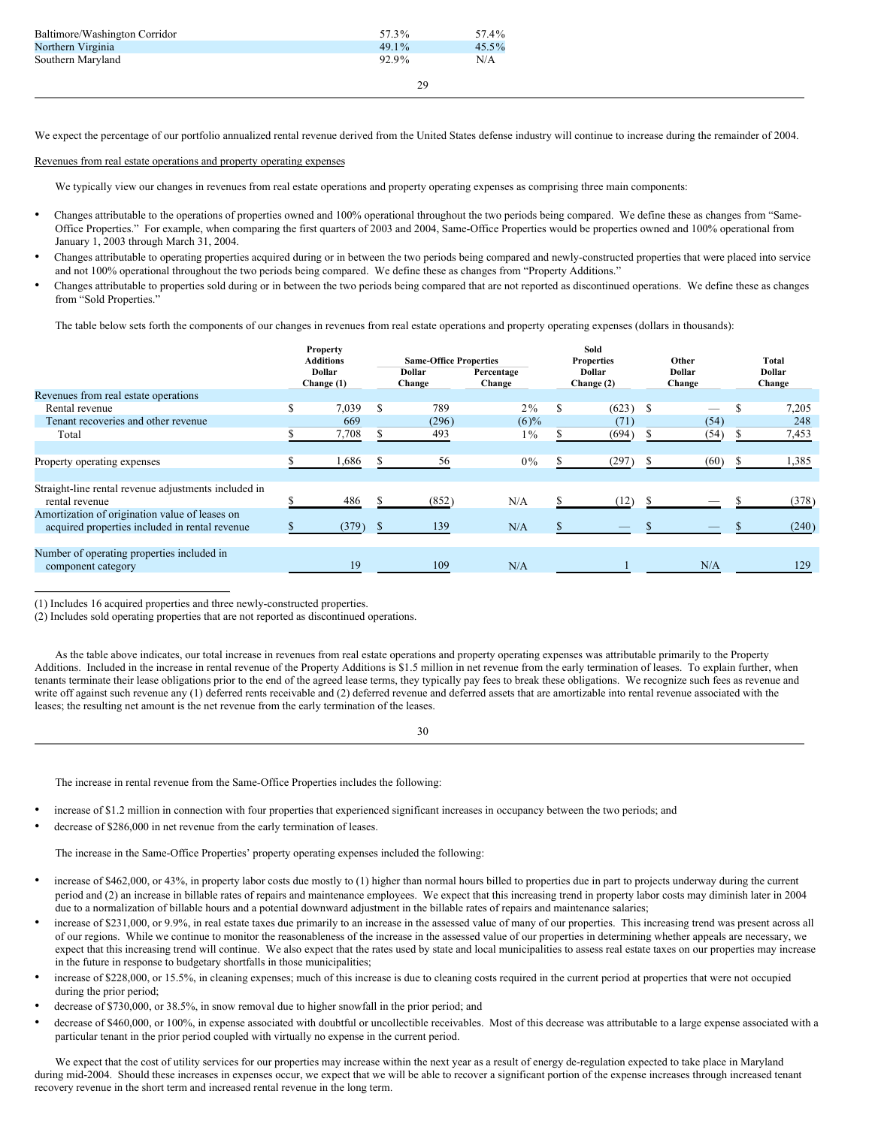| Baltimore/Washington Corridor | 57.3%    | 57.4%    |
|-------------------------------|----------|----------|
| Northern Virginia             | $49.1\%$ | $45.5\%$ |
| Southern Maryland             | 92.9%    | N/A      |
|                               | 29       |          |

We expect the percentage of our portfolio annualized rental revenue derived from the United States defense industry will continue to increase during the remainder of 2004.

# Revenues from real estate operations and property operating expenses

We typically view our changes in revenues from real estate operations and property operating expenses as comprising three main components:

- Changes attributable to the operations of properties owned and 100% operational throughout the two periods being compared. We define these as changes from "Same-Office Properties." For example, when comparing the first quarters of 2003 and 2004, Same-Office Properties would be properties owned and 100% operational from January 1, 2003 through March 31, 2004.
- Changes attributable to operating properties acquired during or in between the two periods being compared and newly-constructed properties that were placed into service and not 100% operational throughout the two periods being compared. We define these as changes from "Property Additions."
- Changes attributable to properties sold during or in between the two periods being compared that are not reported as discontinued operations. We define these as changes from "Sold Properties."

The table below sets forth the components of our changes in revenues from real estate operations and property operating expenses (dollars in thousands):

|                                                      |   | <b>Property</b><br><b>Additions</b> |    | <b>Same-Office Properties</b> |                      |     | Sold<br><b>Properties</b>   |     | Other            | Total                   |
|------------------------------------------------------|---|-------------------------------------|----|-------------------------------|----------------------|-----|-----------------------------|-----|------------------|-------------------------|
|                                                      |   | Dollar<br>Change (1)                |    | Dollar<br>Change              | Percentage<br>Change |     | <b>Dollar</b><br>Change (2) |     | Dollar<br>Change | <b>Dollar</b><br>Change |
| Revenues from real estate operations                 |   |                                     |    |                               |                      |     |                             |     |                  |                         |
| Rental revenue                                       | ъ | 7,039                               | S. | 789                           | $2\%$                | \$. | (623)                       | - S |                  | 7,205                   |
| Tenant recoveries and other revenue                  |   | 669                                 |    | (296)                         | $(6)\%$              |     | (71)                        |     | (54)             | 248                     |
| Total                                                |   | 7,708                               |    | 493                           | $1\%$                |     | (694)                       |     | (54)             | 7,453                   |
|                                                      |   |                                     |    |                               |                      |     |                             |     |                  |                         |
| Property operating expenses                          |   | 1,686                               |    | 56                            | $0\%$                |     | (297)                       |     | (60)             | 1,385                   |
|                                                      |   |                                     |    |                               |                      |     |                             |     |                  |                         |
| Straight-line rental revenue adjustments included in |   |                                     |    |                               |                      |     |                             |     |                  |                         |
| rental revenue                                       |   | 486                                 |    | (852)                         | N/A                  |     | (12)                        |     |                  | (378)                   |
| Amortization of origination value of leases on       |   |                                     |    |                               |                      |     |                             |     |                  |                         |
| acquired properties included in rental revenue       |   | (379)                               |    | 139                           | N/A                  |     |                             |     |                  | (240)                   |
|                                                      |   |                                     |    |                               |                      |     |                             |     |                  |                         |
| Number of operating properties included in           |   |                                     |    |                               |                      |     |                             |     |                  |                         |
| component category                                   |   | 19                                  |    | 109                           | N/A                  |     |                             |     | N/A              | 129                     |
|                                                      |   |                                     |    |                               |                      |     |                             |     |                  |                         |

<sup>(1)</sup> Includes 16 acquired properties and three newly-constructed properties.

As the table above indicates, our total increase in revenues from real estate operations and property operating expenses was attributable primarily to the Property Additions. Included in the increase in rental revenue of the Property Additions is \$1.5 million in net revenue from the early termination of leases. To explain further, when tenants terminate their lease obligations prior to the end of the agreed lease terms, they typically pay fees to break these obligations. We recognize such fees as revenue and write off against such revenue any (1) deferred rents receivable and (2) deferred revenue and deferred assets that are amortizable into rental revenue associated with the leases; the resulting net amount is the net revenue from the early termination of the leases.

30

The increase in rental revenue from the Same-Office Properties includes the following:

- increase of \$1.2 million in connection with four properties that experienced significant increases in occupancy between the two periods; and
- decrease of \$286,000 in net revenue from the early termination of leases.

The increase in the Same-Office Properties' property operating expenses included the following:

- increase of \$462,000, or 43%, in property labor costs due mostly to (1) higher than normal hours billed to properties due in part to projects underway during the current period and (2) an increase in billable rates of repairs and maintenance employees. We expect that this increasing trend in property labor costs may diminish later in 2004 due to a normalization of billable hours and a potential downward adjustment in the billable rates of repairs and maintenance salaries;
- increase of \$231,000, or 9.9%, in real estate taxes due primarily to an increase in the assessed value of many of our properties. This increasing trend was present across all of our regions. While we continue to monitor the reasonableness of the increase in the assessed value of our properties in determining whether appeals are necessary, we expect that this increasing trend will continue. We also expect that the rates used by state and local municipalities to assess real estate taxes on our properties may increase in the future in response to budgetary shortfalls in those municipalities;
- increase of \$228,000, or 15.5%, in cleaning expenses; much of this increase is due to cleaning costs required in the current period at properties that were not occupied during the prior period;
- decrease of \$730,000, or 38.5%, in snow removal due to higher snowfall in the prior period; and
- decrease of \$460,000, or 100%, in expense associated with doubtful or uncollectible receivables. Most of this decrease was attributable to a large expense associated with a particular tenant in the prior period coupled with virtually no expense in the current period.

We expect that the cost of utility services for our properties may increase within the next year as a result of energy de-regulation expected to take place in Maryland during mid-2004. Should these increases in expenses occur, we expect that we will be able to recover a significant portion of the expense increases through increased tenant recovery revenue in the short term and increased rental revenue in the long term.

<sup>(2)</sup> Includes sold operating properties that are not reported as discontinued operations.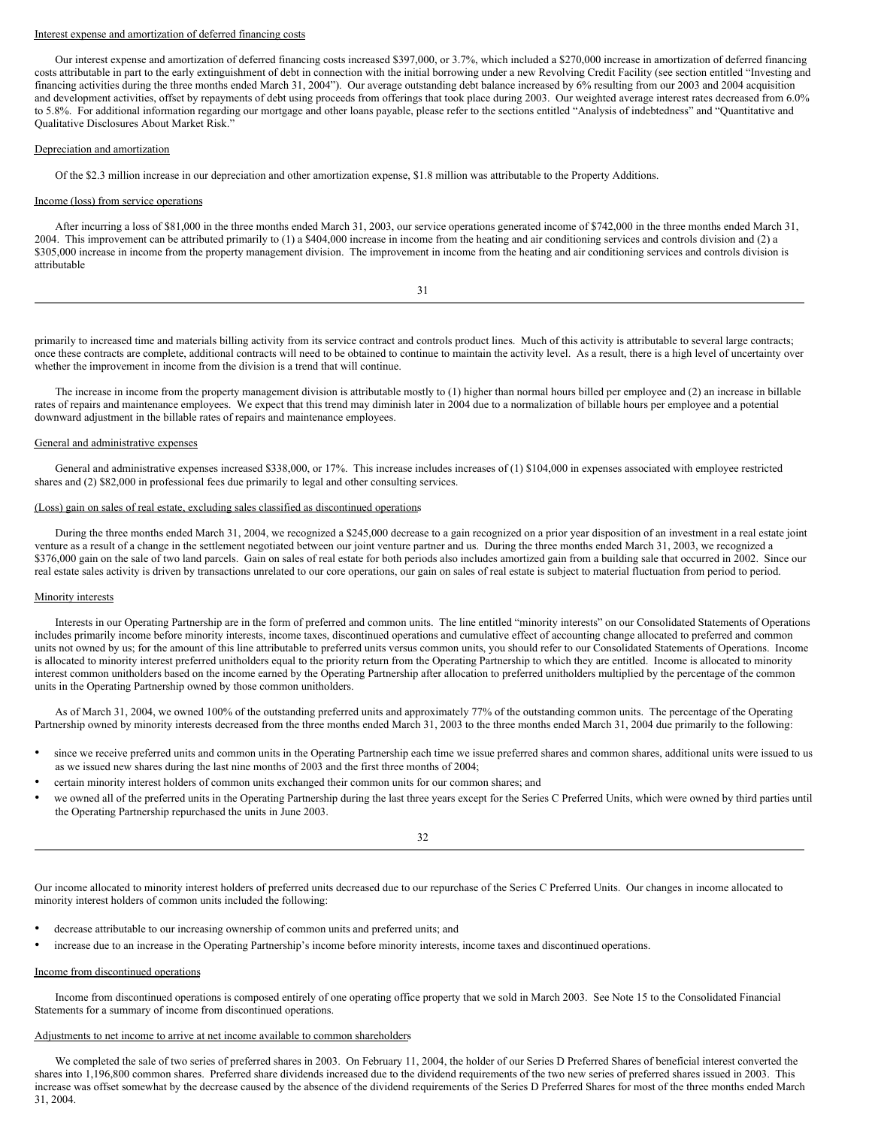# Interest expense and amortization of deferred financing costs

Our interest expense and amortization of deferred financing costs increased \$397,000, or 3.7%, which included a \$270,000 increase in amortization of deferred financing costs attributable in part to the early extinguishment of debt in connection with the initial borrowing under a new Revolving Credit Facility (see section entitled "Investing and financing activities during the three months ended March 31, 2004"). Our average outstanding debt balance increased by 6% resulting from our 2003 and 2004 acquisition and development activities, offset by repayments of debt using proceeds from offerings that took place during 2003. Our weighted average interest rates decreased from 6.0% to 5.8%. For additional information regarding our mortgage and other loans payable, please refer to the sections entitled "Analysis of indebtedness" and "Quantitative and Qualitative Disclosures About Market Risk."

## Depreciation and amortization

Of the \$2.3 million increase in our depreciation and other amortization expense, \$1.8 million was attributable to the Property Additions.

#### Income (loss) from service operations

After incurring a loss of \$81,000 in the three months ended March 31, 2003, our service operations generated income of \$742,000 in the three months ended March 31, 2004. This improvement can be attributed primarily to (1) a \$404,000 increase in income from the heating and air conditioning services and controls division and (2) a \$305,000 increase in income from the property management division. The improvement in income from the heating and air conditioning services and controls division is attributable

31

primarily to increased time and materials billing activity from its service contract and controls product lines. Much of this activity is attributable to several large contracts; once these contracts are complete, additional contracts will need to be obtained to continue to maintain the activity level. As a result, there is a high level of uncertainty over whether the improvement in income from the division is a trend that will continue.

The increase in income from the property management division is attributable mostly to (1) higher than normal hours billed per employee and (2) an increase in billable rates of repairs and maintenance employees. We expect that this trend may diminish later in 2004 due to a normalization of billable hours per employee and a potential downward adjustment in the billable rates of repairs and maintenance employees.

# General and administrative expenses

General and administrative expenses increased \$338,000, or 17%. This increase includes increases of (1) \$104,000 in expenses associated with employee restricted shares and (2) \$82,000 in professional fees due primarily to legal and other consulting services.

## (Loss) gain on sales of real estate, excluding sales classified as discontinued operations

During the three months ended March 31, 2004, we recognized a \$245,000 decrease to a gain recognized on a prior year disposition of an investment in a real estate joint venture as a result of a change in the settlement negotiated between our joint venture partner and us. During the three months ended March 31, 2003, we recognized a \$376,000 gain on the sale of two land parcels. Gain on sales of real estate for both periods also includes amortized gain from a building sale that occurred in 2002. Since our real estate sales activity is driven by transactions unrelated to our core operations, our gain on sales of real estate is subject to material fluctuation from period to period.

#### Minority interests

Interests in our Operating Partnership are in the form of preferred and common units. The line entitled "minority interests" on our Consolidated Statements of Operations includes primarily income before minority interests, income taxes, discontinued operations and cumulative effect of accounting change allocated to preferred and common units not owned by us; for the amount of this line attributable to preferred units versus common units, you should refer to our Consolidated Statements of Operations. Income is allocated to minority interest preferred unitholders equal to the priority return from the Operating Partnership to which they are entitled. Income is allocated to minority interest common unitholders based on the income earned by the Operating Partnership after allocation to preferred unitholders multiplied by the percentage of the common units in the Operating Partnership owned by those common unitholders.

As of March 31, 2004, we owned 100% of the outstanding preferred units and approximately 77% of the outstanding common units. The percentage of the Operating Partnership owned by minority interests decreased from the three months ended March 31, 2003 to the three months ended March 31, 2004 due primarily to the following:

- since we receive preferred units and common units in the Operating Partnership each time we issue preferred shares and common shares, additional units were issued to us as we issued new shares during the last nine months of 2003 and the first three months of 2004;
- certain minority interest holders of common units exchanged their common units for our common shares; and
- we owned all of the preferred units in the Operating Partnership during the last three years except for the Series C Preferred Units, which were owned by third parties until the Operating Partnership repurchased the units in June 2003.

32

Our income allocated to minority interest holders of preferred units decreased due to our repurchase of the Series C Preferred Units. Our changes in income allocated to minority interest holders of common units included the following:

- decrease attributable to our increasing ownership of common units and preferred units; and
- increase due to an increase in the Operating Partnership's income before minority interests, income taxes and discontinued operations.

# Income from discontinued operations

Income from discontinued operations is composed entirely of one operating office property that we sold in March 2003. See Note 15 to the Consolidated Financial Statements for a summary of income from discontinued operations.

#### Adjustments to net income to arrive at net income available to common shareholders

We completed the sale of two series of preferred shares in 2003. On February 11, 2004, the holder of our Series D Preferred Shares of beneficial interest converted the shares into 1,196,800 common shares. Preferred share dividends increased due to the dividend requirements of the two new series of preferred shares issued in 2003. This increase was offset somewhat by the decrease caused by the absence of the dividend requirements of the Series D Preferred Shares for most of the three months ended March 31, 2004.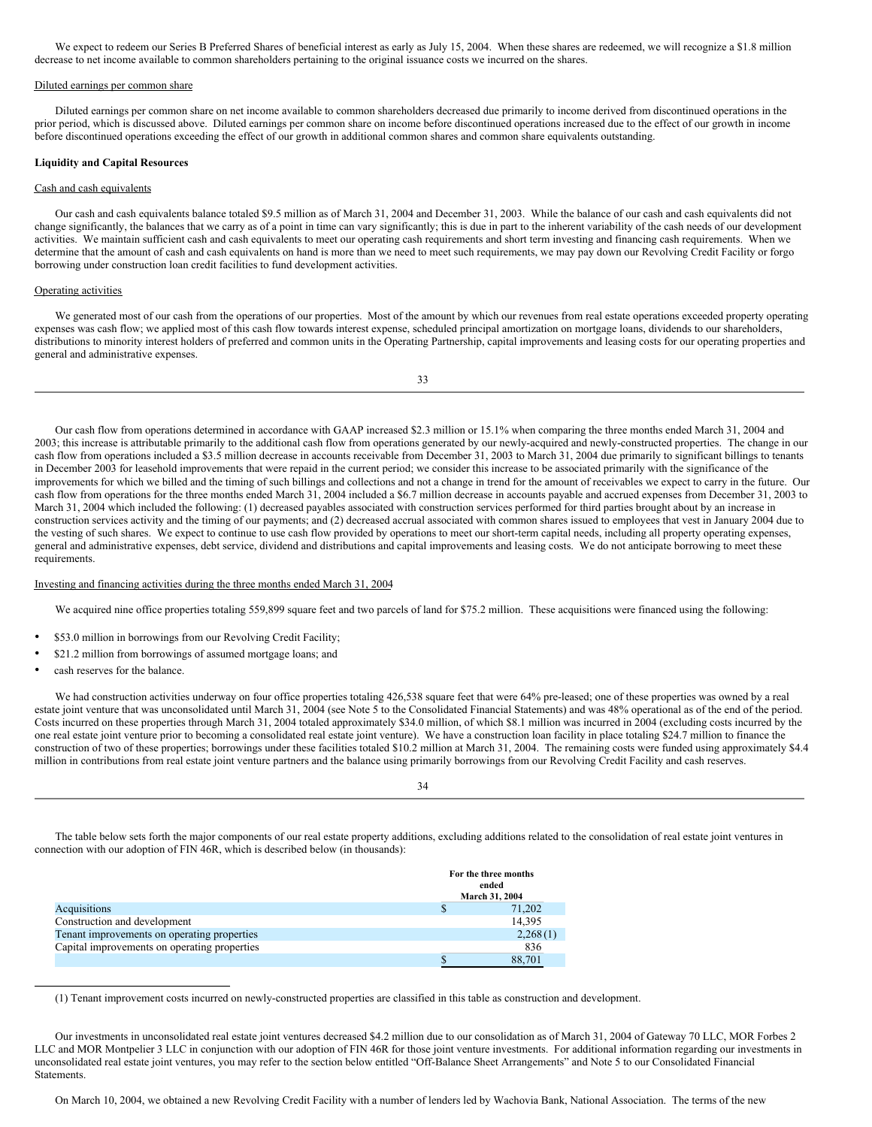We expect to redeem our Series B Preferred Shares of beneficial interest as early as July 15, 2004. When these shares are redeemed, we will recognize a \$1.8 million decrease to net income available to common shareholders pertaining to the original issuance costs we incurred on the shares.

## Diluted earnings per common share

Diluted earnings per common share on net income available to common shareholders decreased due primarily to income derived from discontinued operations in the prior period, which is discussed above. Diluted earnings per common share on income before discontinued operations increased due to the effect of our growth in income before discontinued operations exceeding the effect of our growth in additional common shares and common share equivalents outstanding.

# **Liquidity and Capital Resources**

## Cash and cash equivalents

Our cash and cash equivalents balance totaled \$9.5 million as of March 31, 2004 and December 31, 2003. While the balance of our cash and cash equivalents did not change significantly, the balances that we carry as of a point in time can vary significantly; this is due in part to the inherent variability of the cash needs of our development activities. We maintain sufficient cash and cash equivalents to meet our operating cash requirements and short term investing and financing cash requirements. When we determine that the amount of cash and cash equivalents on hand is more than we need to meet such requirements, we may pay down our Revolving Credit Facility or forgo borrowing under construction loan credit facilities to fund development activities.

#### Operating activities

We generated most of our cash from the operations of our properties. Most of the amount by which our revenues from real estate operations exceeded property operating expenses was cash flow; we applied most of this cash flow towards interest expense, scheduled principal amortization on mortgage loans, dividends to our shareholders, distributions to minority interest holders of preferred and common units in the Operating Partnership, capital improvements and leasing costs for our operating properties and general and administrative expenses.

33

Our cash flow from operations determined in accordance with GAAP increased \$2.3 million or 15.1% when comparing the three months ended March 31, 2004 and 2003; this increase is attributable primarily to the additional cash flow from operations generated by our newly-acquired and newly-constructed properties. The change in our cash flow from operations included a \$3.5 million decrease in accounts receivable from December 31, 2003 to March 31, 2004 due primarily to significant billings to tenants in December 2003 for leasehold improvements that were repaid in the current period; we consider this increase to be associated primarily with the significance of the improvements for which we billed and the timing of such billings and collections and not a change in trend for the amount of receivables we expect to carry in the future. Our cash flow from operations for the three months ended March 31, 2004 included a \$6.7 million decrease in accounts payable and accrued expenses from December 31, 2003 to March 31, 2004 which included the following: (1) decreased payables associated with construction services performed for third parties brought about by an increase in construction services activity and the timing of our payments; and (2) decreased accrual associated with common shares issued to employees that vest in January 2004 due to the vesting of such shares. We expect to continue to use cash flow provided by operations to meet our short-term capital needs, including all property operating expenses, general and administrative expenses, debt service, dividend and distributions and capital improvements and leasing costs. We do not anticipate borrowing to meet these requirements.

#### Investing and financing activities during the three months ended March 31, 2004

We acquired nine office properties totaling 559,899 square feet and two parcels of land for \$75.2 million. These acquisitions were financed using the following:

- \$53.0 million in borrowings from our Revolving Credit Facility;
- \$21.2 million from borrowings of assumed mortgage loans; and
- cash reserves for the balance.

We had construction activities underway on four office properties totaling 426,538 square feet that were 64% pre-leased; one of these properties was owned by a real estate joint venture that was unconsolidated until March 31, 2004 (see Note 5 to the Consolidated Financial Statements) and was 48% operational as of the end of the period. Costs incurred on these properties through March 31, 2004 totaled approximately \$34.0 million, of which \$8.1 million was incurred in 2004 (excluding costs incurred by the one real estate joint venture prior to becoming a consolidated real estate joint venture). We have a construction loan facility in place totaling \$24.7 million to finance the construction of two of these properties; borrowings under these facilities totaled \$10.2 million at March 31, 2004. The remaining costs were funded using approximately \$4.4 million in contributions from real estate joint venture partners and the balance using primarily borrowings from our Revolving Credit Facility and cash reserves.

| I<br>٧<br>۰,<br>I<br>$\sim$ |  |
|-----------------------------|--|
|                             |  |

The table below sets forth the major components of our real estate property additions, excluding additions related to the consolidation of real estate joint ventures in connection with our adoption of FIN 46R, which is described below (in thousands):

|                                              | For the three months<br>ended<br>March 31, 2004 |
|----------------------------------------------|-------------------------------------------------|
| Acquisitions                                 | 71.202                                          |
| Construction and development                 | 14.395                                          |
| Tenant improvements on operating properties  | 2,268(1)                                        |
| Capital improvements on operating properties | 836                                             |
|                                              | 88.701                                          |

(1) Tenant improvement costs incurred on newly-constructed properties are classified in this table as construction and development.

Our investments in unconsolidated real estate joint ventures decreased \$4.2 million due to our consolidation as of March 31, 2004 of Gateway 70 LLC, MOR Forbes 2 LLC and MOR Montpelier 3 LLC in conjunction with our adoption of FIN 46R for those joint venture investments. For additional information regarding our investments in unconsolidated real estate joint ventures, you may refer to the section below entitled "Off-Balance Sheet Arrangements" and Note 5 to our Consolidated Financial Statements.

On March 10, 2004, we obtained a new Revolving Credit Facility with a number of lenders led by Wachovia Bank, National Association. The terms of the new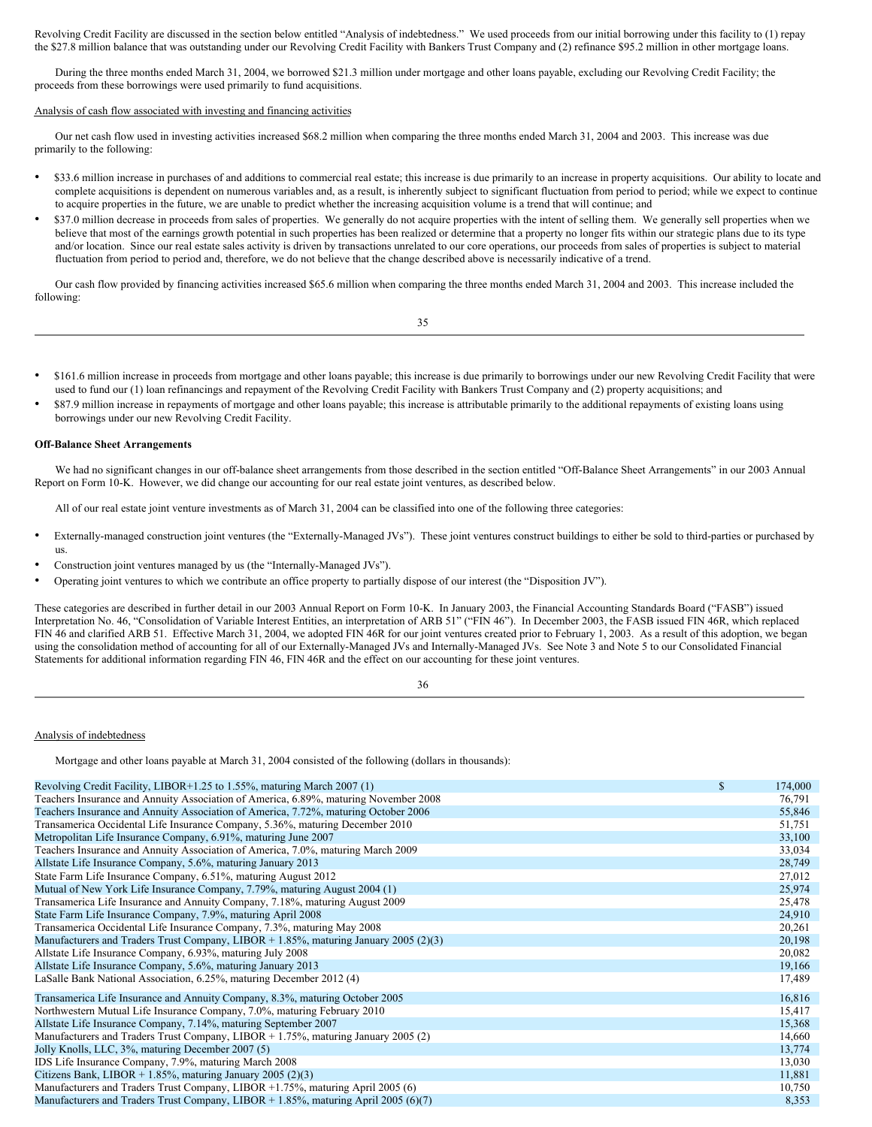Revolving Credit Facility are discussed in the section below entitled "Analysis of indebtedness." We used proceeds from our initial borrowing under this facility to (1) repay the \$27.8 million balance that was outstanding under our Revolving Credit Facility with Bankers Trust Company and (2) refinance \$95.2 million in other mortgage loans.

During the three months ended March 31, 2004, we borrowed \$21.3 million under mortgage and other loans payable, excluding our Revolving Credit Facility; the proceeds from these borrowings were used primarily to fund acquisitions.

## Analysis of cash flow associated with investing and financing activities

Our net cash flow used in investing activities increased \$68.2 million when comparing the three months ended March 31, 2004 and 2003. This increase was due primarily to the following:

- \$33.6 million increase in purchases of and additions to commercial real estate; this increase is due primarily to an increase in property acquisitions. Our ability to locate and complete acquisitions is dependent on numerous variables and, as a result, is inherently subject to significant fluctuation from period to period; while we expect to continue to acquire properties in the future, we are unable to predict whether the increasing acquisition volume is a trend that will continue; and
- \$37.0 million decrease in proceeds from sales of properties. We generally do not acquire properties with the intent of selling them. We generally sell properties when we believe that most of the earnings growth potential in such properties has been realized or determine that a property no longer fits within our strategic plans due to its type and/or location. Since our real estate sales activity is driven by transactions unrelated to our core operations, our proceeds from sales of properties is subject to material fluctuation from period to period and, therefore, we do not believe that the change described above is necessarily indicative of a trend.

Our cash flow provided by financing activities increased \$65.6 million when comparing the three months ended March 31, 2004 and 2003. This increase included the following:

35

- \$161.6 million increase in proceeds from mortgage and other loans payable; this increase is due primarily to borrowings under our new Revolving Credit Facility that were used to fund our (1) loan refinancings and repayment of the Revolving Credit Facility with Bankers Trust Company and (2) property acquisitions; and
- \$87.9 million increase in repayments of mortgage and other loans payable; this increase is attributable primarily to the additional repayments of existing loans using borrowings under our new Revolving Credit Facility.

## **Off-Balance Sheet Arrangements**

We had no significant changes in our off-balance sheet arrangements from those described in the section entitled "Off-Balance Sheet Arrangements" in our 2003 Annual Report on Form 10-K. However, we did change our accounting for our real estate joint ventures, as described below.

All of our real estate joint venture investments as of March 31, 2004 can be classified into one of the following three categories:

- Externally-managed construction joint ventures (the "Externally-Managed JVs"). These joint ventures construct buildings to either be sold to third-parties or purchased by us.
- Construction joint ventures managed by us (the "Internally-Managed JVs").
- Operating joint ventures to which we contribute an office property to partially dispose of our interest (the "Disposition JV").

These categories are described in further detail in our 2003 Annual Report on Form 10-K. In January 2003, the Financial Accounting Standards Board ("FASB") issued Interpretation No. 46, "Consolidation of Variable Interest Entities, an interpretation of ARB 51" ("FIN 46"). In December 2003, the FASB issued FIN 46R, which replaced FIN 46 and clarified ARB 51. Effective March 31, 2004, we adopted FIN 46R for our joint ventures created prior to February 1, 2003. As a result of this adoption, we began using the consolidation method of accounting for all of our Externally-Managed JVs and Internally-Managed JVs. See Note 3 and Note 5 to our Consolidated Financial Statements for additional information regarding FIN 46, FIN 46R and the effect on our accounting for these joint ventures.

36

## Analysis of indebtedness

Mortgage and other loans payable at March 31, 2004 consisted of the following (dollars in thousands):

| Revolving Credit Facility, LIBOR+1.25 to 1.55%, maturing March 2007 (1)              | $\mathbb{S}$ | 174,000 |
|--------------------------------------------------------------------------------------|--------------|---------|
| Teachers Insurance and Annuity Association of America, 6.89%, maturing November 2008 |              | 76,791  |
| Teachers Insurance and Annuity Association of America, 7.72%, maturing October 2006  |              | 55,846  |
| Transamerica Occidental Life Insurance Company, 5.36%, maturing December 2010        |              | 51,751  |
| Metropolitan Life Insurance Company, 6.91%, maturing June 2007                       |              | 33,100  |
| Teachers Insurance and Annuity Association of America, 7.0%, maturing March 2009     |              | 33,034  |
| Allstate Life Insurance Company, 5.6%, maturing January 2013                         |              | 28,749  |
| State Farm Life Insurance Company, 6.51%, maturing August 2012                       |              | 27,012  |
| Mutual of New York Life Insurance Company, 7.79%, maturing August 2004 (1)           |              | 25,974  |
| Transamerica Life Insurance and Annuity Company, 7.18%, maturing August 2009         |              | 25,478  |
| State Farm Life Insurance Company, 7.9%, maturing April 2008                         |              | 24,910  |
| Transamerica Occidental Life Insurance Company, 7.3%, maturing May 2008              |              | 20,261  |
| Manufacturers and Traders Trust Company, LIBOR + 1.85%, maturing January 2005 (2)(3) |              | 20,198  |
| Allstate Life Insurance Company, 6.93%, maturing July 2008                           |              | 20,082  |
| Allstate Life Insurance Company, 5.6%, maturing January 2013                         |              | 19,166  |
| LaSalle Bank National Association, 6.25%, maturing December 2012 (4)                 |              | 17,489  |
| Transamerica Life Insurance and Annuity Company, 8.3%, maturing October 2005         |              | 16,816  |
| Northwestern Mutual Life Insurance Company, 7.0%, maturing February 2010             |              | 15,417  |
| Allstate Life Insurance Company, 7.14%, maturing September 2007                      |              | 15,368  |
| Manufacturers and Traders Trust Company, LIBOR $+$ 1.75%, maturing January 2005 (2)  |              | 14,660  |
| Jolly Knolls, LLC, 3%, maturing December 2007 (5)                                    |              | 13,774  |
| IDS Life Insurance Company, 7.9%, maturing March 2008                                |              | 13,030  |
| Citizens Bank, LIBOR + $1.85\%$ , maturing January 2005 (2)(3)                       |              | 11,881  |
| Manufacturers and Traders Trust Company, LIBOR +1.75%, maturing April 2005 (6)       |              | 10,750  |
| Manufacturers and Traders Trust Company, LIBOR + 1.85%, maturing April 2005 (6)(7)   |              | 8,353   |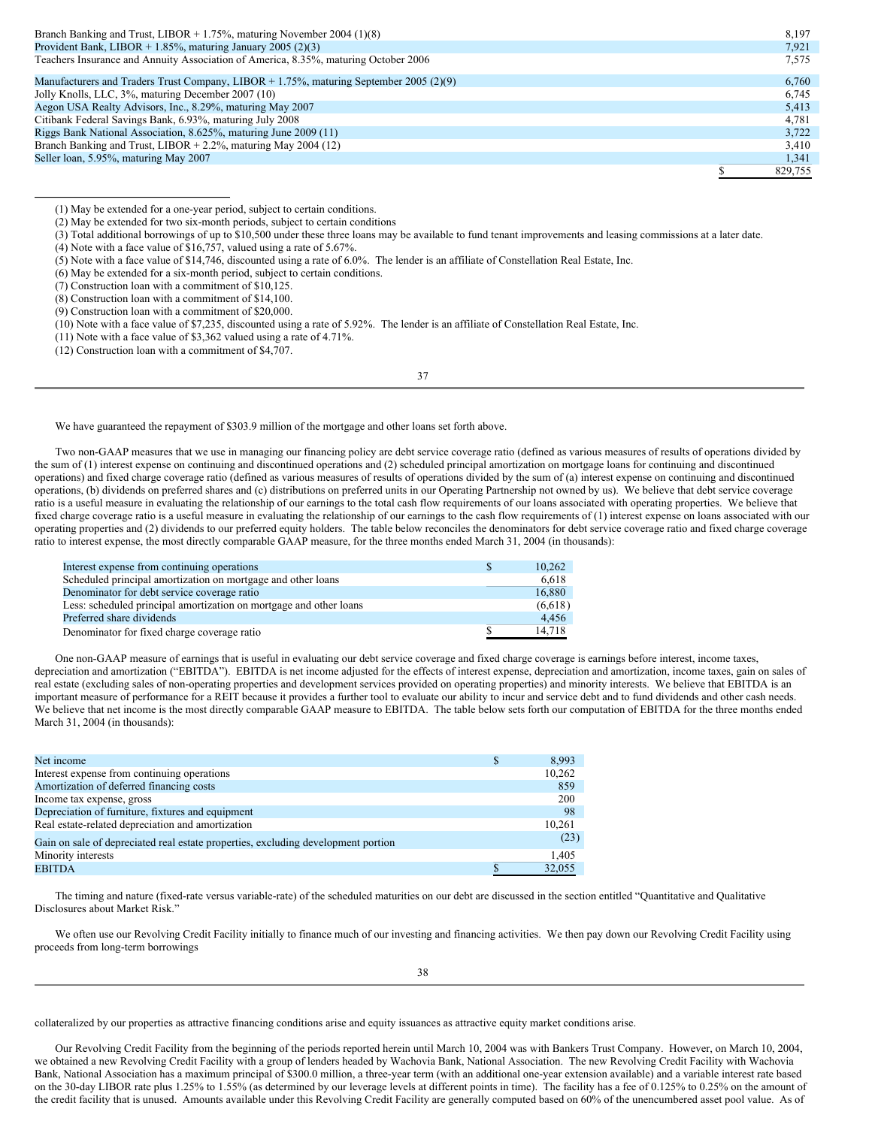| Branch Banking and Trust, LIBOR $+ 1.75\%$ , maturing November 2004 (1)(8)                 | 8,197   |
|--------------------------------------------------------------------------------------------|---------|
| Provident Bank, LIBOR + $1.85\%$ , maturing January 2005 (2)(3)                            | 7.921   |
| Teachers Insurance and Annuity Association of America, 8.35%, maturing October 2006        | 7,575   |
| Manufacturers and Traders Trust Company, LIBOR $+ 1.75\%$ , maturing September 2005 (2)(9) |         |
|                                                                                            | 6,760   |
| Jolly Knolls, LLC, 3%, maturing December 2007 (10)                                         | 6,745   |
| Aegon USA Realty Advisors, Inc., 8.29%, maturing May 2007                                  | 5,413   |
| Citibank Federal Savings Bank, 6.93%, maturing July 2008                                   | 4,781   |
| Riggs Bank National Association, 8.625%, maturing June 2009 (11)                           | 3,722   |
| Branch Banking and Trust, LIBOR $+ 2.2\%$ , maturing May 2004 (12)                         | 3,410   |
| Seller loan, 5.95%, maturing May 2007                                                      | 1,341   |
|                                                                                            | 829.755 |

<sup>(1)</sup> May be extended for a one-year period, subject to certain conditions.

- (5) Note with a face value of \$14,746, discounted using a rate of 6.0%. The lender is an affiliate of Constellation Real Estate, Inc.
- (6) May be extended for a six-month period, subject to certain conditions.
- (7) Construction loan with a commitment of \$10,125.
- (8) Construction loan with a commitment of \$14,100.
- (9) Construction loan with a commitment of \$20,000.
- (10) Note with a face value of \$7,235, discounted using a rate of 5.92%. The lender is an affiliate of Constellation Real Estate, Inc.
- (11) Note with a face value of \$3,362 valued using a rate of 4.71%.
- (12) Construction loan with a commitment of \$4,707.

37

We have guaranteed the repayment of \$303.9 million of the mortgage and other loans set forth above.

Two non-GAAP measures that we use in managing our financing policy are debt service coverage ratio (defined as various measures of results of operations divided by the sum of (1) interest expense on continuing and discontinued operations and (2) scheduled principal amortization on mortgage loans for continuing and discontinued operations) and fixed charge coverage ratio (defined as various measures of results of operations divided by the sum of (a) interest expense on continuing and discontinued operations, (b) dividends on preferred shares and (c) distributions on preferred units in our Operating Partnership not owned by us). We believe that debt service coverage ratio is a useful measure in evaluating the relationship of our earnings to the total cash flow requirements of our loans associated with operating properties. We believe that fixed charge coverage ratio is a useful measure in evaluating the relationship of our earnings to the cash flow requirements of (1) interest expense on loans associated with our operating properties and (2) dividends to our preferred equity holders. The table below reconciles the denominators for debt service coverage ratio and fixed charge coverage ratio to interest expense, the most directly comparable GAAP measure, for the three months ended March 31, 2004 (in thousands):

| Interest expense from continuing operations                        | S | 10,262  |
|--------------------------------------------------------------------|---|---------|
| Scheduled principal amortization on mortgage and other loans       |   | 6,618   |
| Denominator for debt service coverage ratio                        |   | 16,880  |
| Less: scheduled principal amortization on mortgage and other loans |   | (6,618) |
| Preferred share dividends                                          |   | 4,456   |
| Denominator for fixed charge coverage ratio                        |   | 14.718  |

One non-GAAP measure of earnings that is useful in evaluating our debt service coverage and fixed charge coverage is earnings before interest, income taxes, depreciation and amortization ("EBITDA"). EBITDA is net income adjusted for the effects of interest expense, depreciation and amortization, income taxes, gain on sales of real estate (excluding sales of non-operating properties and development services provided on operating properties) and minority interests. We believe that EBITDA is an important measure of performance for a REIT because it provides a further tool to evaluate our ability to incur and service debt and to fund dividends and other cash needs. We believe that net income is the most directly comparable GAAP measure to EBITDA. The table below sets forth our computation of EBITDA for the three months ended March 31, 2004 (in thousands):

| S | 8,993  |
|---|--------|
|   | 10.262 |
|   | 859    |
|   | 200    |
|   | 98     |
|   | 10.261 |
|   | (23)   |
|   | 1,405  |
|   | 32,055 |
|   |        |

The timing and nature (fixed-rate versus variable-rate) of the scheduled maturities on our debt are discussed in the section entitled "Quantitative and Qualitative Disclosures about Market Risk."

We often use our Revolving Credit Facility initially to finance much of our investing and financing activities. We then pay down our Revolving Credit Facility using proceeds from long-term borrowings

collateralized by our properties as attractive financing conditions arise and equity issuances as attractive equity market conditions arise.

Our Revolving Credit Facility from the beginning of the periods reported herein until March 10, 2004 was with Bankers Trust Company. However, on March 10, 2004, we obtained a new Revolving Credit Facility with a group of lenders headed by Wachovia Bank, National Association. The new Revolving Credit Facility with Wachovia Bank, National Association has a maximum principal of \$300.0 million, a three-year term (with an additional one-year extension available) and a variable interest rate based on the 30-day LIBOR rate plus 1.25% to 1.55% (as determined by our leverage levels at different points in time). The facility has a fee of 0.125% to 0.25% on the amount of the credit facility that is unused. Amounts available under this Revolving Credit Facility are generally computed based on 60% of the unencumbered asset pool value. As of

<sup>(2)</sup> May be extended for two six-month periods, subject to certain conditions

<sup>(3)</sup> Total additional borrowings of up to \$10,500 under these three loans may be available to fund tenant improvements and leasing commissions at a later date.

<sup>(4)</sup> Note with a face value of \$16,757, valued using a rate of 5.67%.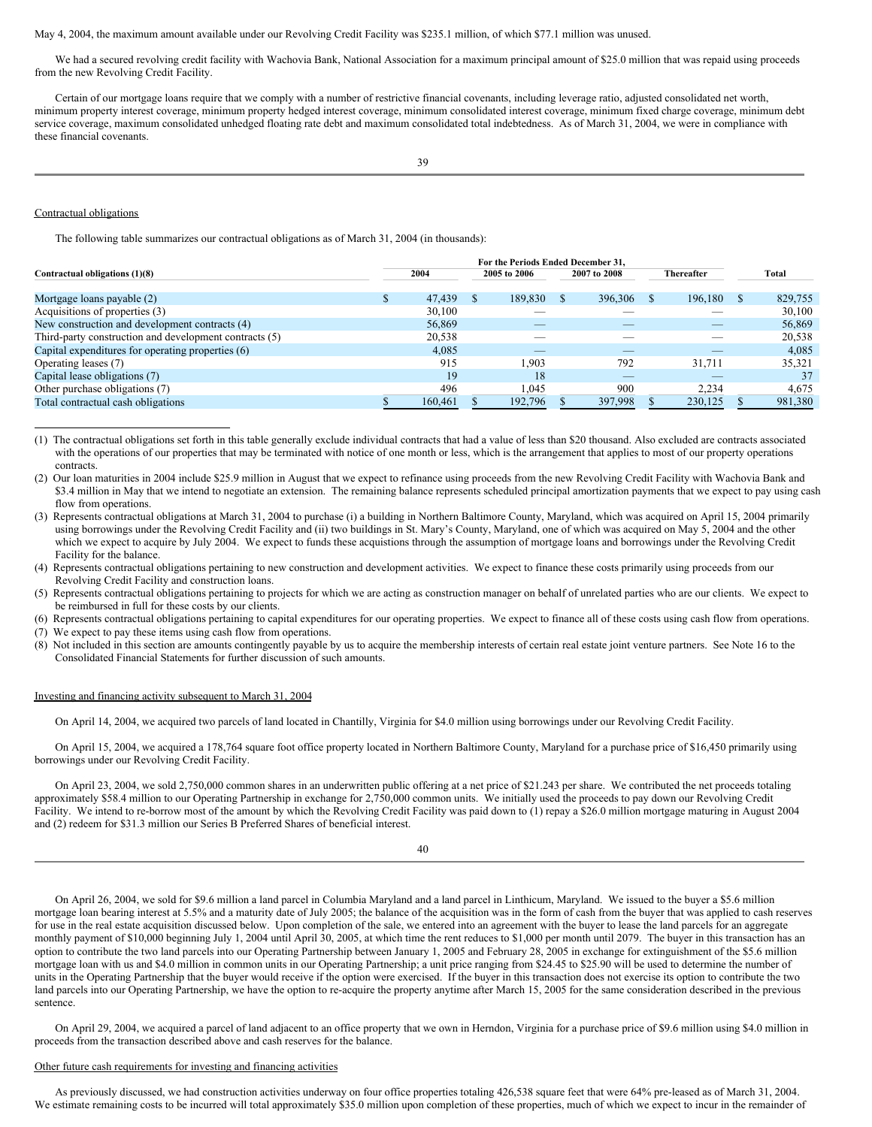#### May 4, 2004, the maximum amount available under our Revolving Credit Facility was \$235.1 million, of which \$77.1 million was unused.

We had a secured revolving credit facility with Wachovia Bank, National Association for a maximum principal amount of \$25.0 million that was repaid using proceeds from the new Revolving Credit Facility.

Certain of our mortgage loans require that we comply with a number of restrictive financial covenants, including leverage ratio, adjusted consolidated net worth, minimum property interest coverage, minimum property hedged interest coverage, minimum consolidated interest coverage, minimum fixed charge coverage, minimum debt service coverage, maximum consolidated unhedged floating rate debt and maximum consolidated total indebtedness. As of March 31, 2004, we were in compliance with these financial covenants.

# Contractual obligations

The following table summarizes our contractual obligations as of March 31, 2004 (in thousands):

|                                                        | For the Periods Ended December 31. |         |              |         |              |         |            |         |         |
|--------------------------------------------------------|------------------------------------|---------|--------------|---------|--------------|---------|------------|---------|---------|
| Contractual obligations (1)(8)                         |                                    | 2004    | 2005 to 2006 |         | 2007 to 2008 |         | Thereafter |         | Total   |
|                                                        |                                    |         |              |         |              |         |            |         |         |
| Mortgage loans payable (2)                             |                                    | 47,439  |              | 189,830 |              | 396,306 |            | 196,180 | 829,755 |
| Acquisitions of properties (3)                         |                                    | 30,100  |              |         |              |         |            |         | 30,100  |
| New construction and development contracts (4)         |                                    | 56,869  |              |         |              |         |            | _       | 56,869  |
| Third-party construction and development contracts (5) |                                    | 20,538  |              |         |              |         |            |         | 20,538  |
| Capital expenditures for operating properties (6)      |                                    | 4,085   |              |         |              |         |            |         | 4,085   |
| Operating leases (7)                                   |                                    | 915     |              | 1.903   |              | 792     |            | 31.711  | 35,321  |
| Capital lease obligations (7)                          |                                    | 19      |              | 18      |              |         |            |         | 37      |
| Other purchase obligations (7)                         |                                    | 496     |              | 1,045   |              | 900     |            | 2,234   | 4,675   |
| Total contractual cash obligations                     |                                    | 160,461 |              | 192.796 |              | 397,998 |            | 230.125 | 981,380 |

<sup>(1)</sup> The contractual obligations set forth in this table generally exclude individual contracts that had a value of less than \$20 thousand. Also excluded are contracts associated with the operations of our properties that may be terminated with notice of one month or less, which is the arrangement that applies to most of our property operations contracts.

| (2) Our loan maturities in 2004 include \$25.9 million in August that we expect to refinance using proceeds from the new Revolving Credit Facility with Wachovia Bank and  |
|----------------------------------------------------------------------------------------------------------------------------------------------------------------------------|
| \$3.4 million in May that we intend to negotiate an extension. The remaining balance represents scheduled principal amortization payments that we expect to pay using cash |
| flow from operations.                                                                                                                                                      |

| (3) Represents contractual obligations at March 31, 2004 to purchase (i) a building in Northern Baltimore County, Maryland, which was acquired on April 15, 2004 primarily |
|----------------------------------------------------------------------------------------------------------------------------------------------------------------------------|
| using borrowings under the Revolving Credit Facility and (ii) two buildings in St. Mary's County, Maryland, one of which was acquired on May 5, 2004 and the other         |
| which we expect to acquire by July 2004. We expect to funds these acquistions through the assumption of mortgage loans and borrowings under the Revolving Credit           |
| Facility for the balance.                                                                                                                                                  |

(4) Represents contractual obligations pertaining to new construction and development activities. We expect to finance these costs primarily using proceeds from our Revolving Credit Facility and construction loans.

(5) Represents contractual obligations pertaining to projects for which we are acting as construction manager on behalf of unrelated parties who are our clients. We expect to be reimbursed in full for these costs by our clients.

(6) Represents contractual obligations pertaining to capital expenditures for our operating properties. We expect to finance all of these costs using cash flow from operations.

(7) We expect to pay these items using cash flow from operations.

(8) Not included in this section are amounts contingently payable by us to acquire the membership interests of certain real estate joint venture partners. See Note 16 to the Consolidated Financial Statements for further discussion of such amounts.

#### Investing and financing activity subsequent to March 31, 2004

On April 14, 2004, we acquired two parcels of land located in Chantilly, Virginia for \$4.0 million using borrowings under our Revolving Credit Facility.

On April 15, 2004, we acquired a 178,764 square foot office property located in Northern Baltimore County, Maryland for a purchase price of \$16,450 primarily using borrowings under our Revolving Credit Facility.

On April 23, 2004, we sold 2,750,000 common shares in an underwritten public offering at a net price of \$21.243 per share. We contributed the net proceeds totaling approximately \$58.4 million to our Operating Partnership in exchange for 2,750,000 common units. We initially used the proceeds to pay down our Revolving Credit Facility. We intend to re-borrow most of the amount by which the Revolving Credit Facility was paid down to (1) repay a \$26.0 million mortgage maturing in August 2004 and (2) redeem for \$31.3 million our Series B Preferred Shares of beneficial interest.

40

On April 26, 2004, we sold for \$9.6 million a land parcel in Columbia Maryland and a land parcel in Linthicum, Maryland. We issued to the buyer a \$5.6 million mortgage loan bearing interest at 5.5% and a maturity date of July 2005; the balance of the acquisition was in the form of cash from the buyer that was applied to cash reserves for use in the real estate acquisition discussed below. Upon completion of the sale, we entered into an agreement with the buyer to lease the land parcels for an aggregate monthly payment of \$10,000 beginning July 1, 2004 until April 30, 2005, at which time the rent reduces to \$1,000 per month until 2079. The buyer in this transaction has an option to contribute the two land parcels into our Operating Partnership between January 1, 2005 and February 28, 2005 in exchange for extinguishment of the \$5.6 million mortgage loan with us and \$4.0 million in common units in our Operating Partnership; a unit price ranging from \$24.45 to \$25.90 will be used to determine the number of units in the Operating Partnership that the buyer would receive if the option were exercised. If the buyer in this transaction does not exercise its option to contribute the two land parcels into our Operating Partnership, we have the option to re-acquire the property anytime after March 15, 2005 for the same consideration described in the previous sentence.

On April 29, 2004, we acquired a parcel of land adjacent to an office property that we own in Herndon, Virginia for a purchase price of \$9.6 million using \$4.0 million in proceeds from the transaction described above and cash reserves for the balance.

#### Other future cash requirements for investing and financing activities

As previously discussed, we had construction activities underway on four office properties totaling 426,538 square feet that were 64% pre-leased as of March 31, 2004. We estimate remaining costs to be incurred will total approximately \$35.0 million upon completion of these properties, much of which we expect to incur in the remainder of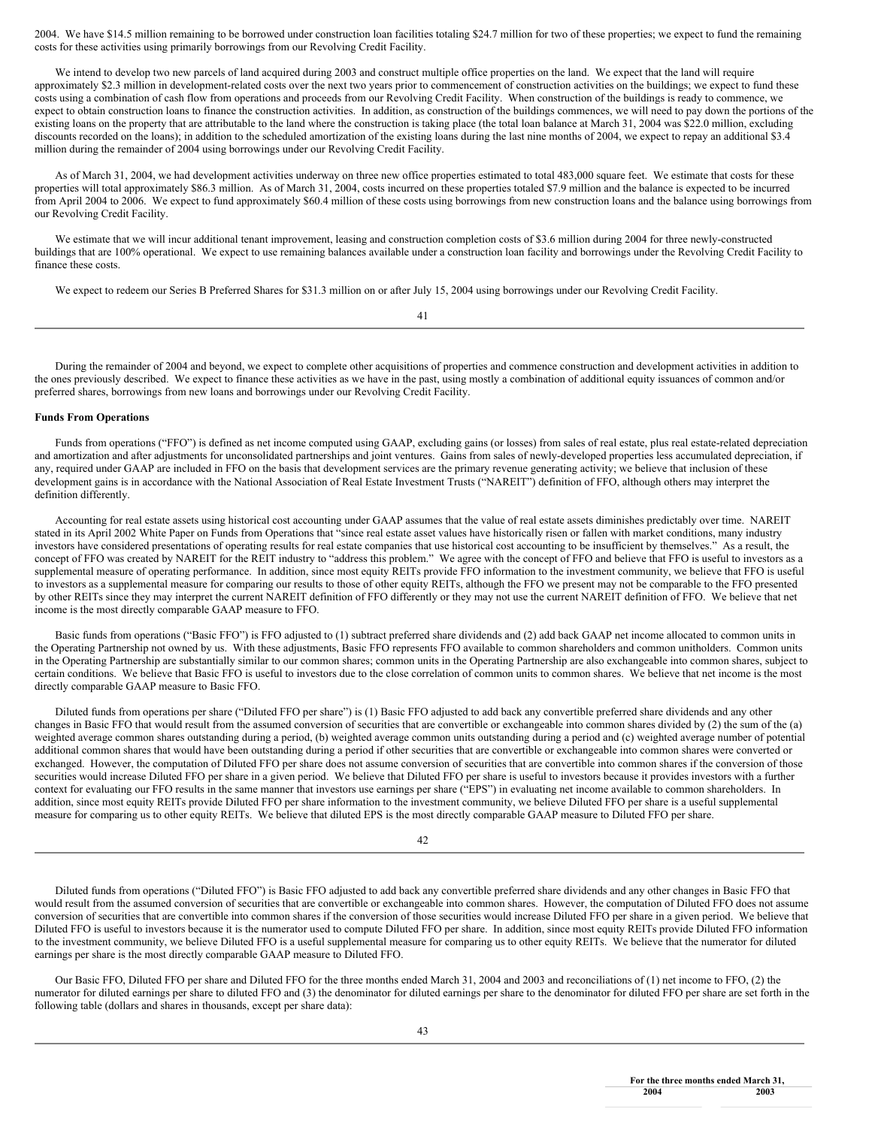2004. We have \$14.5 million remaining to be borrowed under construction loan facilities totaling \$24.7 million for two of these properties; we expect to fund the remaining costs for these activities using primarily borrowings from our Revolving Credit Facility.

We intend to develop two new parcels of land acquired during 2003 and construct multiple office properties on the land. We expect that the land will require approximately \$2.3 million in development-related costs over the next two years prior to commencement of construction activities on the buildings; we expect to fund these costs using a combination of cash flow from operations and proceeds from our Revolving Credit Facility. When construction of the buildings is ready to commence, we expect to obtain construction loans to finance the construction activities. In addition, as construction of the buildings commences, we will need to pay down the portions of the existing loans on the property that are attributable to the land where the construction is taking place (the total loan balance at March 31, 2004 was \$22.0 million, excluding discounts recorded on the loans); in addition to the scheduled amortization of the existing loans during the last nine months of 2004, we expect to repay an additional \$3.4 million during the remainder of 2004 using borrowings under our Revolving Credit Facility.

As of March 31, 2004, we had development activities underway on three new office properties estimated to total 483,000 square feet. We estimate that costs for these properties will total approximately \$86.3 million. As of March 31, 2004, costs incurred on these properties totaled \$7.9 million and the balance is expected to be incurred from April 2004 to 2006. We expect to fund approximately \$60.4 million of these costs using borrowings from new construction loans and the balance using borrowings from our Revolving Credit Facility.

We estimate that we will incur additional tenant improvement, leasing and construction completion costs of \$3.6 million during 2004 for three newly-constructed buildings that are 100% operational. We expect to use remaining balances available under a construction loan facility and borrowings under the Revolving Credit Facility to finance these costs.

We expect to redeem our Series B Preferred Shares for \$31.3 million on or after July 15, 2004 using borrowings under our Revolving Credit Facility.

During the remainder of 2004 and beyond, we expect to complete other acquisitions of properties and commence construction and development activities in addition to the ones previously described. We expect to finance these activities as we have in the past, using mostly a combination of additional equity issuances of common and/or preferred shares, borrowings from new loans and borrowings under our Revolving Credit Facility.

#### **Funds From Operations**

Funds from operations ("FFO") is defined as net income computed using GAAP, excluding gains (or losses) from sales of real estate, plus real estate-related depreciation and amortization and after adjustments for unconsolidated partnerships and joint ventures. Gains from sales of newly-developed properties less accumulated depreciation, if any, required under GAAP are included in FFO on the basis that development services are the primary revenue generating activity; we believe that inclusion of these development gains is in accordance with the National Association of Real Estate Investment Trusts ("NAREIT") definition of FFO, although others may interpret the definition differently.

Accounting for real estate assets using historical cost accounting under GAAP assumes that the value of real estate assets diminishes predictably over time. NAREIT stated in its April 2002 White Paper on Funds from Operations that "since real estate asset values have historically risen or fallen with market conditions, many industry investors have considered presentations of operating results for real estate companies that use historical cost accounting to be insufficient by themselves." As a result, the concept of FFO was created by NAREIT for the REIT industry to "address this problem." We agree with the concept of FFO and believe that FFO is useful to investors as a supplemental measure of operating performance. In addition, since most equity REITs provide FFO information to the investment community, we believe that FFO is useful to investors as a supplemental measure for comparing our results to those of other equity REITs, although the FFO we present may not be comparable to the FFO presented by other REITs since they may interpret the current NAREIT definition of FFO differently or they may not use the current NAREIT definition of FFO. We believe that net income is the most directly comparable GAAP measure to FFO.

Basic funds from operations ("Basic FFO") is FFO adjusted to (1) subtract preferred share dividends and (2) add back GAAP net income allocated to common units in the Operating Partnership not owned by us. With these adjustments, Basic FFO represents FFO available to common shareholders and common unitholders. Common units in the Operating Partnership are substantially similar to our common shares; common units in the Operating Partnership are also exchangeable into common shares, subject to certain conditions. We believe that Basic FFO is useful to investors due to the close correlation of common units to common shares. We believe that net income is the most directly comparable GAAP measure to Basic FFO.

Diluted funds from operations per share ("Diluted FFO per share") is (1) Basic FFO adjusted to add back any convertible preferred share dividends and any other changes in Basic FFO that would result from the assumed conversion of securities that are convertible or exchangeable into common shares divided by (2) the sum of the (a) weighted average common shares outstanding during a period, (b) weighted average common units outstanding during a period and (c) weighted average number of potential additional common shares that would have been outstanding during a period if other securities that are convertible or exchangeable into common shares were converted or exchanged. However, the computation of Diluted FFO per share does not assume conversion of securities that are convertible into common shares if the conversion of those securities would increase Diluted FFO per share in a given period. We believe that Diluted FFO per share is useful to investors because it provides investors with a further context for evaluating our FFO results in the same manner that investors use earnings per share ("EPS") in evaluating net income available to common shareholders. In addition, since most equity REITs provide Diluted FFO per share information to the investment community, we believe Diluted FFO per share is a useful supplemental measure for comparing us to other equity REITs. We believe that diluted EPS is the most directly comparable GAAP measure to Diluted FFO per share.

42

Diluted funds from operations ("Diluted FFO") is Basic FFO adjusted to add back any convertible preferred share dividends and any other changes in Basic FFO that would result from the assumed conversion of securities that are convertible or exchangeable into common shares. However, the computation of Diluted FFO does not assume conversion of securities that are convertible into common shares if the conversion of those securities would increase Diluted FFO per share in a given period. We believe that Diluted FFO is useful to investors because it is the numerator used to compute Diluted FFO per share. In addition, since most equity REITs provide Diluted FFO information to the investment community, we believe Diluted FFO is a useful supplemental measure for comparing us to other equity REITs. We believe that the numerator for diluted earnings per share is the most directly comparable GAAP measure to Diluted FFO.

Our Basic FFO, Diluted FFO per share and Diluted FFO for the three months ended March 31, 2004 and 2003 and reconciliations of (1) net income to FFO, (2) the numerator for diluted earnings per share to diluted FFO and (3) the denominator for diluted earnings per share to the denominator for diluted FFO per share are set forth in the following table (dollars and shares in thousands, except per share data):

**For the three months ended March 31, 2004 2003**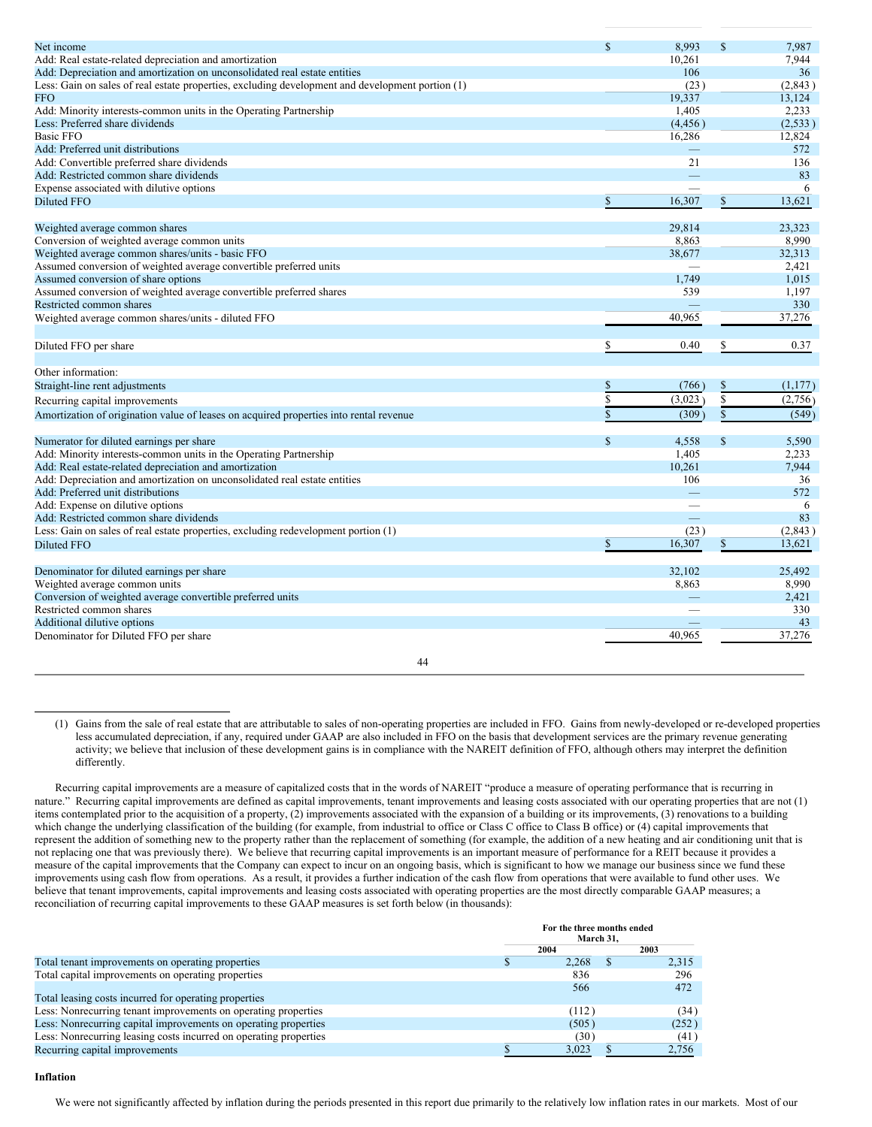| Net income                                                                                       | $\mathbf S$   | 8,993                    | $\mathbf S$   | 7,987   |
|--------------------------------------------------------------------------------------------------|---------------|--------------------------|---------------|---------|
| Add: Real estate-related depreciation and amortization                                           |               | 10,261                   |               | 7,944   |
| Add: Depreciation and amortization on unconsolidated real estate entities                        |               | 106                      |               | 36      |
| Less: Gain on sales of real estate properties, excluding development and development portion (1) |               | (23)                     |               | (2,843) |
| <b>FFO</b>                                                                                       |               | 19.337                   |               | 13.124  |
| Add: Minority interests-common units in the Operating Partnership                                |               | 1,405                    |               | 2,233   |
| Less: Preferred share dividends                                                                  |               | (4, 456)                 |               | (2,533) |
| <b>Basic FFO</b>                                                                                 |               | 16,286                   |               | 12,824  |
| Add: Preferred unit distributions                                                                |               |                          |               | 572     |
| Add: Convertible preferred share dividends                                                       |               | 21                       |               | 136     |
| Add: Restricted common share dividends                                                           |               |                          |               | 83      |
| Expense associated with dilutive options                                                         |               |                          |               | 6       |
| <b>Diluted FFO</b>                                                                               |               | 16,307                   | $\mathbb{S}$  | 13,621  |
|                                                                                                  |               |                          |               |         |
| Weighted average common shares                                                                   |               | 29.814                   |               | 23,323  |
| Conversion of weighted average common units                                                      |               | 8,863                    |               | 8,990   |
| Weighted average common shares/units - basic FFO                                                 |               | 38,677                   |               | 32,313  |
| Assumed conversion of weighted average convertible preferred units                               |               |                          |               | 2,421   |
| Assumed conversion of share options                                                              |               | 1,749                    |               | 1,015   |
| Assumed conversion of weighted average convertible preferred shares                              |               | 539                      |               | 1,197   |
| Restricted common shares                                                                         |               |                          |               | 330     |
| Weighted average common shares/units - diluted FFO                                               |               | 40,965                   |               | 37,276  |
| Diluted FFO per share                                                                            |               | 0.40                     | \$            | 0.37    |
| Other information:                                                                               |               |                          |               |         |
| Straight-line rent adjustments                                                                   | \$            | (766)                    | \$            | (1,177) |
|                                                                                                  |               |                          |               |         |
| Recurring capital improvements                                                                   | \$            | (3,023)                  | \$            | (2,756) |
| Amortization of origination value of leases on acquired properties into rental revenue           | S             | (309)                    | $\mathsf{\$}$ | (549)   |
| Numerator for diluted earnings per share                                                         | $\mathbf S$   | 4,558                    | $\mathsf{\$}$ | 5,590   |
| Add: Minority interests-common units in the Operating Partnership                                |               | 1,405                    |               | 2,233   |
| Add: Real estate-related depreciation and amortization                                           |               | 10,261                   |               | 7,944   |
| Add: Depreciation and amortization on unconsolidated real estate entities                        |               | 106                      |               | 36      |
| Add: Preferred unit distributions                                                                |               |                          |               | 572     |
| Add: Expense on dilutive options                                                                 |               |                          |               | 6       |
| Add: Restricted common share dividends                                                           |               | $\overline{\phantom{0}}$ |               | 83      |
| Less: Gain on sales of real estate properties, excluding redevelopment portion (1)               |               | (23)                     |               | (2,843) |
| <b>Diluted FFO</b>                                                                               | <sup>\$</sup> | 16,307                   | \$            | 13,621  |
|                                                                                                  |               |                          |               |         |
| Denominator for diluted earnings per share                                                       |               | 32,102                   |               | 25,492  |
| Weighted average common units                                                                    |               | 8,863                    |               | 8,990   |
| Conversion of weighted average convertible preferred units                                       |               |                          |               | 2,421   |
| Restricted common shares                                                                         |               |                          |               | 330     |
| Additional dilutive options                                                                      |               |                          |               | 43      |
| Denominator for Diluted FFO per share                                                            |               | 40,965                   |               | 37,276  |
| 44                                                                                               |               |                          |               |         |

<sup>(1)</sup> Gains from the sale of real estate that are attributable to sales of non-operating properties are included in FFO. Gains from newly-developed or re-developed properties less accumulated depreciation, if any, required under GAAP are also included in FFO on the basis that development services are the primary revenue generating activity; we believe that inclusion of these development gains is in compliance with the NAREIT definition of FFO, although others may interpret the definition differently.

Recurring capital improvements are a measure of capitalized costs that in the words of NAREIT "produce a measure of operating performance that is recurring in nature." Recurring capital improvements are defined as capital improvements, tenant improvements and leasing costs associated with our operating properties that are not (1) items contemplated prior to the acquisition of a property, (2) improvements associated with the expansion of a building or its improvements, (3) renovations to a building which change the underlying classification of the building (for example, from industrial to office or Class C office to Class B office) or (4) capital improvements that represent the addition of something new to the property rather than the replacement of something (for example, the addition of a new heating and air conditioning unit that is not replacing one that was previously there). We believe that recurring capital improvements is an important measure of performance for a REIT because it provides a measure of the capital improvements that the Company can expect to incur on an ongoing basis, which is significant to how we manage our business since we fund these improvements using cash flow from operations. As a result, it provides a further indication of the cash flow from operations that were available to fund other uses. We believe that tenant improvements, capital improvements and leasing costs associated with operating properties are the most directly comparable GAAP measures; a reconciliation of recurring capital improvements to these GAAP measures is set forth below (in thousands):

|                                                                   | For the three months ended<br>March 31. |       |
|-------------------------------------------------------------------|-----------------------------------------|-------|
|                                                                   | 2004                                    | 2003  |
| Total tenant improvements on operating properties                 | 2.268                                   | 2.315 |
| Total capital improvements on operating properties                | 836                                     | 296   |
|                                                                   | 566                                     | 472   |
| Total leasing costs incurred for operating properties             |                                         |       |
| Less: Nonrecurring tenant improvements on operating properties    | (112)                                   | (34)  |
| Less: Nonrecurring capital improvements on operating properties   | (505)                                   | (252) |
| Less: Nonrecurring leasing costs incurred on operating properties | (30)                                    | (41)  |
| Recurring capital improvements                                    | 3.023                                   | 2,756 |

# **Inflation**

We were not significantly affected by inflation during the periods presented in this report due primarily to the relatively low inflation rates in our markets. Most of our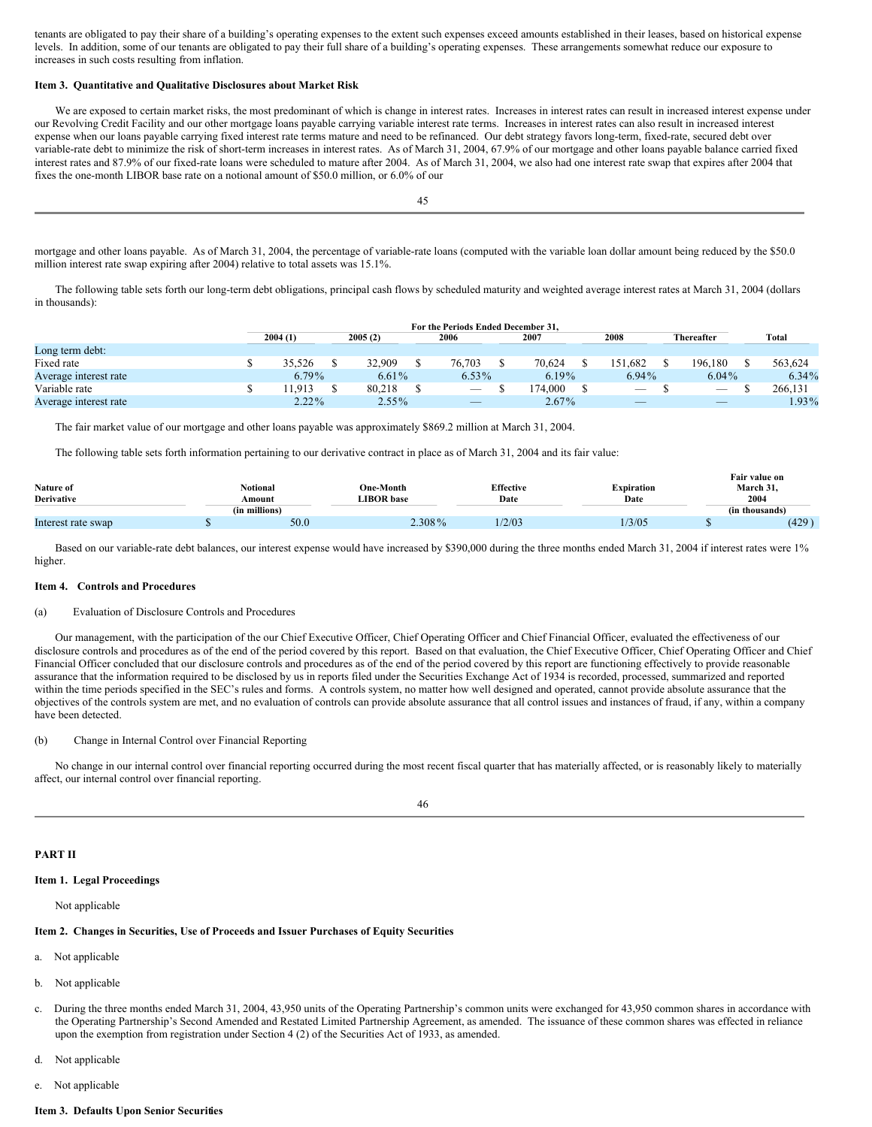tenants are obligated to pay their share of a building's operating expenses to the extent such expenses exceed amounts established in their leases, based on historical expense levels. In addition, some of our tenants are obligated to pay their full share of a building's operating expenses. These arrangements somewhat reduce our exposure to increases in such costs resulting from inflation.

## <span id="page-24-0"></span>**Item 3. Quantitative and Qualitative Disclosures about Market Risk**

We are exposed to certain market risks, the most predominant of which is change in interest rates. Increases in interest rates can result in increased interest expense under our Revolving Credit Facility and our other mortgage loans payable carrying variable interest rate terms. Increases in interest rates can also result in increased interest expense when our loans payable carrying fixed interest rate terms mature and need to be refinanced. Our debt strategy favors long-term, fixed-rate, secured debt over variable-rate debt to minimize the risk of short-term increases in interest rates. As of March 31, 2004, 67.9% of our mortgage and other loans payable balance carried fixed interest rates and 87.9% of our fixed-rate loans were scheduled to mature after 2004. As of March 31, 2004, we also had one interest rate swap that expires after 2004 that fixes the one-month LIBOR base rate on a notional amount of \$50.0 million, or 6.0% of our

mortgage and other loans payable. As of March 31, 2004, the percentage of variable-rate loans (computed with the variable loan dollar amount being reduced by the \$50.0 million interest rate swap expiring after 2004) relative to total assets was 15.1%.

The following table sets forth our long-term debt obligations, principal cash flows by scheduled maturity and weighted average interest rates at March 31, 2004 (dollars in thousands):

|                       |          |          | For the Periods Ended December 31. |          |                          |                          |          |
|-----------------------|----------|----------|------------------------------------|----------|--------------------------|--------------------------|----------|
|                       | 2004(1)  | 2005(2)  | 2006                               | 2007     | 2008                     | Thereafter               | Total    |
| Long term debt:       |          |          |                                    |          |                          |                          |          |
| Fixed rate            | 35.526   | 32.909   | 76,703                             | 70.624   | 151.682                  | 196.180                  | 563.624  |
| Average interest rate | $6.79\%$ | $6.61\%$ | $6.53\%$                           | $6.19\%$ | $6.94\%$                 | $6.04\%$                 | $6.34\%$ |
| Variable rate         | 1.913    | 80.218   | $\overline{\phantom{a}}$           | 174.000  | $-$                      | $\overline{\phantom{a}}$ | 266.131  |
| Average interest rate | $2.22\%$ | $2.55\%$ | $\overline{\phantom{a}}$           | $2.67\%$ | $\overline{\phantom{a}}$ |                          | 1.93%    |

The fair market value of our mortgage and other loans payable was approximately \$869.2 million at March 31, 2004.

The following table sets forth information pertaining to our derivative contract in place as of March 31, 2004 and its fair value:

|                    |               |                  |                  |            | - -<br>Fair value on |
|--------------------|---------------|------------------|------------------|------------|----------------------|
| Nature of          | Notional      | <b>Dne-Month</b> | <b>Effective</b> | Expiration | March 31.            |
| <b>Derivative</b>  | Amount        | LIBOR base       | Date             | Date       | 2004                 |
|                    | (in millions) |                  |                  |            | (in thousands)       |
| Interest rate swap | 50.0          | 2.308%           | 1/2/03           | /3/05      | (429)                |

Based on our variable-rate debt balances, our interest expense would have increased by \$390,000 during the three months ended March 31, 2004 if interest rates were 1% higher

#### <span id="page-24-1"></span>**Item 4. Controls and Procedures**

### (a) Evaluation of Disclosure Controls and Procedures

Our management, with the participation of the our Chief Executive Officer, Chief Operating Officer and Chief Financial Officer, evaluated the effectiveness of our disclosure controls and procedures as of the end of the period covered by this report. Based on that evaluation, the Chief Executive Officer, Chief Operating Officer and Chief Financial Officer concluded that our disclosure controls and procedures as of the end of the period covered by this report are functioning effectively to provide reasonable assurance that the information required to be disclosed by us in reports filed under the Securities Exchange Act of 1934 is recorded, processed, summarized and reported within the time periods specified in the SEC's rules and forms. A controls system, no matter how well designed and operated, cannot provide absolute assurance that the objectives of the controls system are met, and no evaluation of controls can provide absolute assurance that all control issues and instances of fraud, if any, within a company have been detected.

## (b) Change in Internal Control over Financial Reporting

No change in our internal control over financial reporting occurred during the most recent fiscal quarter that has materially affected, or is reasonably likely to materially affect, our internal control over financial reporting.

# 46

# <span id="page-24-2"></span>**PART II**

# **Item 1. Legal Proceedings**

<span id="page-24-3"></span>Not applicable

## <span id="page-24-4"></span>**Item 2. Changes in Securities, Use of Proceeds and Issuer Purchases of Equity Securities**

- Not applicable
- b. Not applicable
- c. During the three months ended March 31, 2004, 43,950 units of the Operating Partnership's common units were exchanged for 43,950 common shares in accordance with the Operating Partnership's Second Amended and Restated Limited Partnership Agreement, as amended. The issuance of these common shares was effected in reliance upon the exemption from registration under Section 4 (2) of the Securities Act of 1933, as amended.
- d. Not applicable
- <span id="page-24-5"></span>e. Not applicable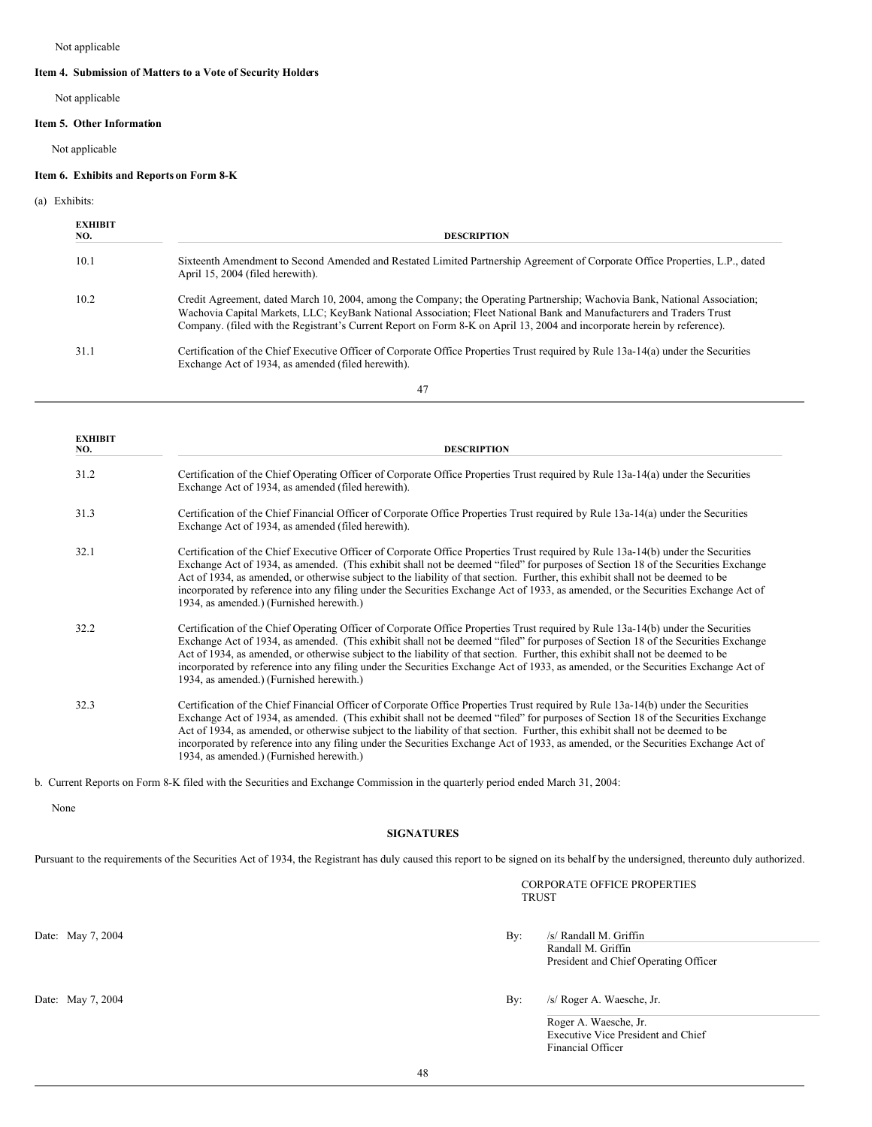# <span id="page-25-0"></span>**Item 4. Submission of Matters to a Vote of Security Holders**

Not applicable

# <span id="page-25-1"></span>**Item 5. Other Information**

Not applicable

## <span id="page-25-2"></span>**Item 6. Exhibits and Reports on Form 8-K**

(a) Exhibits:

| <b>EXHIBIT</b><br>NO. | <b>DESCRIPTION</b>                                                                                                                                                                                                                                                                                                                                                             |  |  |  |  |  |  |  |
|-----------------------|--------------------------------------------------------------------------------------------------------------------------------------------------------------------------------------------------------------------------------------------------------------------------------------------------------------------------------------------------------------------------------|--|--|--|--|--|--|--|
| 10.1                  | Sixteenth Amendment to Second Amended and Restated Limited Partnership Agreement of Corporate Office Properties, L.P., dated<br>April 15, 2004 (filed herewith).                                                                                                                                                                                                               |  |  |  |  |  |  |  |
| 10.2                  | Credit Agreement, dated March 10, 2004, among the Company; the Operating Partnership; Wachovia Bank, National Association;<br>Wachovia Capital Markets, LLC; KeyBank National Association; Fleet National Bank and Manufacturers and Traders Trust<br>Company. (filed with the Registrant's Current Report on Form 8-K on April 13, 2004 and incorporate herein by reference). |  |  |  |  |  |  |  |
| 31.1                  | Certification of the Chief Executive Officer of Corporate Office Properties Trust required by Rule 13a-14(a) under the Securities<br>Exchange Act of 1934, as amended (filed herewith).                                                                                                                                                                                        |  |  |  |  |  |  |  |
|                       | 47                                                                                                                                                                                                                                                                                                                                                                             |  |  |  |  |  |  |  |

**EXHIBIT NO. DESCRIPTION** 31.2 Certification of the Chief Operating Officer of Corporate Office Properties Trust required by Rule 13a-14(a) under the Securities Exchange Act of 1934, as amended (filed herewith). 31.3 Certification of the Chief Financial Officer of Corporate Office Properties Trust required by Rule 13a-14(a) under the Securities Exchange Act of 1934, as amended (filed herewith). 32.1 Certification of the Chief Executive Officer of Corporate Office Properties Trust required by Rule 13a-14(b) under the Securities Exchange Act of 1934, as amended. (This exhibit shall not be deemed "filed" for purposes of Section 18 of the Securities Exchange Act of 1934, as amended, or otherwise subject to the liability of that section. Further, this exhibit shall not be deemed to be incorporated by reference into any filing under the Securities Exchange Act of 1933, as amended, or the Securities Exchange Act of 1934, as amended.) (Furnished herewith.) 32.2 Certification of the Chief Operating Officer of Corporate Office Properties Trust required by Rule 13a-14(b) under the Securities Exchange Act of 1934, as amended. (This exhibit shall not be deemed "filed" for purposes of Section 18 of the Securities Exchange Act of 1934, as amended, or otherwise subject to the liability of that section. Further, this exhibit shall not be deemed to be incorporated by reference into any filing under the Securities Exchange Act of 1933, as amended, or the Securities Exchange Act of 1934, as amended.) (Furnished herewith.) 32.3 Certification of the Chief Financial Officer of Corporate Office Properties Trust required by Rule 13a-14(b) under the Securities Exchange Act of 1934, as amended. (This exhibit shall not be deemed "filed" for purposes of Section 18 of the Securities Exchange Act of 1934, as amended, or otherwise subject to the liability of that section. Further, this exhibit shall not be deemed to be incorporated by reference into any filing under the Securities Exchange Act of 1933, as amended, or the Securities Exchange Act of

b. Current Reports on Form 8-K filed with the Securities and Exchange Commission in the quarterly period ended March 31, 2004:

1934, as amended.) (Furnished herewith.)

None

#### <span id="page-25-3"></span>**SIGNATURES**

Pursuant to the requirements of the Securities Act of 1934, the Registrant has duly caused this report to be signed on its behalf by the undersigned, thereunto duly authorized.

CORPORATE OFFICE PROPERTIES **TRUST** 

Date: May 7, 2004 By: /s/ Randall M. Griffin Randall M. Griffin President and Chief Operating Officer

Date: May 7, 2004 By: /s/ Roger A. Waesche, Jr.

Roger A. Waesche, Jr. Executive Vice President and Chief Financial Officer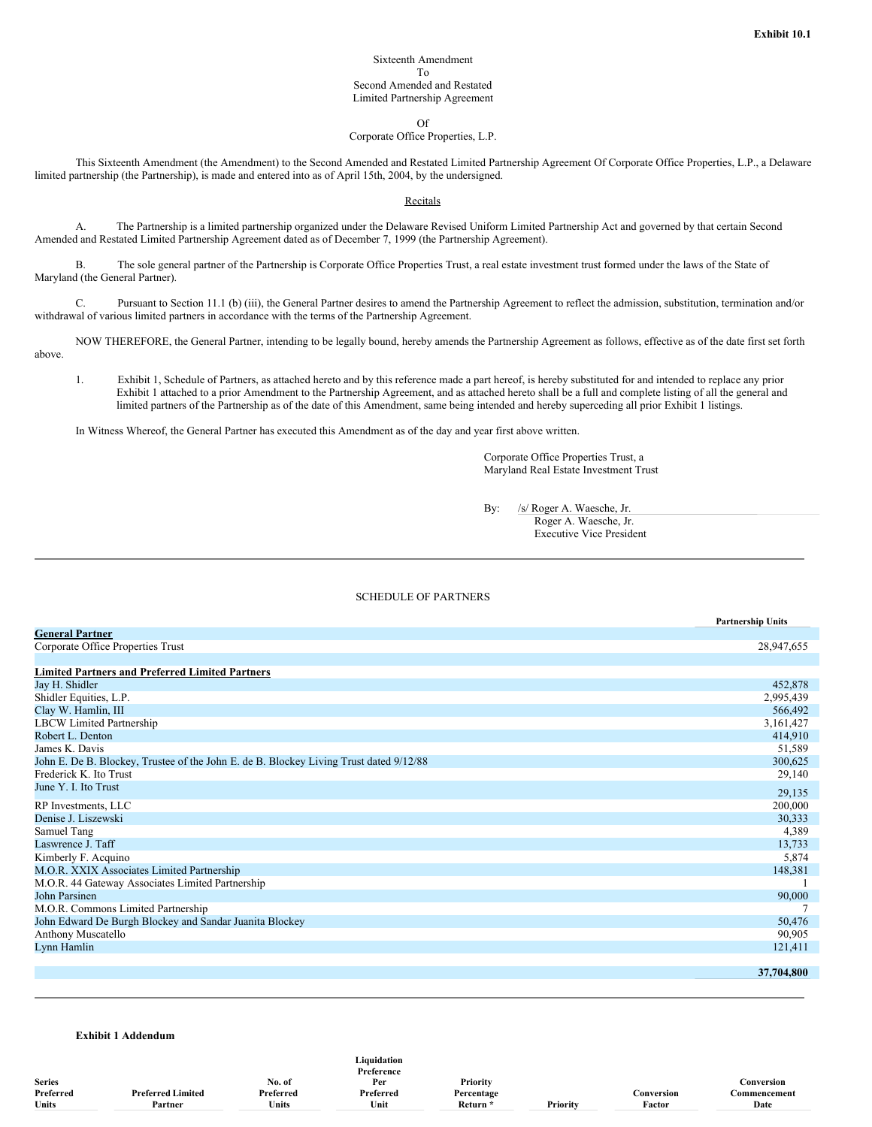## Sixteenth Amendment To Second Amended and Restated Limited Partnership Agreement

Of

Corporate Office Properties, L.P.

This Sixteenth Amendment (the Amendment) to the Second Amended and Restated Limited Partnership Agreement Of Corporate Office Properties, L.P., a Delaware limited partnership (the Partnership), is made and entered into as of April 15th, 2004, by the undersigned.

Recitals

A. The Partnership is a limited partnership organized under the Delaware Revised Uniform Limited Partnership Act and governed by that certain Second Amended and Restated Limited Partnership Agreement dated as of December 7, 1999 (the Partnership Agreement).

B. The sole general partner of the Partnership is Corporate Office Properties Trust, a real estate investment trust formed under the laws of the State of Maryland (the General Partner).

C. Pursuant to Section 11.1 (b) (iii), the General Partner desires to amend the Partnership Agreement to reflect the admission, substitution, termination and/or withdrawal of various limited partners in accordance with the terms of the Partnership Agreement.

NOW THEREFORE, the General Partner, intending to be legally bound, hereby amends the Partnership Agreement as follows, effective as of the date first set forth above.

1. Exhibit 1, Schedule of Partners, as attached hereto and by this reference made a part hereof, is hereby substituted for and intended to replace any prior Exhibit 1 attached to a prior Amendment to the Partnership Agreement, and as attached hereto shall be a full and complete listing of all the general and limited partners of the Partnership as of the date of this Amendment, same being intended and hereby superceding all prior Exhibit 1 listings.

In Witness Whereof, the General Partner has executed this Amendment as of the day and year first above written.

Corporate Office Properties Trust, a Maryland Real Estate Investment Trust

By: /s/ Roger A. Waesche, Jr.

Roger A. Waesche, Jr. Executive Vice President

# SCHEDULE OF PARTNERS

|                                                                                        | <b>Partnership Units</b> |
|----------------------------------------------------------------------------------------|--------------------------|
| <b>General Partner</b>                                                                 |                          |
| Corporate Office Properties Trust                                                      | 28,947,655               |
|                                                                                        |                          |
| <b>Limited Partners and Preferred Limited Partners</b>                                 |                          |
| Jay H. Shidler                                                                         | 452,878                  |
| Shidler Equities, L.P.                                                                 | 2,995,439                |
| Clay W. Hamlin, III                                                                    | 566,492                  |
| <b>LBCW Limited Partnership</b>                                                        | 3,161,427                |
| Robert L. Denton                                                                       | 414,910                  |
| James K. Davis                                                                         | 51,589                   |
| John E. De B. Blockey, Trustee of the John E. de B. Blockey Living Trust dated 9/12/88 | 300,625                  |
| Frederick K. Ito Trust                                                                 | 29,140                   |
| June Y. I. Ito Trust                                                                   | 29,135                   |
| RP Investments, LLC                                                                    | 200,000                  |
| Denise J. Liszewski                                                                    | 30,333                   |
| Samuel Tang                                                                            | 4,389                    |
| Laswrence J. Taff                                                                      | 13,733                   |
| Kimberly F. Acquino                                                                    | 5,874                    |
| M.O.R. XXIX Associates Limited Partnership                                             | 148,381                  |
| M.O.R. 44 Gateway Associates Limited Partnership                                       |                          |
| <b>John Parsinen</b>                                                                   | 90,000                   |
| M.O.R. Commons Limited Partnership                                                     |                          |
| John Edward De Burgh Blockey and Sandar Juanita Blockey                                | 50,476                   |
| Anthony Muscatello                                                                     | 90,905                   |
| Lynn Hamlin                                                                            | 121,411                  |
|                                                                                        |                          |
|                                                                                        | 37,704,800               |

#### **Exhibit 1 Addendum**

|               |                          |           | Liquidation |            |          |            |                     |
|---------------|--------------------------|-----------|-------------|------------|----------|------------|---------------------|
|               |                          |           | Preference  |            |          |            |                     |
| <b>Series</b> |                          | No. of    | Per         | Priority   |          |            | .`onversion         |
| Preferred     | <b>Preferred Limited</b> | Preferred | Preferred   | Percentage |          | Conversion | <b>Commencement</b> |
| Units         | Partner                  | Units     | Unit        | Return *   | Priority | Factor     | Date                |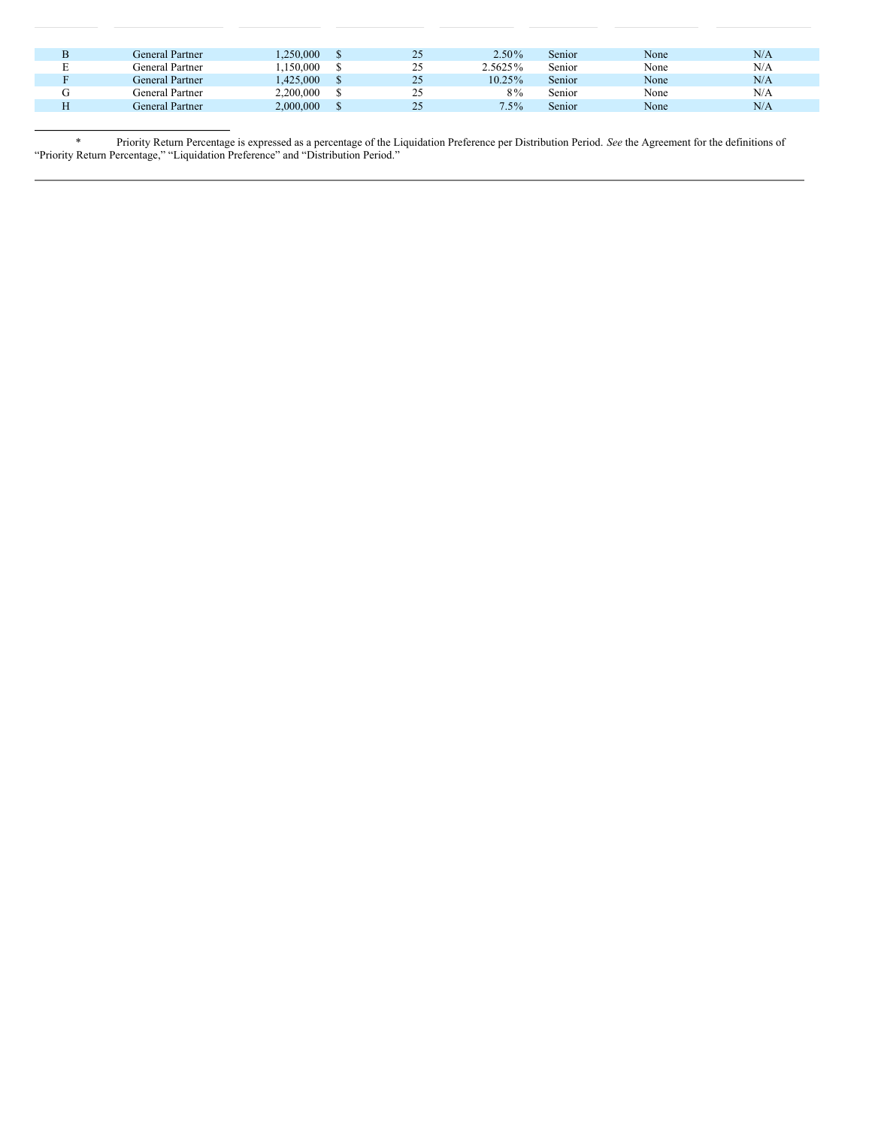| B | General Partner | .250,000  | 25 | $2.50\%$ | Senior | None | N/A |
|---|-----------------|-----------|----|----------|--------|------|-----|
| E | General Partner | .150.000  | 25 | 2.5625%  | Senior | None | N/A |
|   | General Partner | .425,000  | 25 | 10.25%   | Senior | None | N/A |
| G | General Partner | 2,200,000 | 25 | $8\%$    | Senior | None | N/A |
| H | General Partner | 2,000,000 | 25 | $7.5\%$  | Senior | None | N/A |

\* Priority Return Percentage is expressed as a percentage of the Liquidation Preference per Distribution Period. *See* the Agreement for the definitions of "Priority Return Percentage," "Liquidation Preference" and "Distribution Period."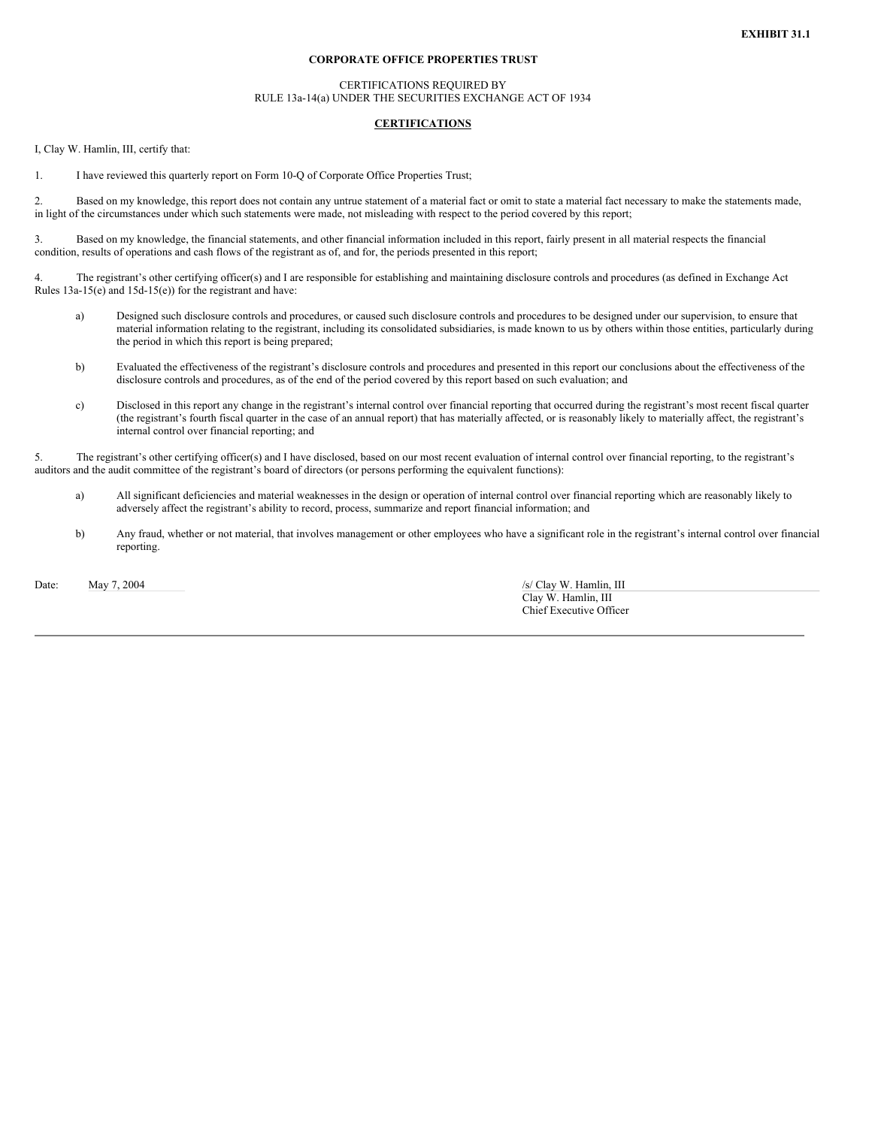# CERTIFICATIONS REQUIRED BY RULE 13a-14(a) UNDER THE SECURITIES EXCHANGE ACT OF 1934

## **CERTIFICATIONS**

I, Clay W. Hamlin, III, certify that:

1. I have reviewed this quarterly report on Form 10-Q of Corporate Office Properties Trust;

2. Based on my knowledge, this report does not contain any untrue statement of a material fact or omit to state a material fact necessary to make the statements made, in light of the circumstances under which such statements were made, not misleading with respect to the period covered by this report;

3. Based on my knowledge, the financial statements, and other financial information included in this report, fairly present in all material respects the financial condition, results of operations and cash flows of the registrant as of, and for, the periods presented in this report;

4. The registrant's other certifying officer(s) and I are responsible for establishing and maintaining disclosure controls and procedures (as defined in Exchange Act Rules 13a-15(e) and 15d-15(e)) for the registrant and have:

- a) Designed such disclosure controls and procedures, or caused such disclosure controls and procedures to be designed under our supervision, to ensure that material information relating to the registrant, including its consolidated subsidiaries, is made known to us by others within those entities, particularly during the period in which this report is being prepared;
- b) Evaluated the effectiveness of the registrant's disclosure controls and procedures and presented in this report our conclusions about the effectiveness of the disclosure controls and procedures, as of the end of the period covered by this report based on such evaluation; and
- c) Disclosed in this report any change in the registrant's internal control over financial reporting that occurred during the registrant's most recent fiscal quarter (the registrant's fourth fiscal quarter in the case of an annual report) that has materially affected, or is reasonably likely to materially affect, the registrant's internal control over financial reporting; and

5. The registrant's other certifying officer(s) and I have disclosed, based on our most recent evaluation of internal control over financial reporting, to the registrant's auditors and the audit committee of the registrant's board of directors (or persons performing the equivalent functions):

- a) All significant deficiencies and material weaknesses in the design or operation of internal control over financial reporting which are reasonably likely to adversely affect the registrant's ability to record, process, summarize and report financial information; and
- b) Any fraud, whether or not material, that involves management or other employees who have a significant role in the registrant's internal control over financial reporting.

Date: May 7, 2004 /s/ Clay W. Hamlin, III

Clay W. Hamlin, III Chief Executive Officer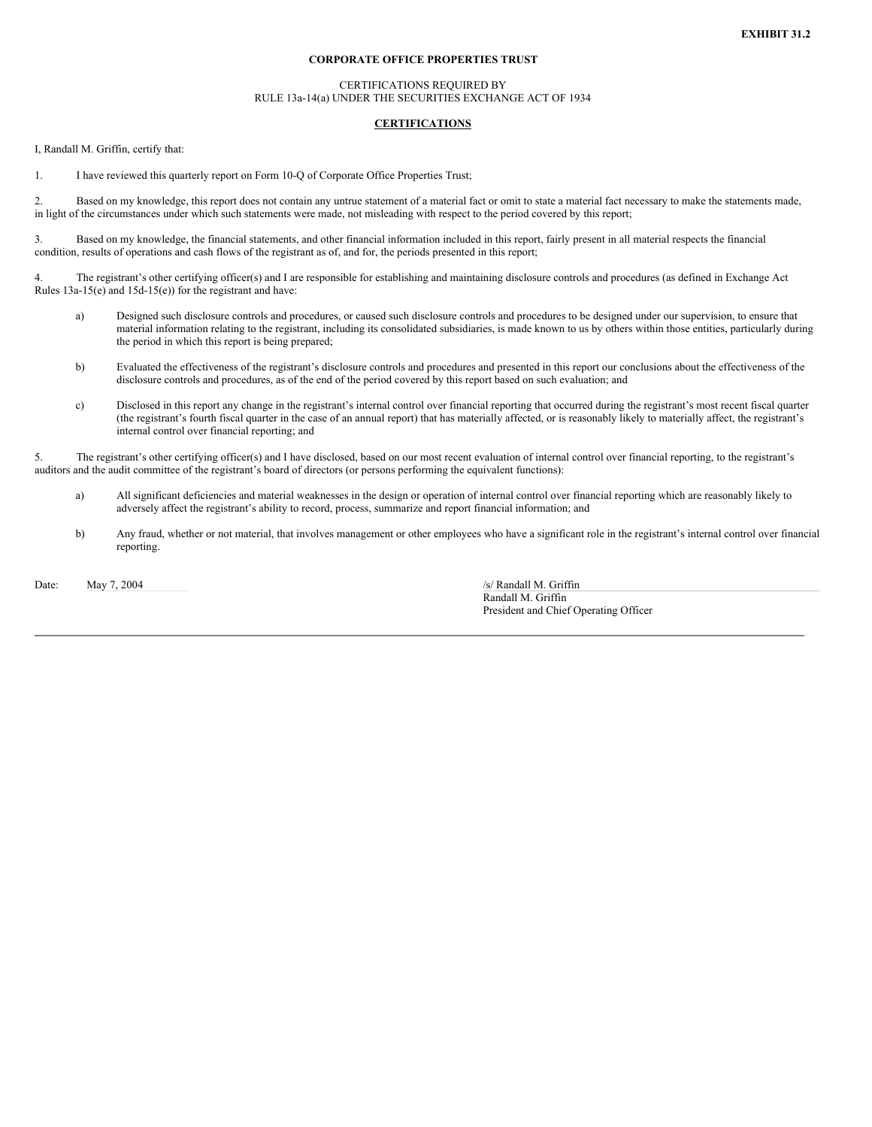# CERTIFICATIONS REQUIRED BY RULE 13a-14(a) UNDER THE SECURITIES EXCHANGE ACT OF 1934

## **CERTIFICATIONS**

I, Randall M. Griffin, certify that:

1. I have reviewed this quarterly report on Form 10-Q of Corporate Office Properties Trust;

2. Based on my knowledge, this report does not contain any untrue statement of a material fact or omit to state a material fact necessary to make the statements made, in light of the circumstances under which such statements were made, not misleading with respect to the period covered by this report;

3. Based on my knowledge, the financial statements, and other financial information included in this report, fairly present in all material respects the financial condition, results of operations and cash flows of the registrant as of, and for, the periods presented in this report;

4. The registrant's other certifying officer(s) and I are responsible for establishing and maintaining disclosure controls and procedures (as defined in Exchange Act Rules 13a-15(e) and 15d-15(e)) for the registrant and have:

- a) Designed such disclosure controls and procedures, or caused such disclosure controls and procedures to be designed under our supervision, to ensure that material information relating to the registrant, including its consolidated subsidiaries, is made known to us by others within those entities, particularly during the period in which this report is being prepared;
- b) Evaluated the effectiveness of the registrant's disclosure controls and procedures and presented in this report our conclusions about the effectiveness of the disclosure controls and procedures, as of the end of the period covered by this report based on such evaluation; and
- c) Disclosed in this report any change in the registrant's internal control over financial reporting that occurred during the registrant's most recent fiscal quarter (the registrant's fourth fiscal quarter in the case of an annual report) that has materially affected, or is reasonably likely to materially affect, the registrant's internal control over financial reporting; and

5. The registrant's other certifying officer(s) and I have disclosed, based on our most recent evaluation of internal control over financial reporting, to the registrant's auditors and the audit committee of the registrant's board of directors (or persons performing the equivalent functions):

- a) All significant deficiencies and material weaknesses in the design or operation of internal control over financial reporting which are reasonably likely to adversely affect the registrant's ability to record, process, summarize and report financial information; and
- b) Any fraud, whether or not material, that involves management or other employees who have a significant role in the registrant's internal control over financial reporting.

Date: May 7, 2004 /s/ Randall M. Griffin

Randall M. Griffin President and Chief Operating Officer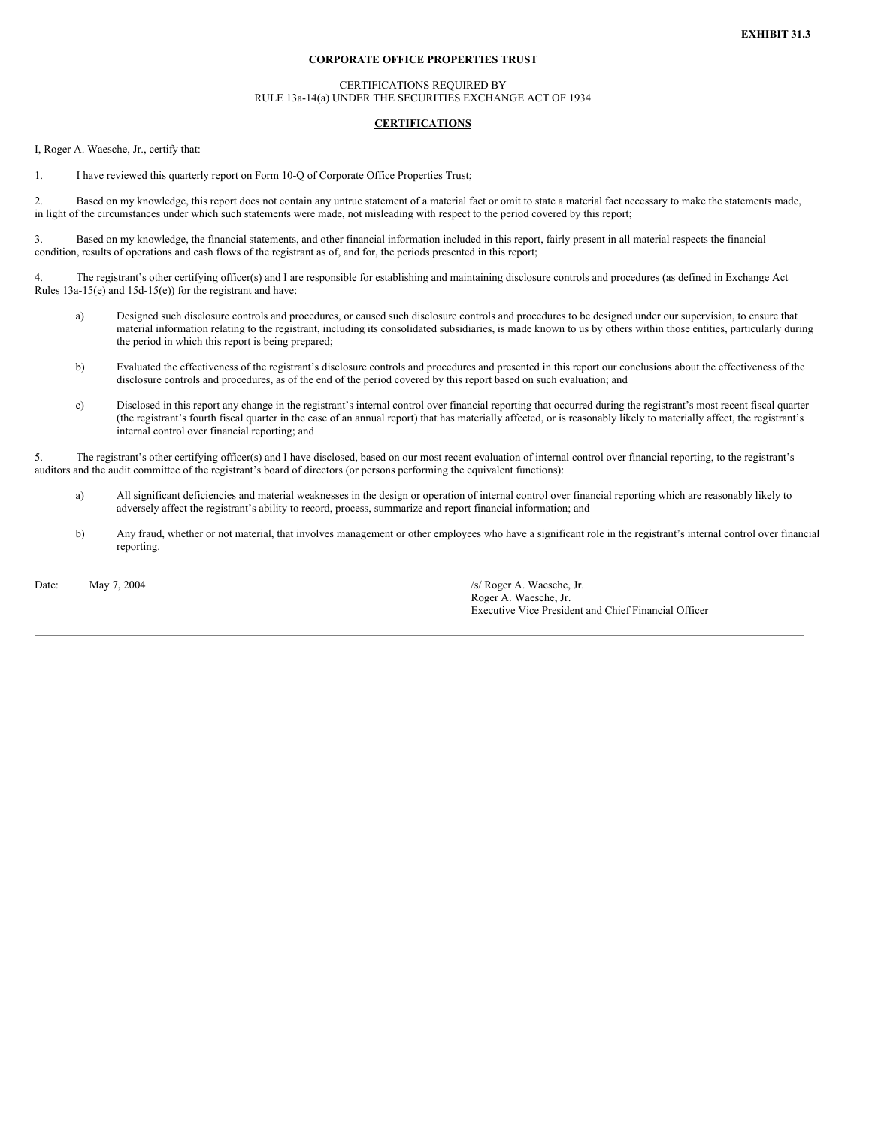# CERTIFICATIONS REQUIRED BY RULE 13a-14(a) UNDER THE SECURITIES EXCHANGE ACT OF 1934

## **CERTIFICATIONS**

I, Roger A. Waesche, Jr., certify that:

1. I have reviewed this quarterly report on Form 10-Q of Corporate Office Properties Trust;

2. Based on my knowledge, this report does not contain any untrue statement of a material fact or omit to state a material fact necessary to make the statements made, in light of the circumstances under which such statements were made, not misleading with respect to the period covered by this report;

3. Based on my knowledge, the financial statements, and other financial information included in this report, fairly present in all material respects the financial condition, results of operations and cash flows of the registrant as of, and for, the periods presented in this report;

4. The registrant's other certifying officer(s) and I are responsible for establishing and maintaining disclosure controls and procedures (as defined in Exchange Act Rules 13a-15(e) and 15d-15(e)) for the registrant and have:

- a) Designed such disclosure controls and procedures, or caused such disclosure controls and procedures to be designed under our supervision, to ensure that material information relating to the registrant, including its consolidated subsidiaries, is made known to us by others within those entities, particularly during the period in which this report is being prepared;
- b) Evaluated the effectiveness of the registrant's disclosure controls and procedures and presented in this report our conclusions about the effectiveness of the disclosure controls and procedures, as of the end of the period covered by this report based on such evaluation; and
- c) Disclosed in this report any change in the registrant's internal control over financial reporting that occurred during the registrant's most recent fiscal quarter (the registrant's fourth fiscal quarter in the case of an annual report) that has materially affected, or is reasonably likely to materially affect, the registrant's internal control over financial reporting; and

5. The registrant's other certifying officer(s) and I have disclosed, based on our most recent evaluation of internal control over financial reporting, to the registrant's auditors and the audit committee of the registrant's board of directors (or persons performing the equivalent functions):

- a) All significant deficiencies and material weaknesses in the design or operation of internal control over financial reporting which are reasonably likely to adversely affect the registrant's ability to record, process, summarize and report financial information; and
- b) Any fraud, whether or not material, that involves management or other employees who have a significant role in the registrant's internal control over financial reporting.

Date: May 7, 2004 */s/ Roger A. Waesche, Jr.* 

Roger A. Waesche, Jr. Executive Vice President and Chief Financial Officer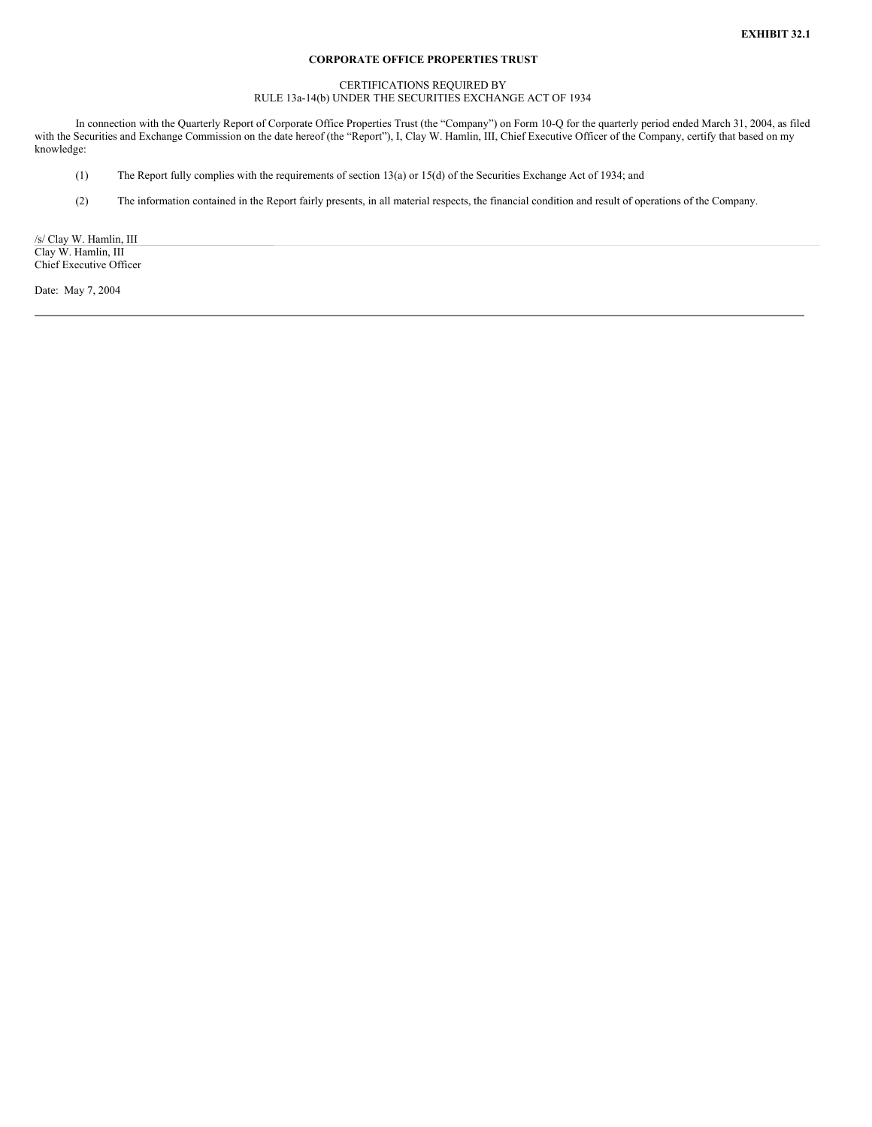# CERTIFICATIONS REQUIRED BY RULE 13a-14(b) UNDER THE SECURITIES EXCHANGE ACT OF 1934

In connection with the Quarterly Report of Corporate Office Properties Trust (the "Company") on Form 10-Q for the quarterly period ended March 31, 2004, as filed with the Securities and Exchange Commission on the date hereof (the "Report"), I, Clay W. Hamlin, III, Chief Executive Officer of the Company, certify that based on my knowledge:

- (1) The Report fully complies with the requirements of section 13(a) or 15(d) of the Securities Exchange Act of 1934; and
- (2) The information contained in the Report fairly presents, in all material respects, the financial condition and result of operations of the Company.

/s/ Clay W. Hamlin, III Clay W. Hamlin, III Chief Executive Officer

Date: May 7, 2004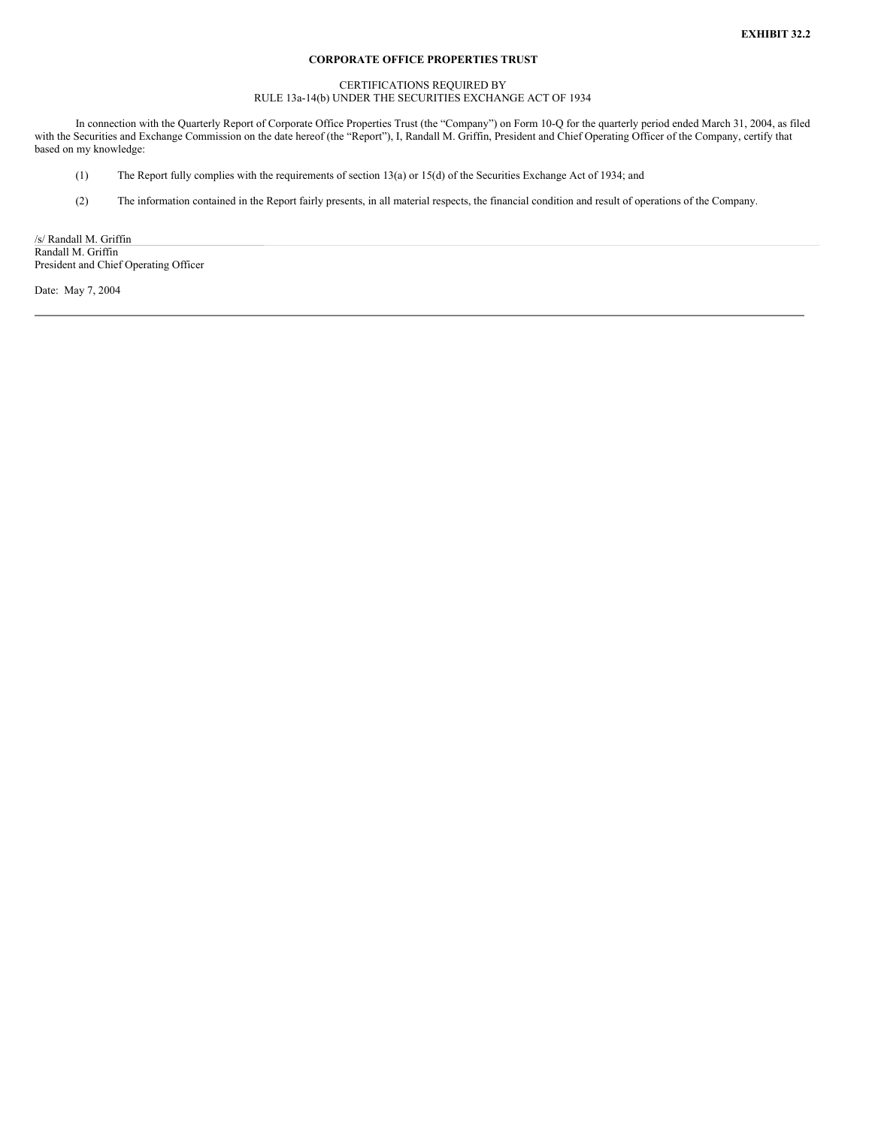# CERTIFICATIONS REQUIRED BY RULE 13a-14(b) UNDER THE SECURITIES EXCHANGE ACT OF 1934

In connection with the Quarterly Report of Corporate Office Properties Trust (the "Company") on Form 10-Q for the quarterly period ended March 31, 2004, as filed with the Securities and Exchange Commission on the date hereof (the "Report"), I, Randall M. Griffin, President and Chief Operating Officer of the Company, certify that based on my knowledge:

- (1) The Report fully complies with the requirements of section 13(a) or 15(d) of the Securities Exchange Act of 1934; and
- (2) The information contained in the Report fairly presents, in all material respects, the financial condition and result of operations of the Company.

/s/ Randall M. Griffin Randall M. Griffin President and Chief Operating Officer

Date: May 7, 2004